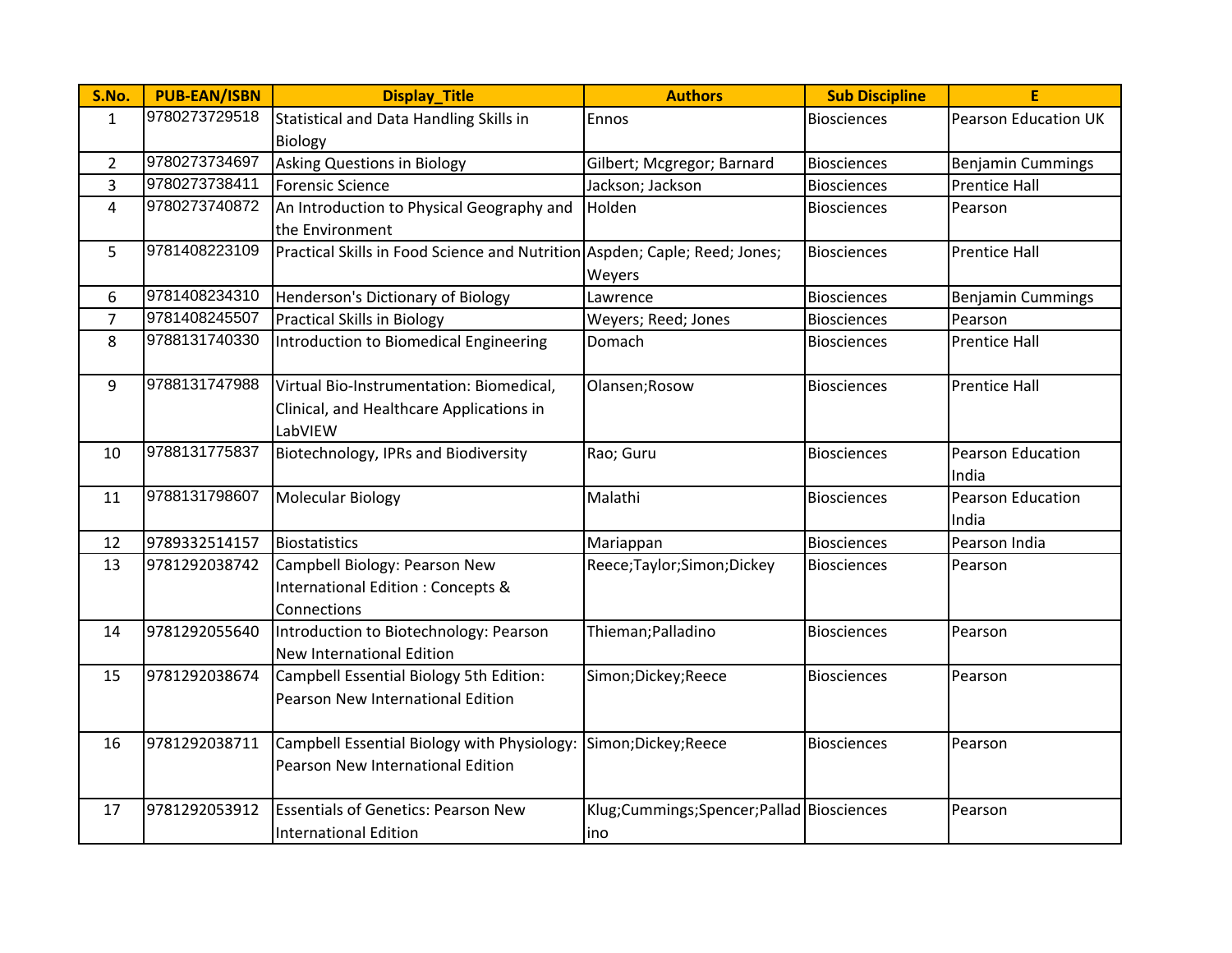| S.No.          | <b>PUB-EAN/ISBN</b> | <b>Display_Title</b>                                                       | <b>Authors</b>                              | <b>Sub Discipline</b> | E                           |
|----------------|---------------------|----------------------------------------------------------------------------|---------------------------------------------|-----------------------|-----------------------------|
| $\mathbf{1}$   | 9780273729518       | Statistical and Data Handling Skills in                                    | Ennos                                       | <b>Biosciences</b>    | <b>Pearson Education UK</b> |
|                |                     | <b>Biology</b>                                                             |                                             |                       |                             |
| $\overline{2}$ | 9780273734697       | <b>Asking Questions in Biology</b>                                         | Gilbert; Mcgregor; Barnard                  | <b>Biosciences</b>    | <b>Benjamin Cummings</b>    |
| 3              | 9780273738411       | <b>Forensic Science</b>                                                    | Jackson; Jackson                            | <b>Biosciences</b>    | <b>Prentice Hall</b>        |
| $\overline{4}$ | 9780273740872       | An Introduction to Physical Geography and                                  | Holden                                      | <b>Biosciences</b>    | Pearson                     |
|                |                     | the Environment                                                            |                                             |                       |                             |
| 5              | 9781408223109       | Practical Skills in Food Science and Nutrition Aspden; Caple; Reed; Jones; |                                             | <b>Biosciences</b>    | <b>Prentice Hall</b>        |
|                |                     |                                                                            | Weyers                                      |                       |                             |
| 6              | 9781408234310       | Henderson's Dictionary of Biology                                          | Lawrence                                    | <b>Biosciences</b>    | <b>Benjamin Cummings</b>    |
| $\overline{7}$ | 9781408245507       | <b>Practical Skills in Biology</b>                                         | Weyers; Reed; Jones                         | <b>Biosciences</b>    | Pearson                     |
| 8              | 9788131740330       | Introduction to Biomedical Engineering                                     | Domach                                      | <b>Biosciences</b>    | <b>Prentice Hall</b>        |
|                |                     |                                                                            |                                             |                       |                             |
| 9              | 9788131747988       | Virtual Bio-Instrumentation: Biomedical,                                   | Olansen; Rosow                              | <b>Biosciences</b>    | <b>Prentice Hall</b>        |
|                |                     | Clinical, and Healthcare Applications in                                   |                                             |                       |                             |
|                |                     | LabVIEW                                                                    |                                             |                       |                             |
| 10             | 9788131775837       | Biotechnology, IPRs and Biodiversity                                       | Rao; Guru                                   | <b>Biosciences</b>    | Pearson Education           |
|                |                     |                                                                            |                                             |                       | India                       |
| 11             | 9788131798607       | <b>Molecular Biology</b>                                                   | Malathi                                     | <b>Biosciences</b>    | <b>Pearson Education</b>    |
|                |                     |                                                                            |                                             |                       | India                       |
| 12             | 9789332514157       | Biostatistics                                                              | Mariappan                                   | <b>Biosciences</b>    | Pearson India               |
| 13             | 9781292038742       | Campbell Biology: Pearson New                                              | Reece;Taylor;Simon;Dickey                   | <b>Biosciences</b>    | Pearson                     |
|                |                     | International Edition : Concepts &                                         |                                             |                       |                             |
|                |                     | Connections                                                                |                                             |                       |                             |
| 14             | 9781292055640       | Introduction to Biotechnology: Pearson                                     | Thieman; Palladino                          | <b>Biosciences</b>    | Pearson                     |
|                |                     | <b>New International Edition</b>                                           |                                             |                       |                             |
| 15             | 9781292038674       | Campbell Essential Biology 5th Edition:                                    | Simon;Dickey;Reece                          | <b>Biosciences</b>    | Pearson                     |
|                |                     | Pearson New International Edition                                          |                                             |                       |                             |
|                |                     |                                                                            |                                             |                       |                             |
| 16             | 9781292038711       | Campbell Essential Biology with Physiology: Simon; Dickey; Reece           |                                             | <b>Biosciences</b>    | Pearson                     |
|                |                     | Pearson New International Edition                                          |                                             |                       |                             |
|                |                     |                                                                            |                                             |                       |                             |
| 17             | 9781292053912       | <b>Essentials of Genetics: Pearson New</b>                                 | Klug; Cummings; Spencer; Pallad Biosciences |                       | Pearson                     |
|                |                     | <b>International Edition</b>                                               | ino                                         |                       |                             |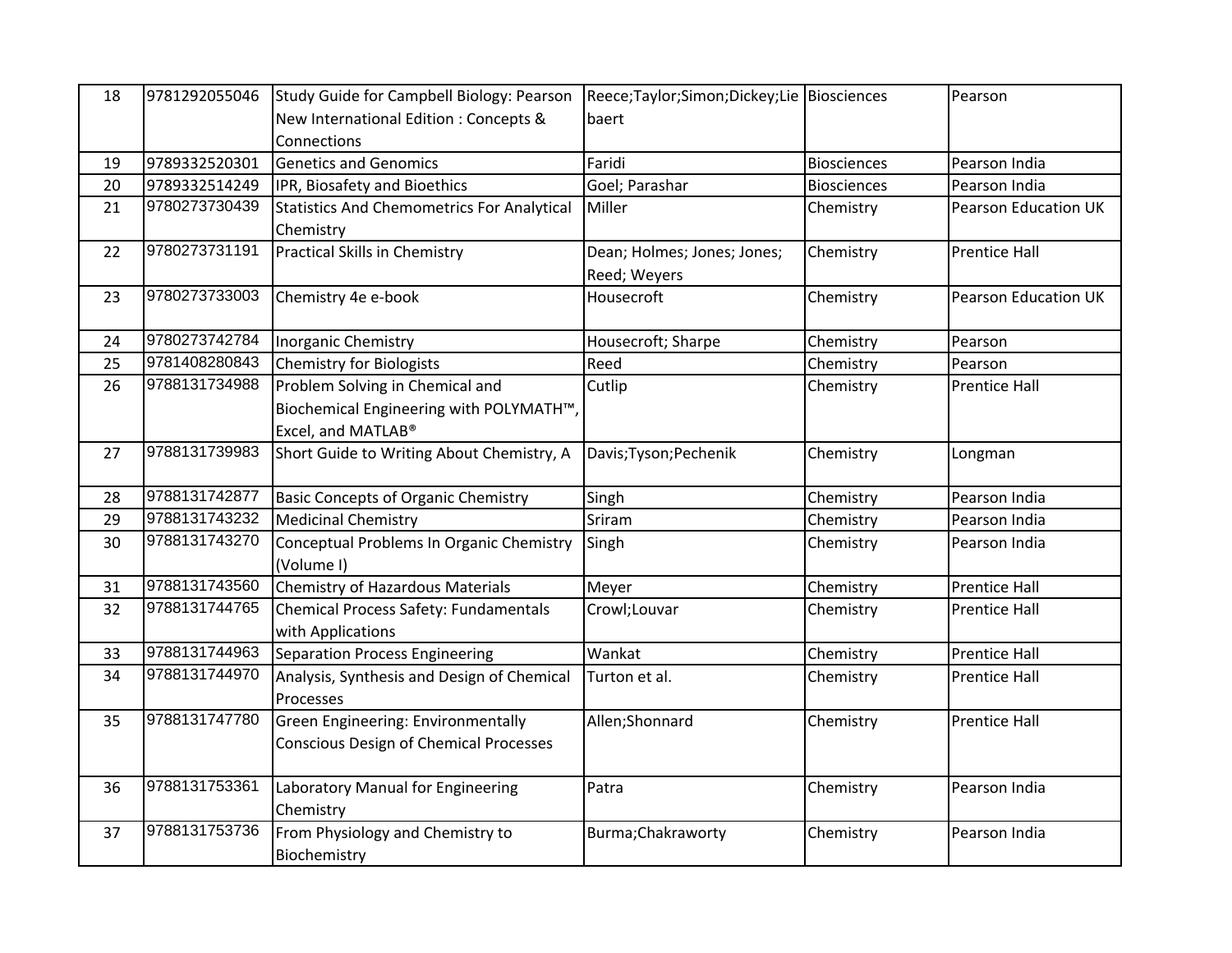| 18 | 9781292055046 | Study Guide for Campbell Biology: Pearson         | Reece;Taylor;Simon;Dickey;Lie Biosciences |                    | Pearson              |
|----|---------------|---------------------------------------------------|-------------------------------------------|--------------------|----------------------|
|    |               | New International Edition : Concepts &            | baert                                     |                    |                      |
|    |               | Connections                                       |                                           |                    |                      |
| 19 | 9789332520301 | <b>Genetics and Genomics</b>                      | Faridi                                    | <b>Biosciences</b> | Pearson India        |
| 20 | 9789332514249 | IPR, Biosafety and Bioethics                      | Goel; Parashar                            | <b>Biosciences</b> | Pearson India        |
| 21 | 9780273730439 | <b>Statistics And Chemometrics For Analytical</b> | Miller                                    | Chemistry          | Pearson Education UK |
|    |               | Chemistry                                         |                                           |                    |                      |
| 22 | 9780273731191 | Practical Skills in Chemistry                     | Dean; Holmes; Jones; Jones;               | Chemistry          | <b>Prentice Hall</b> |
|    |               |                                                   | Reed; Weyers                              |                    |                      |
| 23 | 9780273733003 | Chemistry 4e e-book                               | Housecroft                                | Chemistry          | Pearson Education UK |
|    |               |                                                   |                                           |                    |                      |
| 24 | 9780273742784 | <b>Inorganic Chemistry</b>                        | Housecroft; Sharpe                        | Chemistry          | Pearson              |
| 25 | 9781408280843 | Chemistry for Biologists                          | Reed                                      | Chemistry          | Pearson              |
| 26 | 9788131734988 | Problem Solving in Chemical and                   | Cutlip                                    | Chemistry          | <b>Prentice Hall</b> |
|    |               | Biochemical Engineering with POLYMATH™,           |                                           |                    |                      |
|    |               | Excel, and MATLAB®                                |                                           |                    |                      |
| 27 | 9788131739983 | Short Guide to Writing About Chemistry, A         | Davis; Tyson; Pechenik                    | Chemistry          | Longman              |
|    |               |                                                   |                                           |                    |                      |
| 28 | 9788131742877 | <b>Basic Concepts of Organic Chemistry</b>        | Singh                                     | Chemistry          | Pearson India        |
| 29 | 9788131743232 | <b>Medicinal Chemistry</b>                        | Sriram                                    | Chemistry          | Pearson India        |
| 30 | 9788131743270 | Conceptual Problems In Organic Chemistry          | Singh                                     | Chemistry          | Pearson India        |
|    |               | (Volume I)                                        |                                           |                    |                      |
| 31 | 9788131743560 | Chemistry of Hazardous Materials                  | Meyer                                     | Chemistry          | <b>Prentice Hall</b> |
| 32 | 9788131744765 | Chemical Process Safety: Fundamentals             | Crowl;Louvar                              | Chemistry          | <b>Prentice Hall</b> |
|    |               | with Applications                                 |                                           |                    |                      |
| 33 | 9788131744963 | Separation Process Engineering                    | Wankat                                    | Chemistry          | <b>Prentice Hall</b> |
| 34 | 9788131744970 | Analysis, Synthesis and Design of Chemical        | Turton et al.                             | Chemistry          | <b>Prentice Hall</b> |
|    |               | Processes                                         |                                           |                    |                      |
| 35 | 9788131747780 | Green Engineering: Environmentally                | Allen;Shonnard                            | Chemistry          | <b>Prentice Hall</b> |
|    |               | <b>Conscious Design of Chemical Processes</b>     |                                           |                    |                      |
|    |               |                                                   |                                           |                    |                      |
| 36 | 9788131753361 | Laboratory Manual for Engineering                 | Patra                                     | Chemistry          | Pearson India        |
|    |               | Chemistry                                         |                                           |                    |                      |
| 37 | 9788131753736 | From Physiology and Chemistry to                  | Burma; Chakraworty                        | Chemistry          | Pearson India        |
|    |               | Biochemistry                                      |                                           |                    |                      |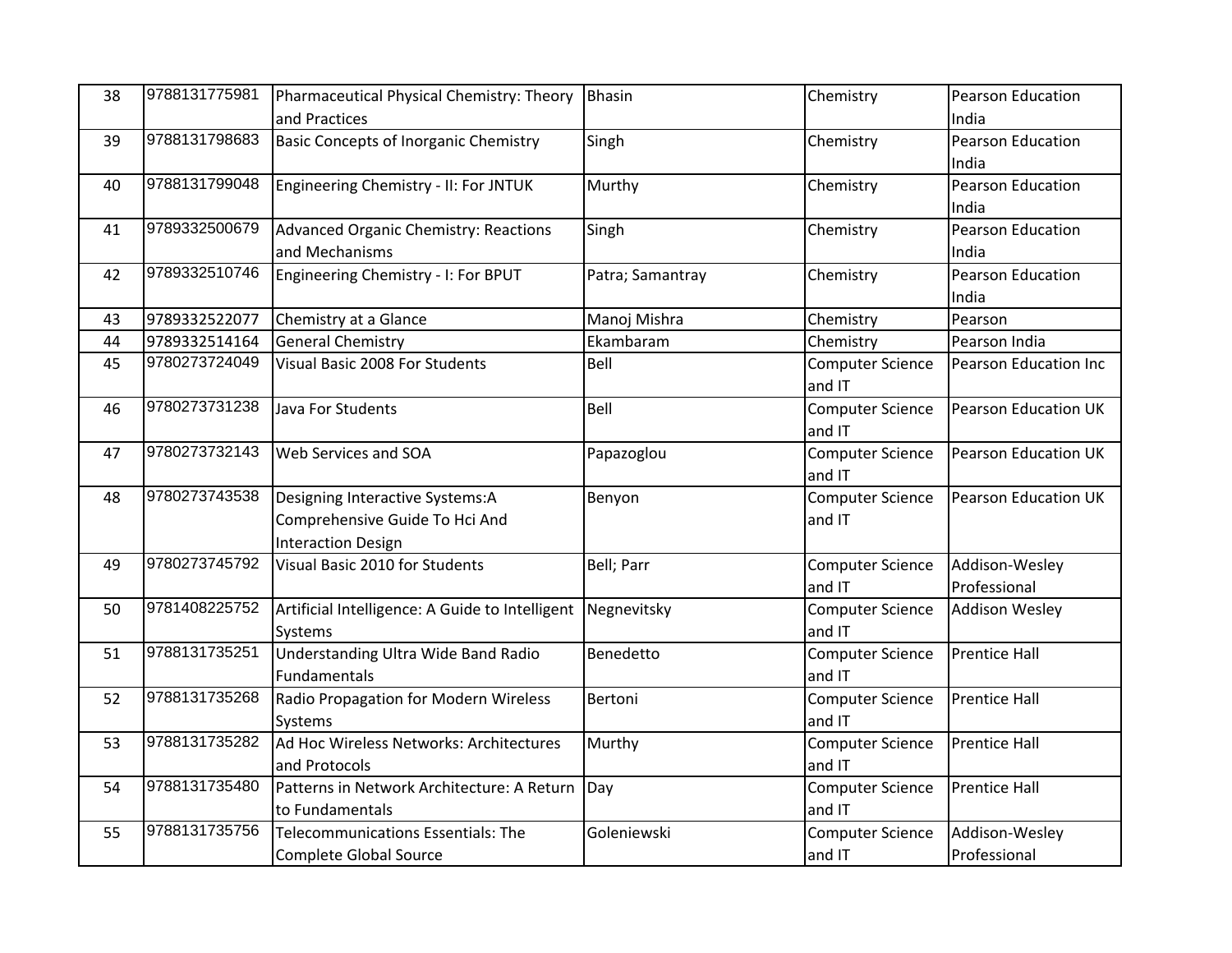| 38 | 9788131775981 | Pharmaceutical Physical Chemistry: Theory       | <b>Bhasin</b>    | Chemistry               | Pearson Education           |
|----|---------------|-------------------------------------------------|------------------|-------------------------|-----------------------------|
|    |               | and Practices                                   |                  |                         | India                       |
| 39 | 9788131798683 | Basic Concepts of Inorganic Chemistry           | Singh            | Chemistry               | Pearson Education           |
|    |               |                                                 |                  |                         | India                       |
| 40 | 9788131799048 | Engineering Chemistry - II: For JNTUK           | Murthy           | Chemistry               | Pearson Education           |
|    |               |                                                 |                  |                         | India                       |
| 41 | 9789332500679 | Advanced Organic Chemistry: Reactions           | Singh            | Chemistry               | Pearson Education           |
|    |               | and Mechanisms                                  |                  |                         | India                       |
| 42 | 9789332510746 | Engineering Chemistry - I: For BPUT             | Patra; Samantray | Chemistry               | Pearson Education           |
|    |               |                                                 |                  |                         | India                       |
| 43 | 9789332522077 | Chemistry at a Glance                           | Manoj Mishra     | Chemistry               | Pearson                     |
| 44 | 9789332514164 | <b>General Chemistry</b>                        | Ekambaram        | Chemistry               | Pearson India               |
| 45 | 9780273724049 | Visual Basic 2008 For Students                  | Bell             | <b>Computer Science</b> | Pearson Education Inc       |
|    |               |                                                 |                  | and IT                  |                             |
| 46 | 9780273731238 | Java For Students                               | Bell             | <b>Computer Science</b> | <b>Pearson Education UK</b> |
|    |               |                                                 |                  | and IT                  |                             |
| 47 | 9780273732143 | Web Services and SOA                            | Papazoglou       | <b>Computer Science</b> | <b>Pearson Education UK</b> |
|    |               |                                                 |                  | and IT                  |                             |
| 48 | 9780273743538 | Designing Interactive Systems:A                 | Benyon           | <b>Computer Science</b> | <b>Pearson Education UK</b> |
|    |               | Comprehensive Guide To Hci And                  |                  | and IT                  |                             |
|    |               | <b>Interaction Design</b>                       |                  |                         |                             |
| 49 | 9780273745792 | Visual Basic 2010 for Students                  | Bell; Parr       | <b>Computer Science</b> | Addison-Wesley              |
|    |               |                                                 |                  | and IT                  | Professional                |
| 50 | 9781408225752 | Artificial Intelligence: A Guide to Intelligent | Negnevitsky      | Computer Science        | Addison Wesley              |
|    |               | Systems                                         |                  | and IT                  |                             |
| 51 | 9788131735251 | Understanding Ultra Wide Band Radio             | Benedetto        | <b>Computer Science</b> | <b>Prentice Hall</b>        |
|    |               | Fundamentals                                    |                  | and IT                  |                             |
| 52 | 9788131735268 | Radio Propagation for Modern Wireless           | Bertoni          | <b>Computer Science</b> | <b>Prentice Hall</b>        |
|    |               | <b>Systems</b>                                  |                  | and IT                  |                             |
| 53 | 9788131735282 | Ad Hoc Wireless Networks: Architectures         | Murthy           | <b>Computer Science</b> | <b>Prentice Hall</b>        |
|    |               | and Protocols                                   |                  | and IT                  |                             |
| 54 | 9788131735480 | Patterns in Network Architecture: A Return      | Day              | <b>Computer Science</b> | <b>Prentice Hall</b>        |
|    |               | to Fundamentals                                 |                  | and IT                  |                             |
| 55 | 9788131735756 | Telecommunications Essentials: The              | Goleniewski      | <b>Computer Science</b> | Addison-Wesley              |
|    |               | Complete Global Source                          |                  | and IT                  | Professional                |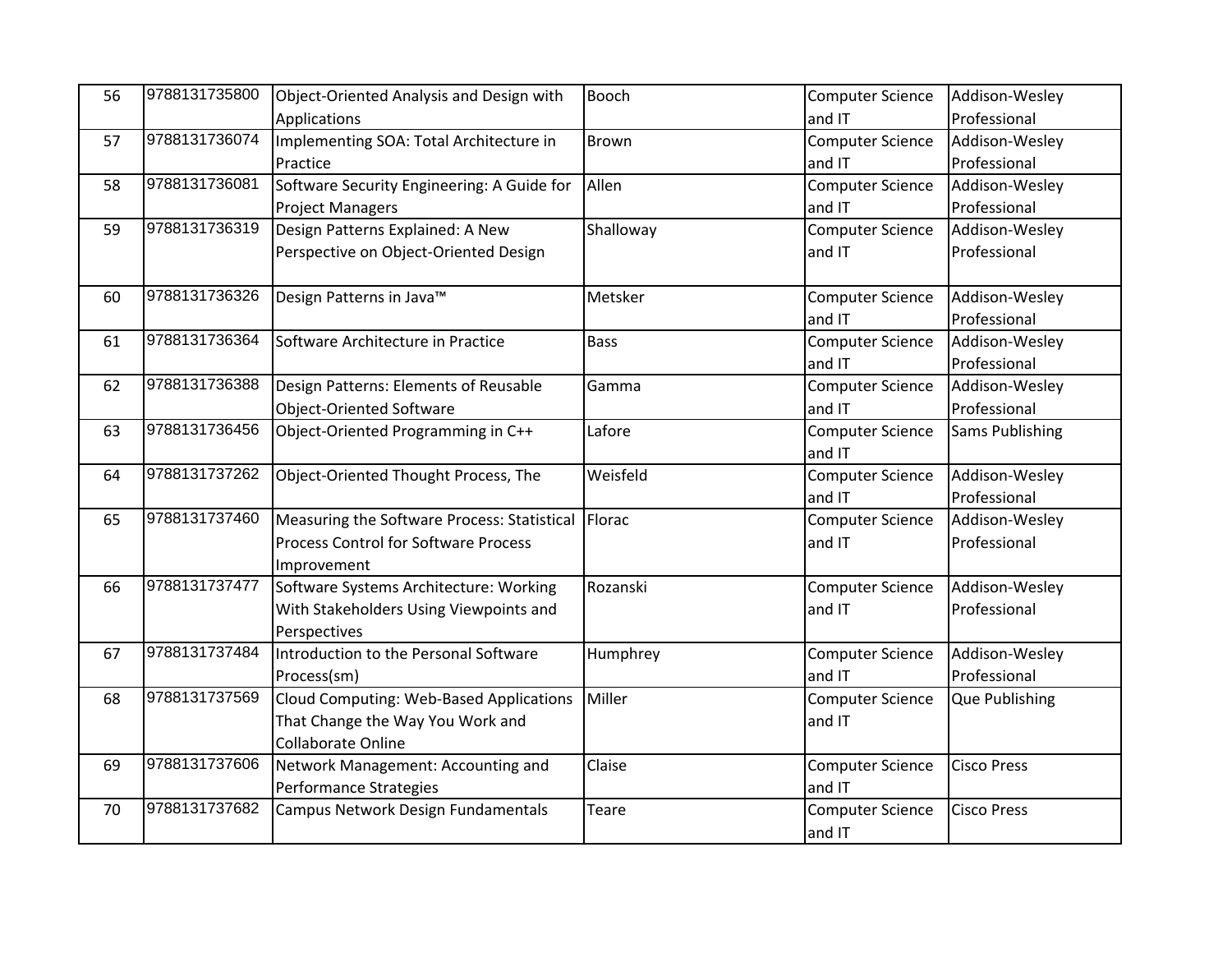| 56 | 9788131735800 | Object-Oriented Analysis and Design with           | <b>Booch</b> | <b>Computer Science</b> | Addison-Wesley         |
|----|---------------|----------------------------------------------------|--------------|-------------------------|------------------------|
|    |               | Applications                                       |              | and IT                  | Professional           |
| 57 | 9788131736074 | Implementing SOA: Total Architecture in            | Brown        | <b>Computer Science</b> | Addison-Wesley         |
|    |               | Practice                                           |              | and IT                  | Professional           |
| 58 | 9788131736081 | Software Security Engineering: A Guide for         | Allen        | <b>Computer Science</b> | Addison-Wesley         |
|    |               | <b>Project Managers</b>                            |              | and IT                  | Professional           |
| 59 | 9788131736319 | Design Patterns Explained: A New                   | Shalloway    | <b>Computer Science</b> | Addison-Wesley         |
|    |               | Perspective on Object-Oriented Design              |              | and IT                  | Professional           |
|    |               |                                                    |              |                         |                        |
| 60 | 9788131736326 | Design Patterns in Java™                           | Metsker      | <b>Computer Science</b> | Addison-Wesley         |
|    |               |                                                    |              | and IT                  | Professional           |
| 61 | 9788131736364 | Software Architecture in Practice                  | <b>Bass</b>  | <b>Computer Science</b> | Addison-Wesley         |
|    |               |                                                    |              | and IT                  | Professional           |
| 62 | 9788131736388 | Design Patterns: Elements of Reusable              | Gamma        | <b>Computer Science</b> | Addison-Wesley         |
|    |               | <b>Object-Oriented Software</b>                    |              | and IT                  | Professional           |
| 63 | 9788131736456 | Object-Oriented Programming in C++                 | Lafore       | <b>Computer Science</b> | <b>Sams Publishing</b> |
|    |               |                                                    |              | and IT                  |                        |
| 64 | 9788131737262 | Object-Oriented Thought Process, The               | Weisfeld     | <b>Computer Science</b> | Addison-Wesley         |
|    |               |                                                    |              | and IT                  | Professional           |
| 65 | 9788131737460 | Measuring the Software Process: Statistical Florac |              | <b>Computer Science</b> | Addison-Wesley         |
|    |               | Process Control for Software Process               |              | and IT                  | Professional           |
|    |               | Improvement                                        |              |                         |                        |
| 66 | 9788131737477 | Software Systems Architecture: Working             | Rozanski     | <b>Computer Science</b> | Addison-Wesley         |
|    |               | With Stakeholders Using Viewpoints and             |              | and IT                  | Professional           |
|    |               | Perspectives                                       |              |                         |                        |
| 67 | 9788131737484 | Introduction to the Personal Software              | Humphrey     | <b>Computer Science</b> | Addison-Wesley         |
|    |               | Process(sm)                                        |              | and IT                  | Professional           |
| 68 | 9788131737569 | Cloud Computing: Web-Based Applications            | Miller       | <b>Computer Science</b> | Que Publishing         |
|    |               | That Change the Way You Work and                   |              | and IT                  |                        |
|    |               | Collaborate Online                                 |              |                         |                        |
| 69 | 9788131737606 | Network Management: Accounting and                 | Claise       | <b>Computer Science</b> | <b>Cisco Press</b>     |
|    |               | Performance Strategies                             |              | and IT                  |                        |
| 70 | 9788131737682 | Campus Network Design Fundamentals                 | Teare        | <b>Computer Science</b> | <b>Cisco Press</b>     |
|    |               |                                                    |              | and IT                  |                        |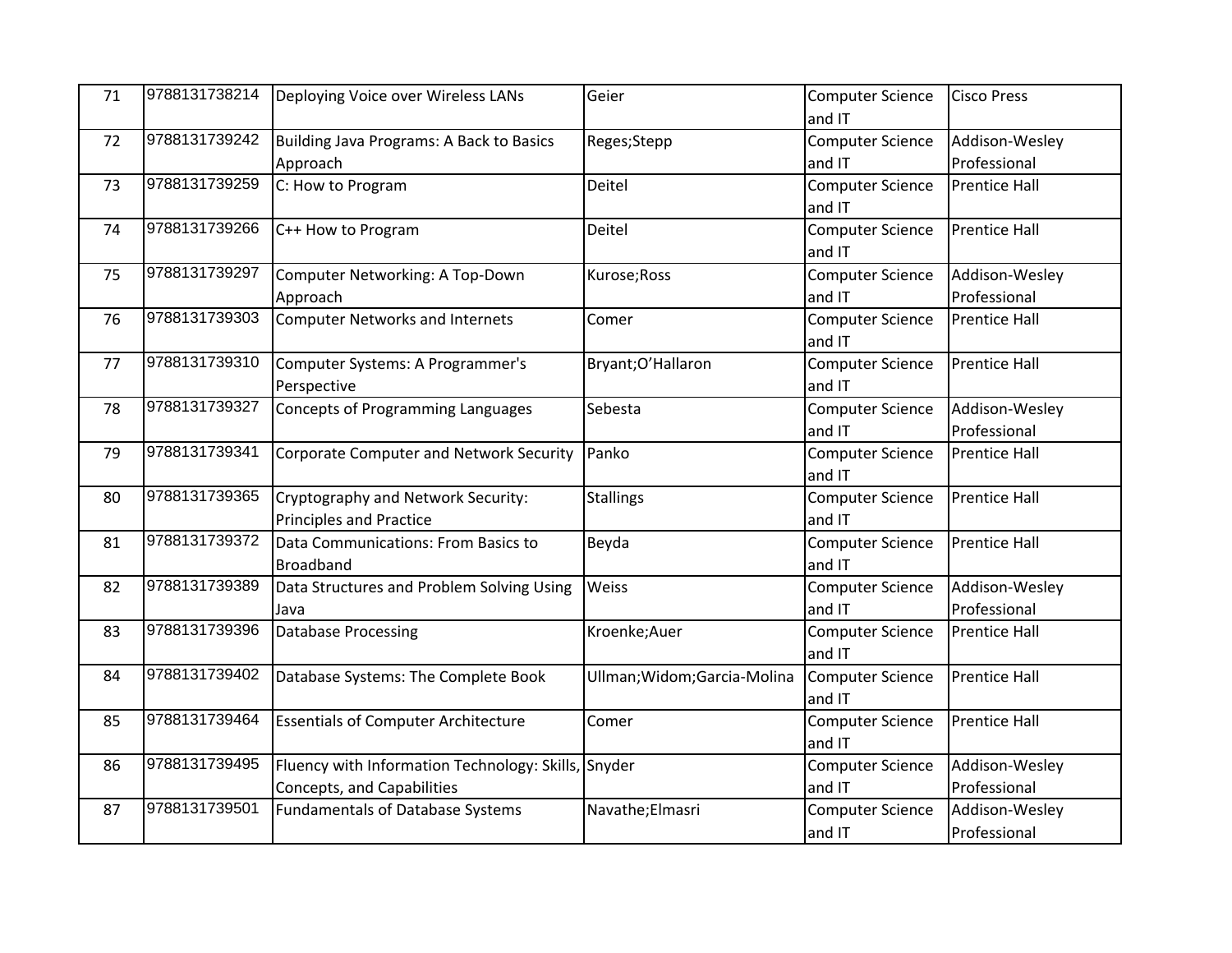| 71 | 9788131738214 | Deploying Voice over Wireless LANs                  | Geier                        | <b>Computer Science</b> | <b>Cisco Press</b>   |
|----|---------------|-----------------------------------------------------|------------------------------|-------------------------|----------------------|
|    |               |                                                     |                              | and IT                  |                      |
| 72 | 9788131739242 | Building Java Programs: A Back to Basics            | Reges;Stepp                  | <b>Computer Science</b> | Addison-Wesley       |
|    |               | Approach                                            |                              | and IT                  | Professional         |
| 73 | 9788131739259 | C: How to Program                                   | Deitel                       | <b>Computer Science</b> | <b>Prentice Hall</b> |
|    |               |                                                     |                              | and IT                  |                      |
| 74 | 9788131739266 | C++ How to Program                                  | Deitel                       | <b>Computer Science</b> | <b>Prentice Hall</b> |
|    |               |                                                     |                              | and IT                  |                      |
| 75 | 9788131739297 | Computer Networking: A Top-Down                     | Kurose; Ross                 | <b>Computer Science</b> | Addison-Wesley       |
|    |               | Approach                                            |                              | and IT                  | Professional         |
| 76 | 9788131739303 | Computer Networks and Internets                     | Comer                        | <b>Computer Science</b> | <b>Prentice Hall</b> |
|    |               |                                                     |                              | and IT                  |                      |
| 77 | 9788131739310 | Computer Systems: A Programmer's                    | Bryant;O'Hallaron            | <b>Computer Science</b> | <b>Prentice Hall</b> |
|    |               | Perspective                                         |                              | and IT                  |                      |
| 78 | 9788131739327 | Concepts of Programming Languages                   | Sebesta                      | <b>Computer Science</b> | Addison-Wesley       |
|    |               |                                                     |                              | and IT                  | Professional         |
| 79 | 9788131739341 | Corporate Computer and Network Security             | Panko                        | <b>Computer Science</b> | <b>Prentice Hall</b> |
|    |               |                                                     |                              | and IT                  |                      |
| 80 | 9788131739365 | Cryptography and Network Security:                  | <b>Stallings</b>             | <b>Computer Science</b> | <b>Prentice Hall</b> |
|    |               | <b>Principles and Practice</b>                      |                              | and IT                  |                      |
| 81 | 9788131739372 | Data Communications: From Basics to                 | Beyda                        | <b>Computer Science</b> | <b>Prentice Hall</b> |
|    |               | <b>Broadband</b>                                    |                              | and IT                  |                      |
| 82 | 9788131739389 | Data Structures and Problem Solving Using           | Weiss                        | <b>Computer Science</b> | Addison-Wesley       |
|    |               | Java                                                |                              | and IT                  | Professional         |
| 83 | 9788131739396 | <b>Database Processing</b>                          | Kroenke;Auer                 | <b>Computer Science</b> | <b>Prentice Hall</b> |
|    |               |                                                     |                              | and IT                  |                      |
| 84 | 9788131739402 | Database Systems: The Complete Book                 | Ullman; Widom; Garcia-Molina | <b>Computer Science</b> | <b>Prentice Hall</b> |
|    |               |                                                     |                              | and IT                  |                      |
| 85 | 9788131739464 | <b>Essentials of Computer Architecture</b>          | Comer                        | <b>Computer Science</b> | <b>Prentice Hall</b> |
|    |               |                                                     |                              | and IT                  |                      |
| 86 | 9788131739495 | Fluency with Information Technology: Skills, Snyder |                              | <b>Computer Science</b> | Addison-Wesley       |
|    |               | Concepts, and Capabilities                          |                              | and IT                  | Professional         |
| 87 | 9788131739501 | Fundamentals of Database Systems                    | Navathe;Elmasri              | <b>Computer Science</b> | Addison-Wesley       |
|    |               |                                                     |                              | and IT                  | Professional         |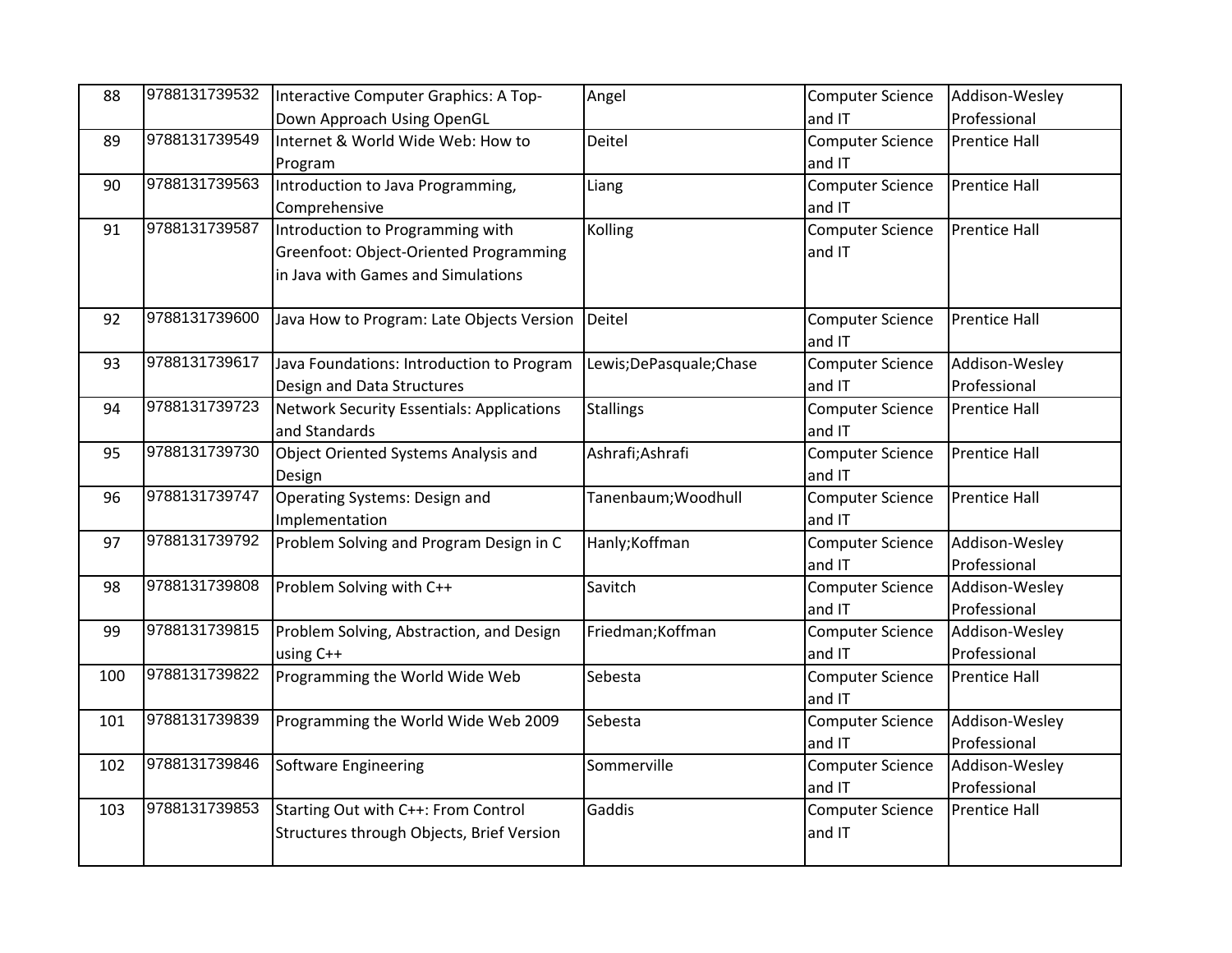| 88  | 9788131739532 | Interactive Computer Graphics: A Top-              | Angel                     | <b>Computer Science</b> | Addison-Wesley       |
|-----|---------------|----------------------------------------------------|---------------------------|-------------------------|----------------------|
|     |               | Down Approach Using OpenGL                         |                           | and IT                  | Professional         |
| 89  | 9788131739549 | Internet & World Wide Web: How to                  | Deitel                    | <b>Computer Science</b> | <b>Prentice Hall</b> |
|     |               | Program                                            |                           | and IT                  |                      |
| 90  | 9788131739563 | Introduction to Java Programming,                  | Liang                     | <b>Computer Science</b> | <b>Prentice Hall</b> |
|     |               | Comprehensive                                      |                           | and IT                  |                      |
| 91  | 9788131739587 | Introduction to Programming with                   | Kolling                   | <b>Computer Science</b> | <b>Prentice Hall</b> |
|     |               | Greenfoot: Object-Oriented Programming             |                           | and IT                  |                      |
|     |               | in Java with Games and Simulations                 |                           |                         |                      |
| 92  | 9788131739600 | Java How to Program: Late Objects Version   Deitel |                           | <b>Computer Science</b> | <b>Prentice Hall</b> |
|     |               |                                                    |                           | and IT                  |                      |
| 93  | 9788131739617 | Java Foundations: Introduction to Program          | Lewis; De Pasquale; Chase | <b>Computer Science</b> | Addison-Wesley       |
|     |               | Design and Data Structures                         |                           | and IT                  | Professional         |
| 94  | 9788131739723 | <b>Network Security Essentials: Applications</b>   | <b>Stallings</b>          | <b>Computer Science</b> | <b>Prentice Hall</b> |
|     |               | and Standards                                      |                           | and IT                  |                      |
| 95  | 9788131739730 | Object Oriented Systems Analysis and               | Ashrafi; Ashrafi          | <b>Computer Science</b> | <b>Prentice Hall</b> |
|     |               | Design                                             |                           | and IT                  |                      |
| 96  | 9788131739747 | Operating Systems: Design and                      | Tanenbaum; Woodhull       | <b>Computer Science</b> | <b>Prentice Hall</b> |
|     |               | Implementation                                     |                           | and IT                  |                      |
| 97  | 9788131739792 | Problem Solving and Program Design in C            | Hanly; Koffman            | Computer Science        | Addison-Wesley       |
|     |               |                                                    |                           | and IT                  | Professional         |
| 98  | 9788131739808 | Problem Solving with C++                           | Savitch                   | Computer Science        | Addison-Wesley       |
|     |               |                                                    |                           | and IT                  | Professional         |
| 99  | 9788131739815 | Problem Solving, Abstraction, and Design           | Friedman; Koffman         | <b>Computer Science</b> | Addison-Wesley       |
|     |               | using C++                                          |                           | and IT                  | Professional         |
| 100 | 9788131739822 | Programming the World Wide Web                     | Sebesta                   | <b>Computer Science</b> | <b>Prentice Hall</b> |
|     |               |                                                    |                           | and IT                  |                      |
| 101 | 9788131739839 | Programming the World Wide Web 2009                | Sebesta                   | <b>Computer Science</b> | Addison-Wesley       |
|     |               |                                                    |                           | and IT                  | Professional         |
| 102 | 9788131739846 | Software Engineering                               | Sommerville               | <b>Computer Science</b> | Addison-Wesley       |
|     |               |                                                    |                           | and IT                  | Professional         |
| 103 | 9788131739853 | Starting Out with C++: From Control                | Gaddis                    | <b>Computer Science</b> | <b>Prentice Hall</b> |
|     |               | Structures through Objects, Brief Version          |                           | and IT                  |                      |
|     |               |                                                    |                           |                         |                      |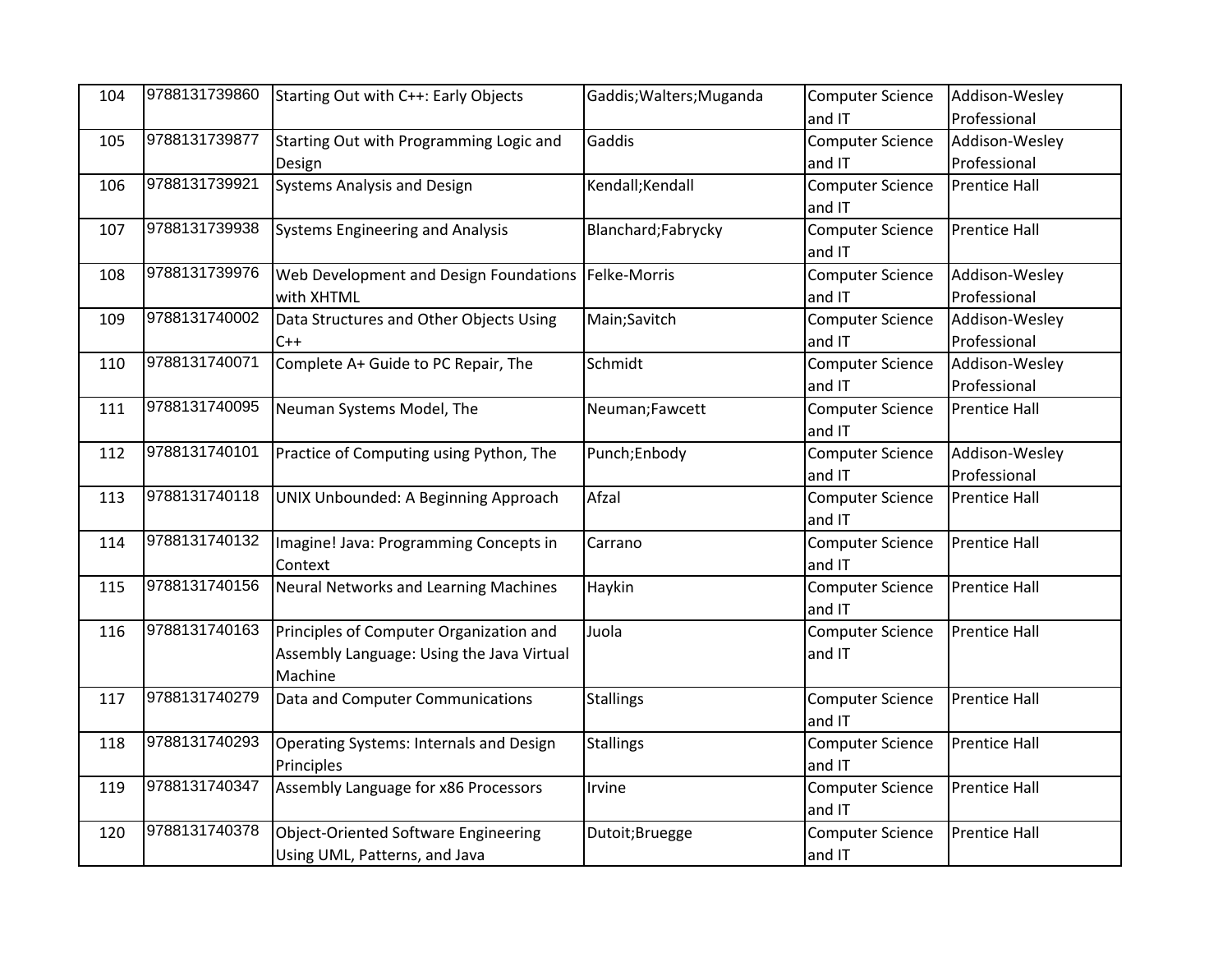| 104 | 9788131739860 | Starting Out with C++: Early Objects           | Gaddis; Walters; Muganda | <b>Computer Science</b> | Addison-Wesley       |
|-----|---------------|------------------------------------------------|--------------------------|-------------------------|----------------------|
|     |               |                                                |                          | and IT                  | Professional         |
| 105 | 9788131739877 | Starting Out with Programming Logic and        | Gaddis                   | <b>Computer Science</b> | Addison-Wesley       |
|     |               | Design                                         |                          | and IT                  | Professional         |
| 106 | 9788131739921 | <b>Systems Analysis and Design</b>             | Kendall; Kendall         | <b>Computer Science</b> | <b>Prentice Hall</b> |
|     |               |                                                |                          | and IT                  |                      |
| 107 | 9788131739938 | <b>Systems Engineering and Analysis</b>        | Blanchard;Fabrycky       | <b>Computer Science</b> | <b>Prentice Hall</b> |
|     |               |                                                |                          | and IT                  |                      |
| 108 | 9788131739976 | Web Development and Design Foundations         | Felke-Morris             | <b>Computer Science</b> | Addison-Wesley       |
|     |               | with XHTML                                     |                          | and IT                  | Professional         |
| 109 | 9788131740002 | Data Structures and Other Objects Using        | Main;Savitch             | Computer Science        | Addison-Wesley       |
|     |               | $C++$                                          |                          | and IT                  | Professional         |
| 110 | 9788131740071 | Complete A+ Guide to PC Repair, The            | Schmidt                  | <b>Computer Science</b> | Addison-Wesley       |
|     |               |                                                |                          | and IT                  | Professional         |
| 111 | 9788131740095 | Neuman Systems Model, The                      | Neuman;Fawcett           | <b>Computer Science</b> | <b>Prentice Hall</b> |
|     |               |                                                |                          | and IT                  |                      |
| 112 | 9788131740101 | Practice of Computing using Python, The        | Punch;Enbody             | Computer Science        | Addison-Wesley       |
|     |               |                                                |                          | and IT                  | Professional         |
| 113 | 9788131740118 | UNIX Unbounded: A Beginning Approach           | Afzal                    | <b>Computer Science</b> | <b>Prentice Hall</b> |
|     |               |                                                |                          | and IT                  |                      |
| 114 | 9788131740132 | Imagine! Java: Programming Concepts in         | Carrano                  | <b>Computer Science</b> | <b>Prentice Hall</b> |
|     |               | Context                                        |                          | and IT                  |                      |
| 115 | 9788131740156 | <b>Neural Networks and Learning Machines</b>   | Haykin                   | Computer Science        | <b>Prentice Hall</b> |
|     |               |                                                |                          | and IT                  |                      |
| 116 | 9788131740163 | Principles of Computer Organization and        | Juola                    | Computer Science        | <b>Prentice Hall</b> |
|     |               | Assembly Language: Using the Java Virtual      |                          | and IT                  |                      |
|     |               | Machine                                        |                          |                         |                      |
| 117 | 9788131740279 | Data and Computer Communications               | <b>Stallings</b>         | <b>Computer Science</b> | <b>Prentice Hall</b> |
|     |               |                                                |                          | and IT                  |                      |
| 118 | 9788131740293 | <b>Operating Systems: Internals and Design</b> | <b>Stallings</b>         | Computer Science        | <b>Prentice Hall</b> |
|     |               | Principles                                     |                          | and IT                  |                      |
| 119 | 9788131740347 | Assembly Language for x86 Processors           | Irvine                   | Computer Science        | <b>Prentice Hall</b> |
|     |               |                                                |                          | and IT                  |                      |
| 120 | 9788131740378 | <b>Object-Oriented Software Engineering</b>    | Dutoit;Bruegge           | <b>Computer Science</b> | <b>Prentice Hall</b> |
|     |               | Using UML, Patterns, and Java                  |                          | and IT                  |                      |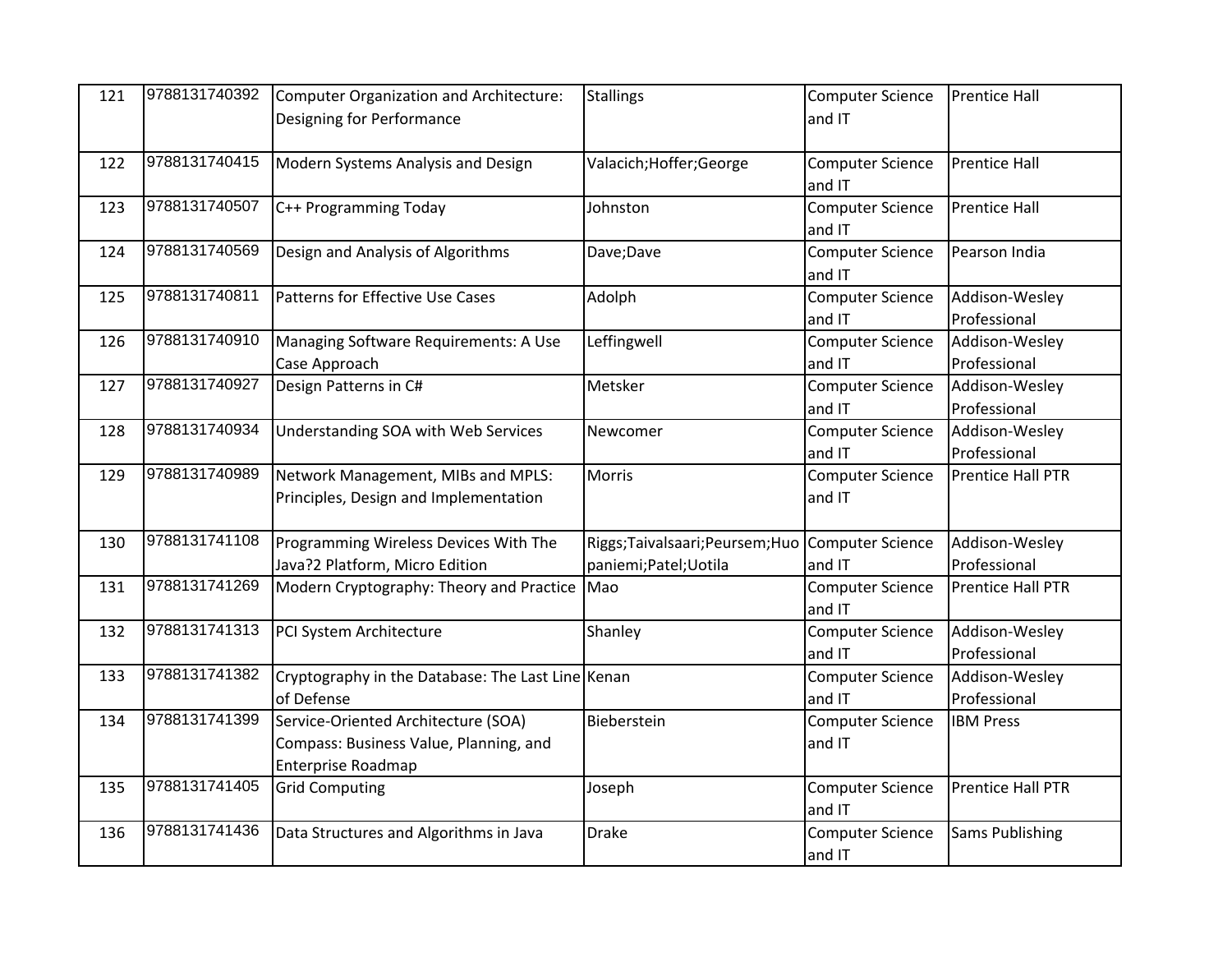| 121 | 9788131740392 | Computer Organization and Architecture:<br>Designing for Performance                                | <b>Stallings</b>                                                         | <b>Computer Science</b><br>and IT | <b>Prentice Hall</b>           |
|-----|---------------|-----------------------------------------------------------------------------------------------------|--------------------------------------------------------------------------|-----------------------------------|--------------------------------|
| 122 | 9788131740415 | Modern Systems Analysis and Design                                                                  | Valacich; Hoffer; George                                                 | <b>Computer Science</b><br>and IT | <b>Prentice Hall</b>           |
| 123 | 9788131740507 | C++ Programming Today                                                                               | Johnston                                                                 | <b>Computer Science</b><br>and IT | <b>Prentice Hall</b>           |
| 124 | 9788131740569 | Design and Analysis of Algorithms                                                                   | Dave; Dave                                                               | <b>Computer Science</b><br>and IT | Pearson India                  |
| 125 | 9788131740811 | Patterns for Effective Use Cases                                                                    | Adolph                                                                   | <b>Computer Science</b><br>and IT | Addison-Wesley<br>Professional |
| 126 | 9788131740910 | Managing Software Requirements: A Use<br>Case Approach                                              | Leffingwell                                                              | <b>Computer Science</b><br>and IT | Addison-Wesley<br>Professional |
| 127 | 9788131740927 | Design Patterns in C#                                                                               | Metsker                                                                  | <b>Computer Science</b><br>and IT | Addison-Wesley<br>Professional |
| 128 | 9788131740934 | Understanding SOA with Web Services                                                                 | Newcomer                                                                 | <b>Computer Science</b><br>and IT | Addison-Wesley<br>Professional |
| 129 | 9788131740989 | Network Management, MIBs and MPLS:<br>Principles, Design and Implementation                         | Morris                                                                   | <b>Computer Science</b><br>and IT | Prentice Hall PTR              |
| 130 | 9788131741108 | Programming Wireless Devices With The<br>Java?2 Platform, Micro Edition                             | Riggs;Taivalsaari;Peursem;Huo Computer Science<br>paniemi; Patel; Uotila | and IT                            | Addison-Wesley<br>Professional |
| 131 | 9788131741269 | Modern Cryptography: Theory and Practice                                                            | Mao                                                                      | <b>Computer Science</b><br>and IT | Prentice Hall PTR              |
| 132 | 9788131741313 | PCI System Architecture                                                                             | Shanley                                                                  | <b>Computer Science</b><br>and IT | Addison-Wesley<br>Professional |
| 133 | 9788131741382 | Cryptography in the Database: The Last Line Kenan<br>of Defense                                     |                                                                          | <b>Computer Science</b><br>and IT | Addison-Wesley<br>Professional |
| 134 | 9788131741399 | Service-Oriented Architecture (SOA)<br>Compass: Business Value, Planning, and<br>Enterprise Roadmap | Bieberstein                                                              | <b>Computer Science</b><br>and IT | <b>IBM Press</b>               |
| 135 | 9788131741405 | <b>Grid Computing</b>                                                                               | Joseph                                                                   | <b>Computer Science</b><br>and IT | Prentice Hall PTR              |
| 136 | 9788131741436 | Data Structures and Algorithms in Java                                                              | <b>Drake</b>                                                             | <b>Computer Science</b><br>and IT | <b>Sams Publishing</b>         |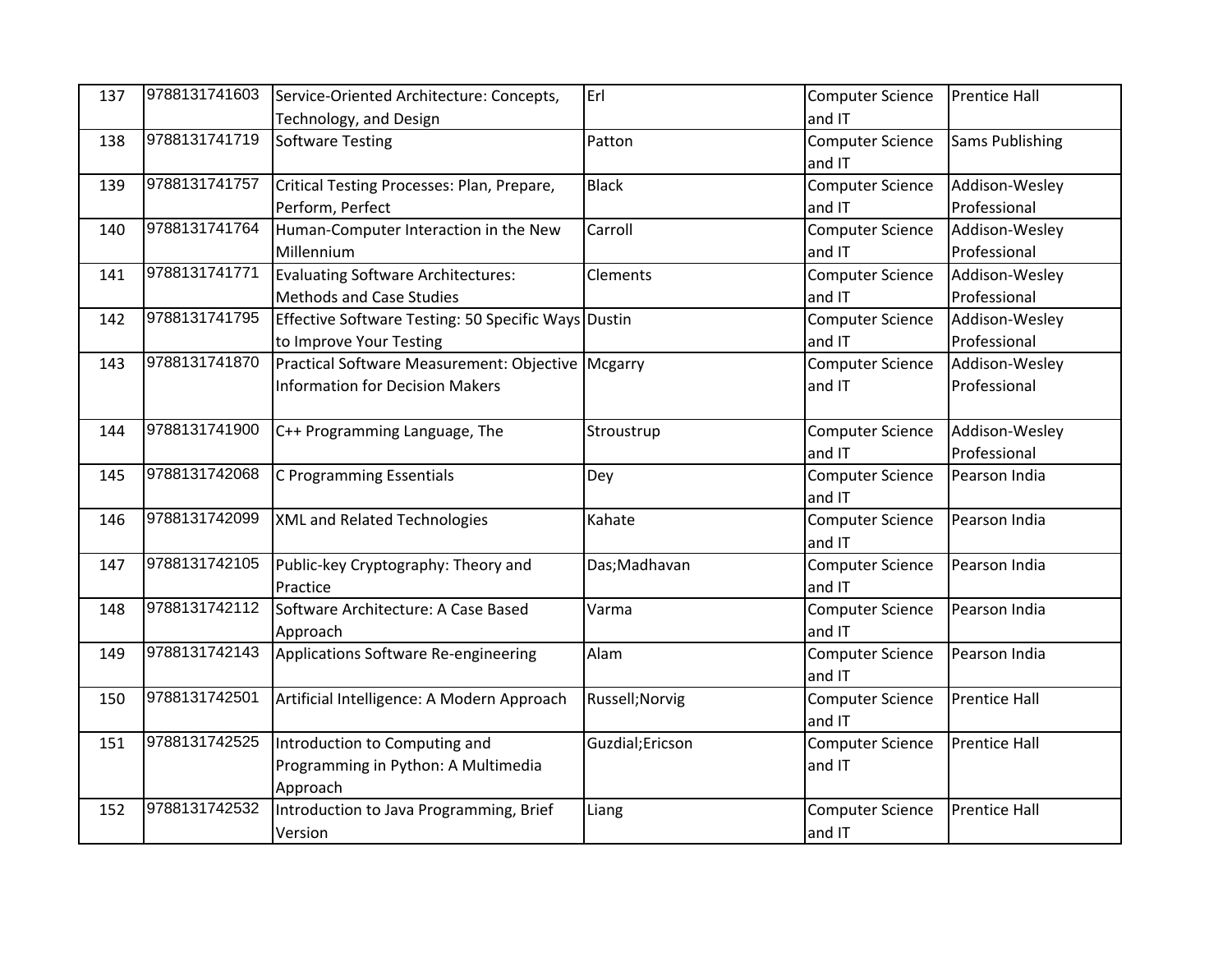| 137 | 9788131741603 | Service-Oriented Architecture: Concepts,            | Erl              | <b>Computer Science</b> | <b>Prentice Hall</b>   |
|-----|---------------|-----------------------------------------------------|------------------|-------------------------|------------------------|
|     |               | Technology, and Design                              |                  | and IT                  |                        |
| 138 | 9788131741719 | Software Testing                                    | Patton           | <b>Computer Science</b> | <b>Sams Publishing</b> |
|     |               |                                                     |                  | and IT                  |                        |
| 139 | 9788131741757 | Critical Testing Processes: Plan, Prepare,          | <b>Black</b>     | <b>Computer Science</b> | Addison-Wesley         |
|     |               | Perform, Perfect                                    |                  | and IT                  | Professional           |
| 140 | 9788131741764 | Human-Computer Interaction in the New               | Carroll          | <b>Computer Science</b> | Addison-Wesley         |
|     |               | Millennium                                          |                  | and IT                  | Professional           |
| 141 | 9788131741771 | Evaluating Software Architectures:                  | <b>Clements</b>  | <b>Computer Science</b> | Addison-Wesley         |
|     |               | <b>Methods and Case Studies</b>                     |                  | and IT                  | Professional           |
| 142 | 9788131741795 | Effective Software Testing: 50 Specific Ways Dustin |                  | <b>Computer Science</b> | Addison-Wesley         |
|     |               | to Improve Your Testing                             |                  | and IT                  | Professional           |
| 143 | 9788131741870 | Practical Software Measurement: Objective Mcgarry   |                  | <b>Computer Science</b> | Addison-Wesley         |
|     |               | <b>Information for Decision Makers</b>              |                  | and IT                  | Professional           |
|     |               |                                                     |                  |                         |                        |
| 144 | 9788131741900 | C++ Programming Language, The                       | Stroustrup       | <b>Computer Science</b> | Addison-Wesley         |
|     |               |                                                     |                  | and IT                  | Professional           |
| 145 | 9788131742068 | C Programming Essentials                            | Dey              | <b>Computer Science</b> | Pearson India          |
|     |               |                                                     |                  | and IT                  |                        |
| 146 | 9788131742099 | XML and Related Technologies                        | Kahate           | <b>Computer Science</b> | Pearson India          |
|     |               |                                                     |                  | and IT                  |                        |
| 147 | 9788131742105 | Public-key Cryptography: Theory and                 | Das; Madhavan    | Computer Science        | Pearson India          |
|     |               | Practice                                            |                  | and IT                  |                        |
| 148 | 9788131742112 | Software Architecture: A Case Based                 | Varma            | <b>Computer Science</b> | Pearson India          |
|     |               | Approach                                            |                  | and IT                  |                        |
| 149 | 9788131742143 | Applications Software Re-engineering                | Alam             | <b>Computer Science</b> | Pearson India          |
|     |               |                                                     |                  | and IT                  |                        |
| 150 | 9788131742501 | Artificial Intelligence: A Modern Approach          | Russell; Norvig  | <b>Computer Science</b> | <b>Prentice Hall</b>   |
|     |               |                                                     |                  | and IT                  |                        |
| 151 | 9788131742525 | Introduction to Computing and                       | Guzdial; Ericson | <b>Computer Science</b> | <b>Prentice Hall</b>   |
|     |               | Programming in Python: A Multimedia                 |                  | and IT                  |                        |
|     |               | Approach                                            |                  |                         |                        |
| 152 | 9788131742532 | Introduction to Java Programming, Brief             | Liang            | <b>Computer Science</b> | <b>Prentice Hall</b>   |
|     |               | Version                                             |                  | and IT                  |                        |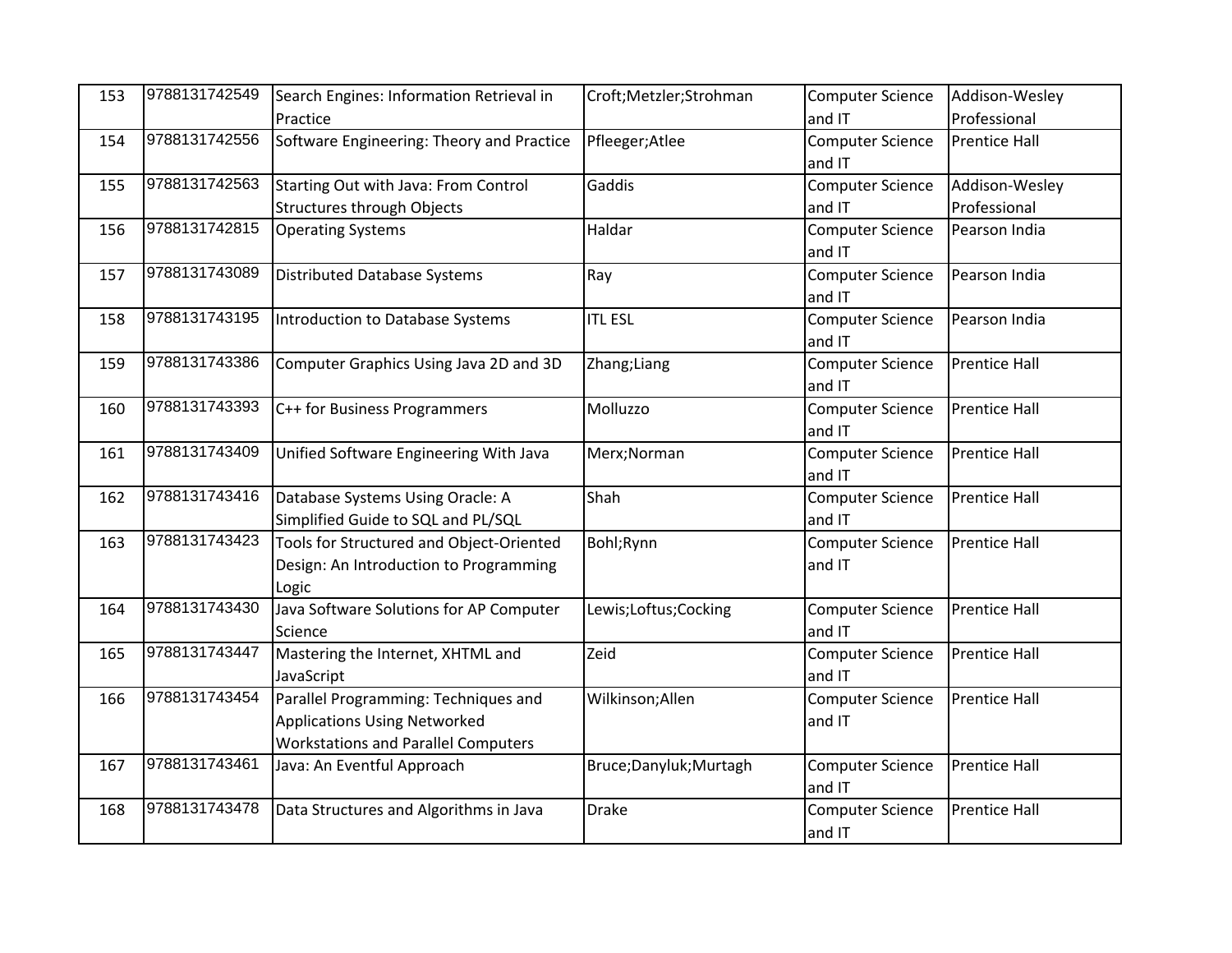| 153 | 9788131742549 | Search Engines: Information Retrieval in   | Croft;Metzler;Strohman | <b>Computer Science</b> | Addison-Wesley       |
|-----|---------------|--------------------------------------------|------------------------|-------------------------|----------------------|
|     |               | Practice                                   |                        | and IT                  | Professional         |
| 154 | 9788131742556 | Software Engineering: Theory and Practice  | Pfleeger; Atlee        | <b>Computer Science</b> | <b>Prentice Hall</b> |
|     |               |                                            |                        | and IT                  |                      |
| 155 | 9788131742563 | Starting Out with Java: From Control       | Gaddis                 | <b>Computer Science</b> | Addison-Wesley       |
|     |               | <b>Structures through Objects</b>          |                        | and IT                  | Professional         |
| 156 | 9788131742815 | <b>Operating Systems</b>                   | Haldar                 | <b>Computer Science</b> | Pearson India        |
|     |               |                                            |                        | and IT                  |                      |
| 157 | 9788131743089 | <b>Distributed Database Systems</b>        | Ray                    | <b>Computer Science</b> | Pearson India        |
|     |               |                                            |                        | and IT                  |                      |
| 158 | 9788131743195 | Introduction to Database Systems           | <b>ITL ESL</b>         | <b>Computer Science</b> | Pearson India        |
|     |               |                                            |                        | and IT                  |                      |
| 159 | 9788131743386 | Computer Graphics Using Java 2D and 3D     | Zhang; Liang           | <b>Computer Science</b> | <b>Prentice Hall</b> |
|     |               |                                            |                        | and IT                  |                      |
| 160 | 9788131743393 | C++ for Business Programmers               | Molluzzo               | <b>Computer Science</b> | <b>Prentice Hall</b> |
|     |               |                                            |                        | and IT                  |                      |
| 161 | 9788131743409 | Unified Software Engineering With Java     | Merx; Norman           | <b>Computer Science</b> | <b>Prentice Hall</b> |
|     |               |                                            |                        | and IT                  |                      |
| 162 | 9788131743416 | Database Systems Using Oracle: A           | Shah                   | <b>Computer Science</b> | <b>Prentice Hall</b> |
|     |               | Simplified Guide to SQL and PL/SQL         |                        | and IT                  |                      |
| 163 | 9788131743423 | Tools for Structured and Object-Oriented   | Bohl; Rynn             | <b>Computer Science</b> | <b>Prentice Hall</b> |
|     |               | Design: An Introduction to Programming     |                        | and IT                  |                      |
|     |               | Logic                                      |                        |                         |                      |
| 164 | 9788131743430 | Java Software Solutions for AP Computer    | Lewis;Loftus;Cocking   | <b>Computer Science</b> | <b>Prentice Hall</b> |
|     |               | Science                                    |                        | and IT                  |                      |
| 165 | 9788131743447 | Mastering the Internet, XHTML and          | Zeid                   | <b>Computer Science</b> | <b>Prentice Hall</b> |
|     |               | JavaScript                                 |                        | and IT                  |                      |
| 166 | 9788131743454 | Parallel Programming: Techniques and       | Wilkinson; Allen       | <b>Computer Science</b> | <b>Prentice Hall</b> |
|     |               | <b>Applications Using Networked</b>        |                        | and IT                  |                      |
|     |               | <b>Workstations and Parallel Computers</b> |                        |                         |                      |
| 167 | 9788131743461 | Java: An Eventful Approach                 | Bruce;Danyluk;Murtagh  | <b>Computer Science</b> | Prentice Hall        |
|     |               |                                            |                        | and IT                  |                      |
| 168 | 9788131743478 | Data Structures and Algorithms in Java     | <b>Drake</b>           | <b>Computer Science</b> | <b>Prentice Hall</b> |
|     |               |                                            |                        | and IT                  |                      |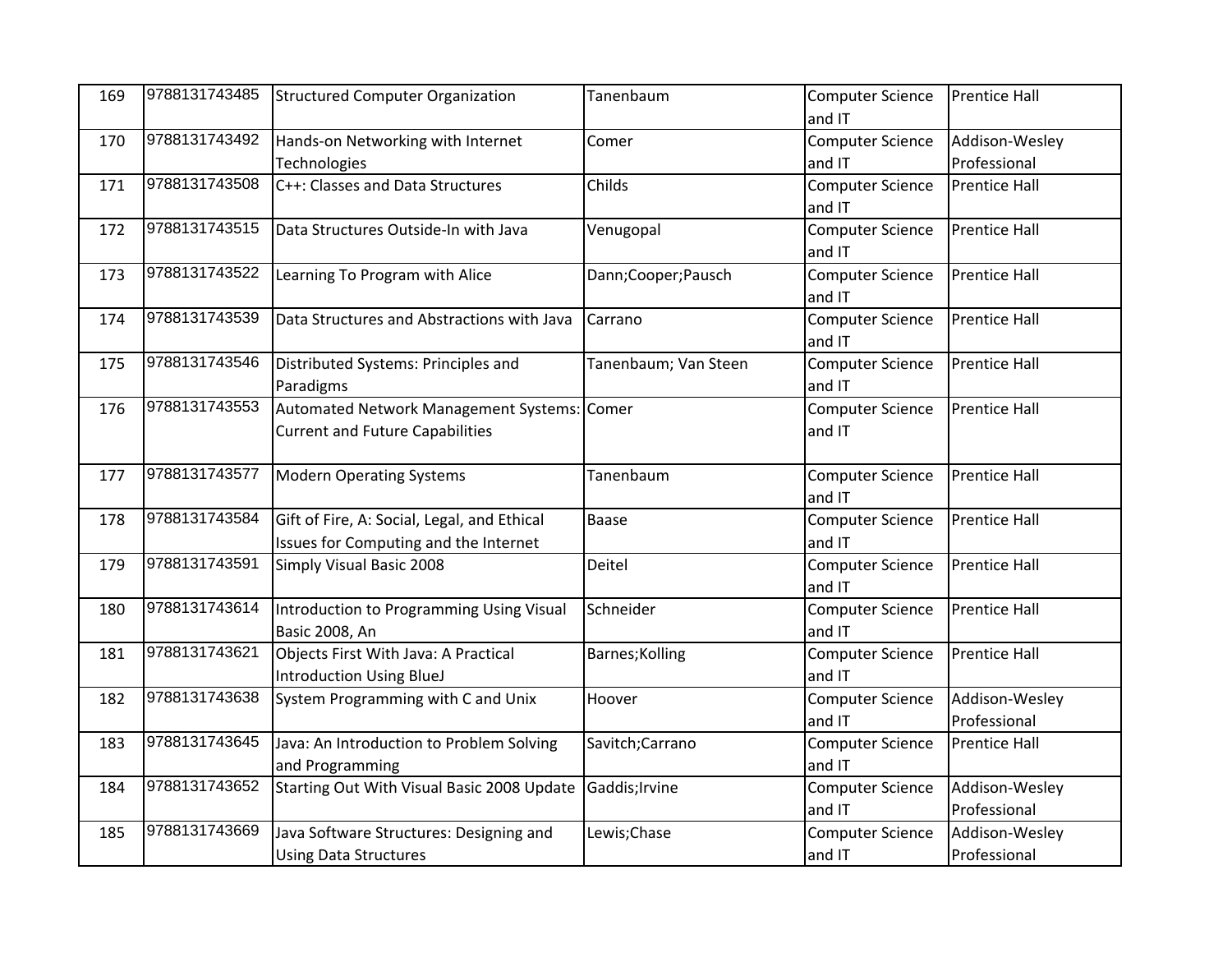| 169 | 9788131743485 | Structured Computer Organization            | Tanenbaum            | <b>Computer Science</b> | <b>Prentice Hall</b> |
|-----|---------------|---------------------------------------------|----------------------|-------------------------|----------------------|
|     |               |                                             |                      | and IT                  |                      |
| 170 | 9788131743492 | Hands-on Networking with Internet           | Comer                | Computer Science        | Addison-Wesley       |
|     |               | Technologies                                |                      | and IT                  | Professional         |
| 171 | 9788131743508 | C++: Classes and Data Structures            | Childs               | <b>Computer Science</b> | <b>Prentice Hall</b> |
|     |               |                                             |                      | and IT                  |                      |
| 172 | 9788131743515 | Data Structures Outside-In with Java        | Venugopal            | <b>Computer Science</b> | <b>Prentice Hall</b> |
|     |               |                                             |                      | and IT                  |                      |
| 173 | 9788131743522 | Learning To Program with Alice              | Dann;Cooper;Pausch   | <b>Computer Science</b> | <b>Prentice Hall</b> |
|     |               |                                             |                      | and IT                  |                      |
| 174 | 9788131743539 | Data Structures and Abstractions with Java  | Carrano              | <b>Computer Science</b> | <b>Prentice Hall</b> |
|     |               |                                             |                      | and IT                  |                      |
| 175 | 9788131743546 | Distributed Systems: Principles and         | Tanenbaum; Van Steen | <b>Computer Science</b> | <b>Prentice Hall</b> |
|     |               | Paradigms                                   |                      | and IT                  |                      |
| 176 | 9788131743553 | Automated Network Management Systems: Comer |                      | <b>Computer Science</b> | <b>Prentice Hall</b> |
|     |               | <b>Current and Future Capabilities</b>      |                      | and IT                  |                      |
|     |               |                                             |                      |                         |                      |
| 177 | 9788131743577 | <b>Modern Operating Systems</b>             | Tanenbaum            | <b>Computer Science</b> | <b>Prentice Hall</b> |
|     |               |                                             |                      | and IT                  |                      |
| 178 | 9788131743584 | Gift of Fire, A: Social, Legal, and Ethical | Baase                | <b>Computer Science</b> | <b>Prentice Hall</b> |
|     |               | Issues for Computing and the Internet       |                      | and IT                  |                      |
| 179 | 9788131743591 | Simply Visual Basic 2008                    | Deitel               | <b>Computer Science</b> | <b>Prentice Hall</b> |
|     |               |                                             |                      | and IT                  |                      |
| 180 | 9788131743614 | Introduction to Programming Using Visual    | Schneider            | <b>Computer Science</b> | <b>Prentice Hall</b> |
|     |               | <b>Basic 2008, An</b>                       |                      | and IT                  |                      |
| 181 | 9788131743621 | Objects First With Java: A Practical        | Barnes; Kolling      | <b>Computer Science</b> | <b>Prentice Hall</b> |
|     |               | Introduction Using BlueJ                    |                      | and IT                  |                      |
| 182 | 9788131743638 | System Programming with C and Unix          | Hoover               | <b>Computer Science</b> | Addison-Wesley       |
|     |               |                                             |                      | and IT                  | Professional         |
| 183 | 9788131743645 | Java: An Introduction to Problem Solving    | Savitch; Carrano     | <b>Computer Science</b> | <b>Prentice Hall</b> |
|     |               | and Programming                             |                      | and IT                  |                      |
| 184 | 9788131743652 | Starting Out With Visual Basic 2008 Update  | Gaddis; Irvine       | <b>Computer Science</b> | Addison-Wesley       |
|     |               |                                             |                      | and IT                  | Professional         |
| 185 | 9788131743669 | Java Software Structures: Designing and     | Lewis;Chase          | <b>Computer Science</b> | Addison-Wesley       |
|     |               | <b>Using Data Structures</b>                |                      | and IT                  | Professional         |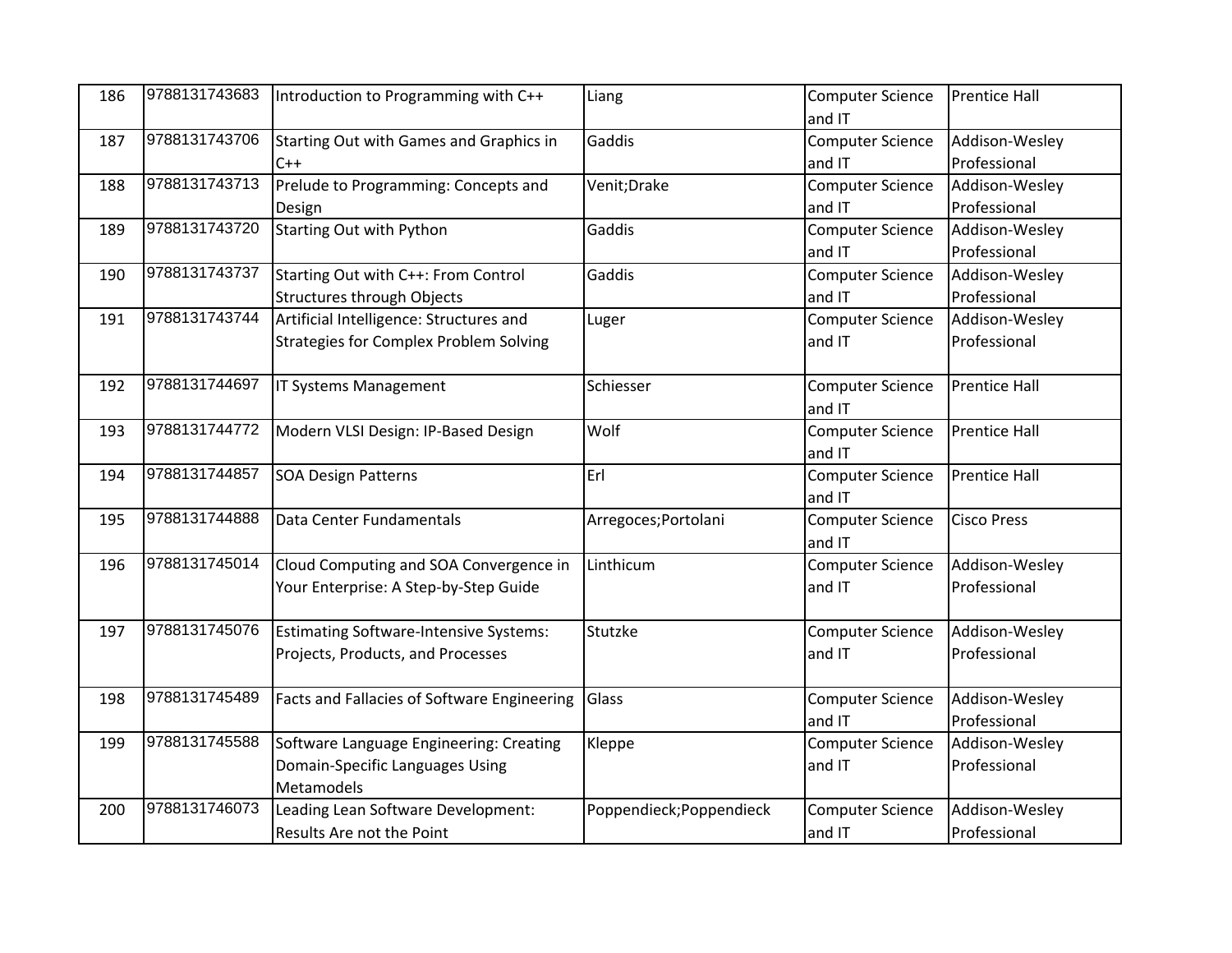| 186 | 9788131743683 | Introduction to Programming with C++          | Liang                    | <b>Computer Science</b> | <b>Prentice Hall</b> |
|-----|---------------|-----------------------------------------------|--------------------------|-------------------------|----------------------|
|     |               |                                               |                          | and IT                  |                      |
| 187 | 9788131743706 | Starting Out with Games and Graphics in       | Gaddis                   | <b>Computer Science</b> | Addison-Wesley       |
|     |               | $C++$                                         |                          | and IT                  | Professional         |
| 188 | 9788131743713 | Prelude to Programming: Concepts and          | Venit; Drake             | <b>Computer Science</b> | Addison-Wesley       |
|     |               | Design                                        |                          | and IT                  | Professional         |
| 189 | 9788131743720 | <b>Starting Out with Python</b>               | Gaddis                   | <b>Computer Science</b> | Addison-Wesley       |
|     |               |                                               |                          | and IT                  | Professional         |
| 190 | 9788131743737 | Starting Out with C++: From Control           | Gaddis                   | <b>Computer Science</b> | Addison-Wesley       |
|     |               | <b>Structures through Objects</b>             |                          | and IT                  | Professional         |
| 191 | 9788131743744 | Artificial Intelligence: Structures and       | Luger                    | <b>Computer Science</b> | Addison-Wesley       |
|     |               | <b>Strategies for Complex Problem Solving</b> |                          | and IT                  | Professional         |
|     |               |                                               |                          |                         |                      |
| 192 | 9788131744697 | IT Systems Management                         | Schiesser                | <b>Computer Science</b> | <b>Prentice Hall</b> |
|     |               |                                               |                          | and IT                  |                      |
| 193 | 9788131744772 | Modern VLSI Design: IP-Based Design           | Wolf                     | <b>Computer Science</b> | <b>Prentice Hall</b> |
|     |               |                                               |                          | and IT                  |                      |
| 194 | 9788131744857 | <b>SOA Design Patterns</b>                    | Erl                      | Computer Science        | <b>Prentice Hall</b> |
|     |               |                                               |                          | and IT                  |                      |
| 195 | 9788131744888 | Data Center Fundamentals                      | Arregoces; Portolani     | <b>Computer Science</b> | <b>Cisco Press</b>   |
|     |               |                                               |                          | and IT                  |                      |
| 196 | 9788131745014 | Cloud Computing and SOA Convergence in        | Linthicum                | Computer Science        | Addison-Wesley       |
|     |               | Your Enterprise: A Step-by-Step Guide         |                          | and IT                  | Professional         |
|     |               |                                               |                          |                         |                      |
| 197 | 9788131745076 | Estimating Software-Intensive Systems:        | Stutzke                  | <b>Computer Science</b> | Addison-Wesley       |
|     |               | Projects, Products, and Processes             |                          | and IT                  | Professional         |
|     |               |                                               |                          |                         |                      |
| 198 | 9788131745489 | Facts and Fallacies of Software Engineering   | Glass                    | <b>Computer Science</b> | Addison-Wesley       |
|     |               |                                               |                          | and IT                  | Professional         |
| 199 | 9788131745588 | Software Language Engineering: Creating       | Kleppe                   | <b>Computer Science</b> | Addison-Wesley       |
|     |               | Domain-Specific Languages Using               |                          | and IT                  | Professional         |
|     |               | Metamodels                                    |                          |                         |                      |
| 200 | 9788131746073 | Leading Lean Software Development:            | Poppendieck; Poppendieck | <b>Computer Science</b> | Addison-Wesley       |
|     |               | Results Are not the Point                     |                          | and IT                  | Professional         |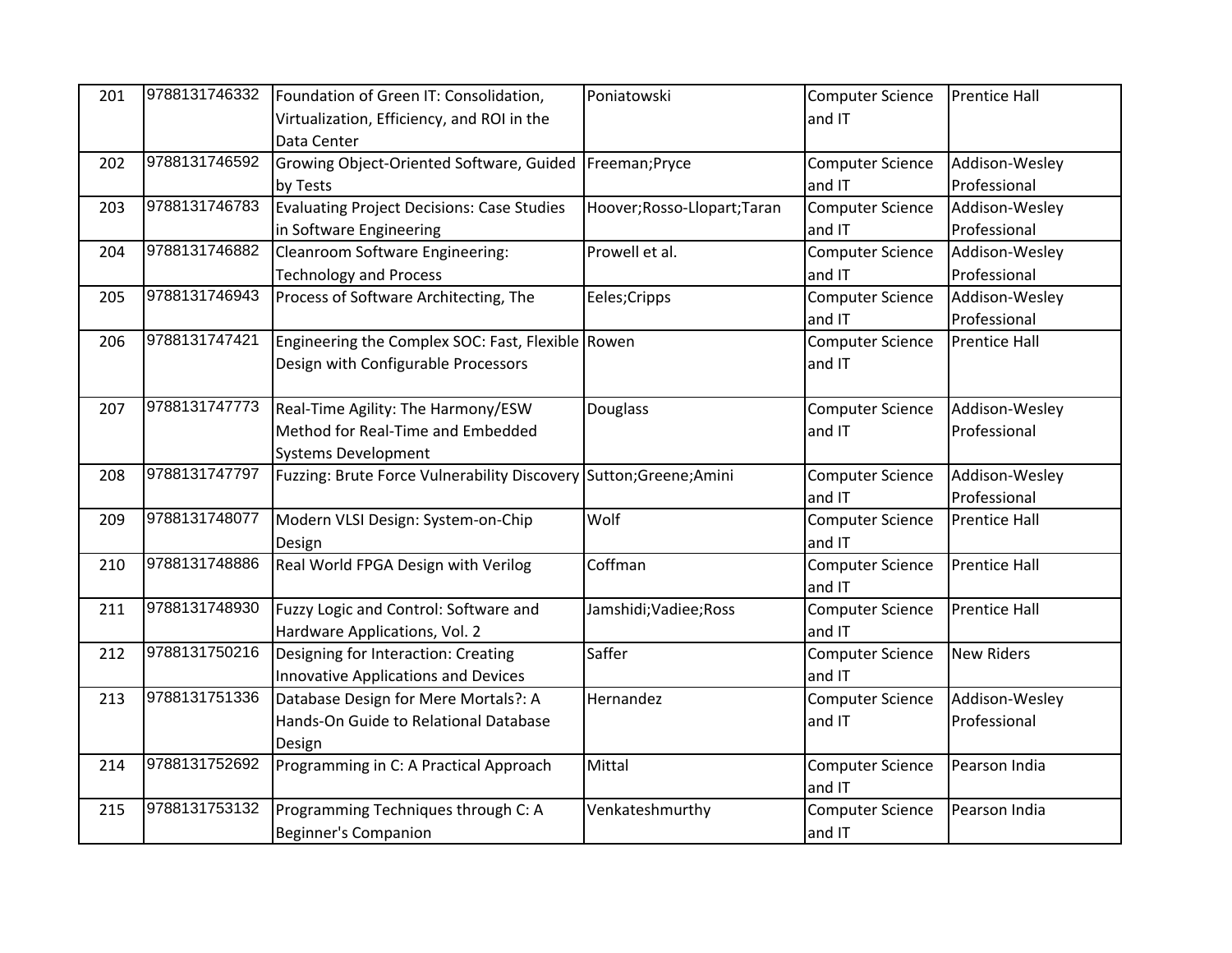| 201 | 9788131746332 | Foundation of Green IT: Consolidation,                             | Poniatowski                  | <b>Computer Science</b> | <b>Prentice Hall</b> |
|-----|---------------|--------------------------------------------------------------------|------------------------------|-------------------------|----------------------|
|     |               | Virtualization, Efficiency, and ROI in the                         |                              | and IT                  |                      |
|     |               | Data Center                                                        |                              |                         |                      |
| 202 | 9788131746592 | Growing Object-Oriented Software, Guided   Freeman; Pryce          |                              | <b>Computer Science</b> | Addison-Wesley       |
|     |               | by Tests                                                           |                              | and IT                  | Professional         |
| 203 | 9788131746783 | <b>Evaluating Project Decisions: Case Studies</b>                  | Hoover; Rosso-Llopart; Taran | <b>Computer Science</b> | Addison-Wesley       |
|     |               | in Software Engineering                                            |                              | and IT                  | Professional         |
| 204 | 9788131746882 | Cleanroom Software Engineering:                                    | Prowell et al.               | <b>Computer Science</b> | Addison-Wesley       |
|     |               | <b>Technology and Process</b>                                      |                              | and IT                  | Professional         |
| 205 | 9788131746943 | Process of Software Architecting, The                              | Eeles; Cripps                | <b>Computer Science</b> | Addison-Wesley       |
|     |               |                                                                    |                              | and IT                  | Professional         |
| 206 | 9788131747421 | Engineering the Complex SOC: Fast, Flexible Rowen                  |                              | <b>Computer Science</b> | <b>Prentice Hall</b> |
|     |               | Design with Configurable Processors                                |                              | and IT                  |                      |
|     |               |                                                                    |                              |                         |                      |
| 207 | 9788131747773 | Real-Time Agility: The Harmony/ESW                                 | Douglass                     | <b>Computer Science</b> | Addison-Wesley       |
|     |               | Method for Real-Time and Embedded                                  |                              | and IT                  | Professional         |
|     |               | <b>Systems Development</b>                                         |                              |                         |                      |
| 208 | 9788131747797 | Fuzzing: Brute Force Vulnerability Discovery Sutton; Greene; Amini |                              | <b>Computer Science</b> | Addison-Wesley       |
|     |               |                                                                    |                              | and IT                  | Professional         |
| 209 | 9788131748077 | Modern VLSI Design: System-on-Chip                                 | Wolf                         | <b>Computer Science</b> | <b>Prentice Hall</b> |
|     |               | Design                                                             |                              | and IT                  |                      |
| 210 | 9788131748886 | Real World FPGA Design with Verilog                                | Coffman                      | <b>Computer Science</b> | <b>Prentice Hall</b> |
|     |               |                                                                    |                              | and IT                  |                      |
| 211 | 9788131748930 | Fuzzy Logic and Control: Software and                              | Jamshidi; Vadiee; Ross       | <b>Computer Science</b> | <b>Prentice Hall</b> |
|     |               | Hardware Applications, Vol. 2                                      |                              | and IT                  |                      |
| 212 | 9788131750216 | Designing for Interaction: Creating                                | Saffer                       | <b>Computer Science</b> | <b>New Riders</b>    |
|     |               | Innovative Applications and Devices                                |                              | and IT                  |                      |
| 213 | 9788131751336 | Database Design for Mere Mortals?: A                               | Hernandez                    | <b>Computer Science</b> | Addison-Wesley       |
|     |               | Hands-On Guide to Relational Database                              |                              | and IT                  | Professional         |
|     |               | Design                                                             |                              |                         |                      |
| 214 | 9788131752692 | Programming in C: A Practical Approach                             | Mittal                       | <b>Computer Science</b> | Pearson India        |
|     |               |                                                                    |                              | and IT                  |                      |
| 215 | 9788131753132 | Programming Techniques through C: A                                | Venkateshmurthy              | <b>Computer Science</b> | Pearson India        |
|     |               | <b>Beginner's Companion</b>                                        |                              | and IT                  |                      |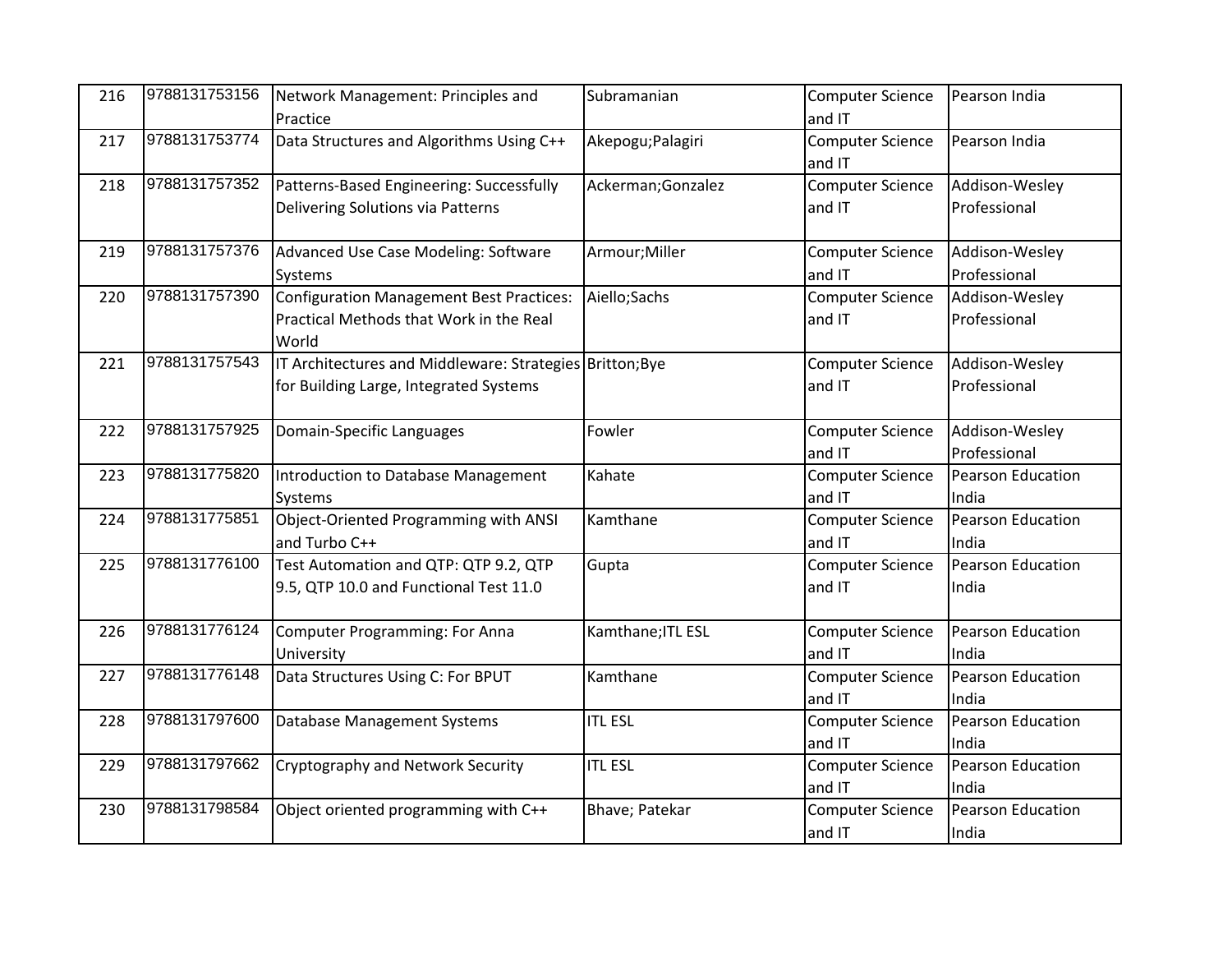| 216 | 9788131753156 | Network Management: Principles and                       | Subramanian        | <b>Computer Science</b> | Pearson India            |
|-----|---------------|----------------------------------------------------------|--------------------|-------------------------|--------------------------|
|     |               | Practice                                                 |                    | and IT                  |                          |
| 217 | 9788131753774 | Data Structures and Algorithms Using C++                 | Akepogu; Palagiri  | <b>Computer Science</b> | Pearson India            |
|     |               |                                                          |                    | and IT                  |                          |
| 218 | 9788131757352 | Patterns-Based Engineering: Successfully                 | Ackerman; Gonzalez | <b>Computer Science</b> | Addison-Wesley           |
|     |               | Delivering Solutions via Patterns                        |                    | and IT                  | Professional             |
|     |               |                                                          |                    |                         |                          |
| 219 | 9788131757376 | Advanced Use Case Modeling: Software                     | Armour; Miller     | <b>Computer Science</b> | Addison-Wesley           |
|     |               | Systems                                                  |                    | and IT                  | Professional             |
| 220 | 9788131757390 | Configuration Management Best Practices:                 | Aiello; Sachs      | <b>Computer Science</b> | Addison-Wesley           |
|     |               | Practical Methods that Work in the Real                  |                    | and IT                  | Professional             |
|     |               | World                                                    |                    |                         |                          |
| 221 | 9788131757543 | IT Architectures and Middleware: Strategies Britton; Bye |                    | <b>Computer Science</b> | Addison-Wesley           |
|     |               | for Building Large, Integrated Systems                   |                    | and IT                  | Professional             |
|     |               |                                                          |                    |                         |                          |
| 222 | 9788131757925 | Domain-Specific Languages                                | Fowler             | <b>Computer Science</b> | Addison-Wesley           |
|     |               |                                                          |                    | and IT                  | Professional             |
| 223 | 9788131775820 | Introduction to Database Management                      | Kahate             | <b>Computer Science</b> | <b>Pearson Education</b> |
|     |               | Systems                                                  |                    | and IT                  | India                    |
| 224 | 9788131775851 | Object-Oriented Programming with ANSI                    | Kamthane           | <b>Computer Science</b> | Pearson Education        |
|     |               | and Turbo C++                                            |                    | and IT                  | India                    |
| 225 | 9788131776100 | Test Automation and QTP: QTP 9.2, QTP                    | Gupta              | <b>Computer Science</b> | Pearson Education        |
|     |               | 9.5, QTP 10.0 and Functional Test 11.0                   |                    | and IT                  | India                    |
|     |               |                                                          |                    |                         |                          |
| 226 | 9788131776124 | <b>Computer Programming: For Anna</b>                    | Kamthane; ITL ESL  | <b>Computer Science</b> | Pearson Education        |
|     |               | University                                               |                    | and IT                  | India                    |
| 227 | 9788131776148 | Data Structures Using C: For BPUT                        | Kamthane           | <b>Computer Science</b> | Pearson Education        |
|     |               |                                                          |                    | and IT                  | India                    |
| 228 | 9788131797600 | Database Management Systems                              | <b>ITL ESL</b>     | <b>Computer Science</b> | Pearson Education        |
|     |               |                                                          |                    | and IT                  | India                    |
| 229 | 9788131797662 | Cryptography and Network Security                        | <b>ITL ESL</b>     | <b>Computer Science</b> | Pearson Education        |
|     |               |                                                          |                    | and IT                  | India                    |
| 230 | 9788131798584 | Object oriented programming with C++                     | Bhave; Patekar     | <b>Computer Science</b> | Pearson Education        |
|     |               |                                                          |                    | and IT                  | India                    |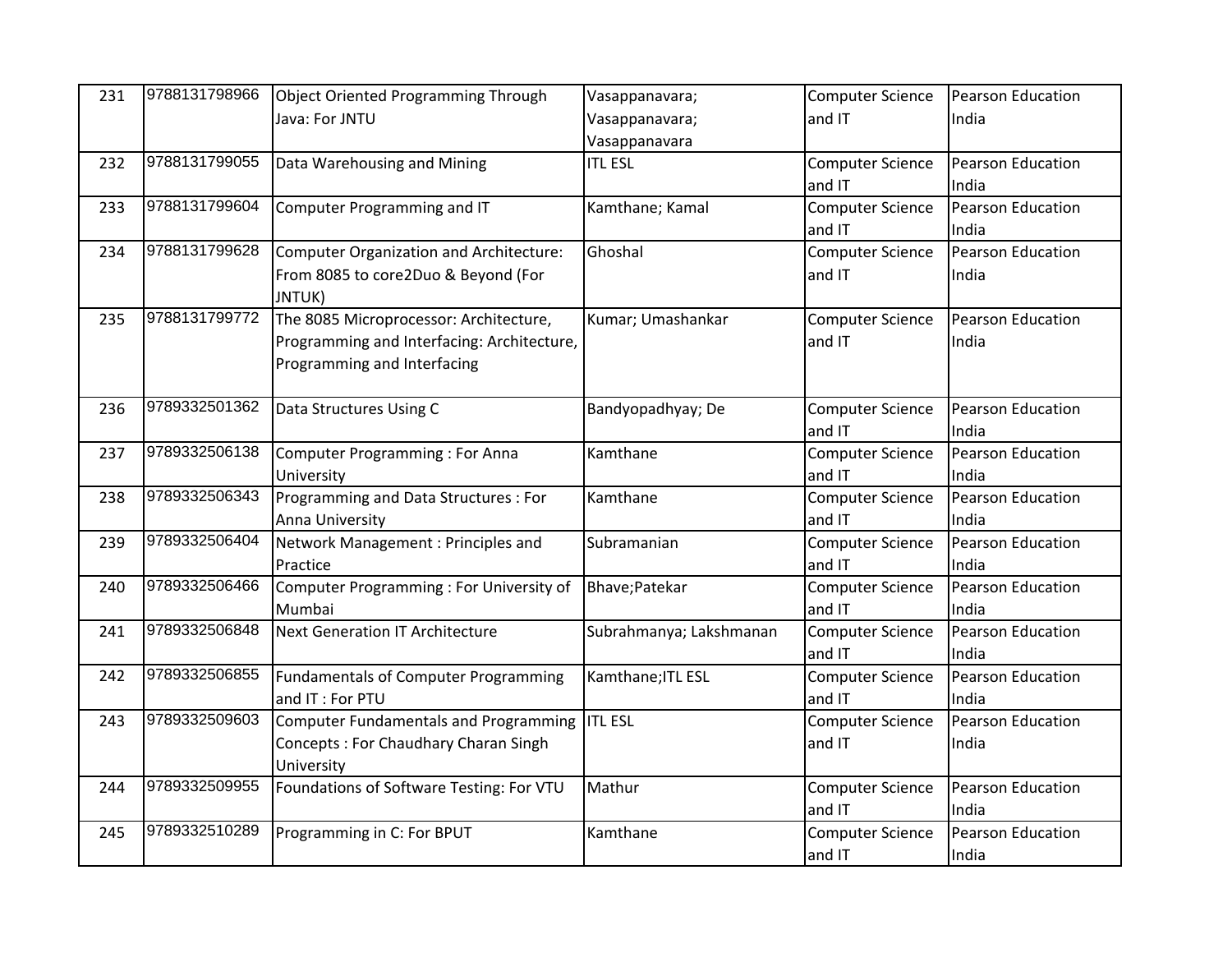| 231 | 9788131798966 | Object Oriented Programming Through         | Vasappanavara;          | <b>Computer Science</b> | <b>Pearson Education</b> |
|-----|---------------|---------------------------------------------|-------------------------|-------------------------|--------------------------|
|     |               | Java: For JNTU                              | Vasappanavara;          | and IT                  | India                    |
|     |               |                                             | Vasappanavara           |                         |                          |
| 232 | 9788131799055 | Data Warehousing and Mining                 | <b>ITL ESL</b>          | <b>Computer Science</b> | Pearson Education        |
|     |               |                                             |                         | and IT                  | India                    |
| 233 | 9788131799604 | Computer Programming and IT                 | Kamthane; Kamal         | <b>Computer Science</b> | Pearson Education        |
|     |               |                                             |                         | and IT                  | India                    |
| 234 | 9788131799628 | Computer Organization and Architecture:     | Ghoshal                 | <b>Computer Science</b> | <b>Pearson Education</b> |
|     |               | From 8085 to core2Duo & Beyond (For         |                         | and IT                  | India                    |
|     |               | JNTUK)                                      |                         |                         |                          |
| 235 | 9788131799772 | The 8085 Microprocessor: Architecture,      | Kumar; Umashankar       | <b>Computer Science</b> | <b>Pearson Education</b> |
|     |               | Programming and Interfacing: Architecture,  |                         | and IT                  | India                    |
|     |               | Programming and Interfacing                 |                         |                         |                          |
|     |               |                                             |                         |                         |                          |
| 236 | 9789332501362 | Data Structures Using C                     | Bandyopadhyay; De       | <b>Computer Science</b> | Pearson Education        |
|     |               |                                             |                         | and IT                  | India                    |
| 237 | 9789332506138 | Computer Programming: For Anna              | Kamthane                | <b>Computer Science</b> | Pearson Education        |
|     |               | University                                  |                         | and IT                  | India                    |
| 238 | 9789332506343 | Programming and Data Structures : For       | Kamthane                | <b>Computer Science</b> | Pearson Education        |
|     |               | Anna University                             |                         | and IT                  | India                    |
| 239 | 9789332506404 | Network Management : Principles and         | Subramanian             | <b>Computer Science</b> | Pearson Education        |
|     |               | Practice                                    |                         | and IT                  | India                    |
| 240 | 9789332506466 | Computer Programming: For University of     | Bhave; Patekar          | <b>Computer Science</b> | <b>Pearson Education</b> |
|     |               | Mumbai                                      |                         | and IT                  | India                    |
| 241 | 9789332506848 | <b>Next Generation IT Architecture</b>      | Subrahmanya; Lakshmanan | <b>Computer Science</b> | Pearson Education        |
|     |               |                                             |                         | and IT                  | India                    |
| 242 | 9789332506855 | <b>Fundamentals of Computer Programming</b> | Kamthane; ITL ESL       | <b>Computer Science</b> | Pearson Education        |
|     |               | and IT : For PTU                            |                         | and IT                  | India                    |
| 243 | 9789332509603 | Computer Fundamentals and Programming       | <b>ITL ESL</b>          | <b>Computer Science</b> | Pearson Education        |
|     |               | Concepts: For Chaudhary Charan Singh        |                         | and IT                  | India                    |
|     |               | University                                  |                         |                         |                          |
| 244 | 9789332509955 | Foundations of Software Testing: For VTU    | Mathur                  | <b>Computer Science</b> | Pearson Education        |
|     |               |                                             |                         | and IT                  | India                    |
| 245 | 9789332510289 | Programming in C: For BPUT                  | Kamthane                | <b>Computer Science</b> | Pearson Education        |
|     |               |                                             |                         | and IT                  | India                    |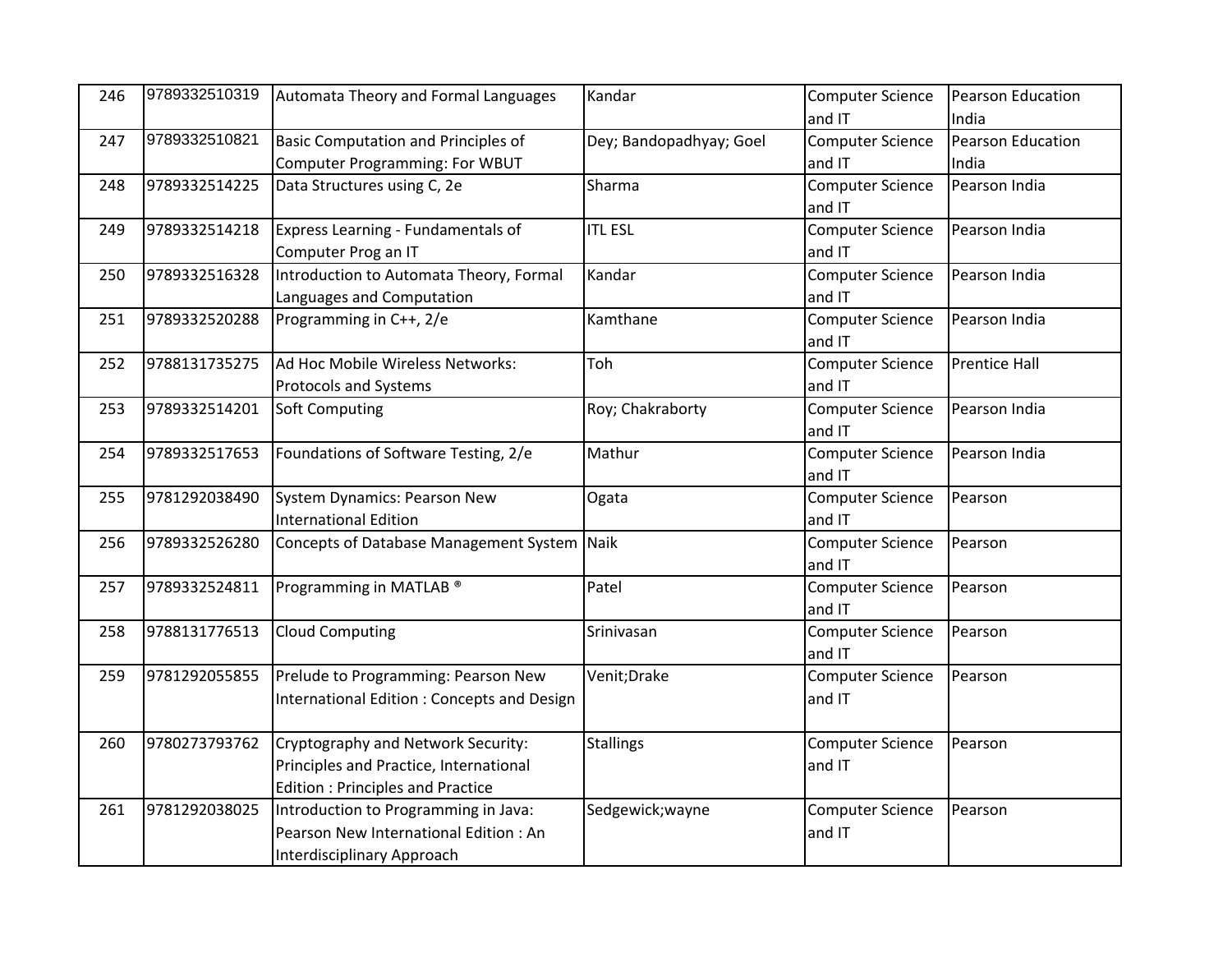| 246 | 9789332510319 | Automata Theory and Formal Languages        | Kandar                  | <b>Computer Science</b> | Pearson Education    |
|-----|---------------|---------------------------------------------|-------------------------|-------------------------|----------------------|
|     |               |                                             |                         | and IT                  | India                |
| 247 | 9789332510821 | Basic Computation and Principles of         | Dey; Bandopadhyay; Goel | <b>Computer Science</b> | Pearson Education    |
|     |               | Computer Programming: For WBUT              |                         | and IT                  | India                |
| 248 | 9789332514225 | Data Structures using C, 2e                 | Sharma                  | <b>Computer Science</b> | Pearson India        |
|     |               |                                             |                         | and IT                  |                      |
| 249 | 9789332514218 | Express Learning - Fundamentals of          | <b>ITL ESL</b>          | <b>Computer Science</b> | Pearson India        |
|     |               | Computer Prog an IT                         |                         | and IT                  |                      |
| 250 | 9789332516328 | Introduction to Automata Theory, Formal     | Kandar                  | <b>Computer Science</b> | Pearson India        |
|     |               | Languages and Computation                   |                         | and IT                  |                      |
| 251 | 9789332520288 | Programming in C++, 2/e                     | Kamthane                | <b>Computer Science</b> | Pearson India        |
|     |               |                                             |                         | and IT                  |                      |
| 252 | 9788131735275 | Ad Hoc Mobile Wireless Networks:            | Toh                     | <b>Computer Science</b> | <b>Prentice Hall</b> |
|     |               | <b>Protocols and Systems</b>                |                         | and IT                  |                      |
| 253 | 9789332514201 | Soft Computing                              | Roy; Chakraborty        | <b>Computer Science</b> | Pearson India        |
|     |               |                                             |                         | and IT                  |                      |
| 254 | 9789332517653 | Foundations of Software Testing, 2/e        | Mathur                  | <b>Computer Science</b> | Pearson India        |
|     |               |                                             |                         | and IT                  |                      |
| 255 | 9781292038490 | System Dynamics: Pearson New                | Ogata                   | <b>Computer Science</b> | Pearson              |
|     |               | <b>International Edition</b>                |                         | and IT                  |                      |
| 256 | 9789332526280 | Concepts of Database Management System Naik |                         | <b>Computer Science</b> | Pearson              |
|     |               |                                             |                         | and IT                  |                      |
| 257 | 9789332524811 | Programming in MATLAB <sup>®</sup>          | Patel                   | <b>Computer Science</b> | Pearson              |
|     |               |                                             |                         | and IT                  |                      |
| 258 | 9788131776513 | <b>Cloud Computing</b>                      | Srinivasan              | <b>Computer Science</b> | Pearson              |
|     |               |                                             |                         | and IT                  |                      |
| 259 | 9781292055855 | Prelude to Programming: Pearson New         | Venit; Drake            | <b>Computer Science</b> | Pearson              |
|     |               | International Edition: Concepts and Design  |                         | and IT                  |                      |
|     |               |                                             |                         |                         |                      |
| 260 | 9780273793762 | Cryptography and Network Security:          | <b>Stallings</b>        | <b>Computer Science</b> | Pearson              |
|     |               | Principles and Practice, International      |                         | and IT                  |                      |
|     |               | <b>Edition: Principles and Practice</b>     |                         |                         |                      |
| 261 | 9781292038025 | Introduction to Programming in Java:        | Sedgewick; wayne        | <b>Computer Science</b> | Pearson              |
|     |               | Pearson New International Edition: An       |                         | and IT                  |                      |
|     |               | Interdisciplinary Approach                  |                         |                         |                      |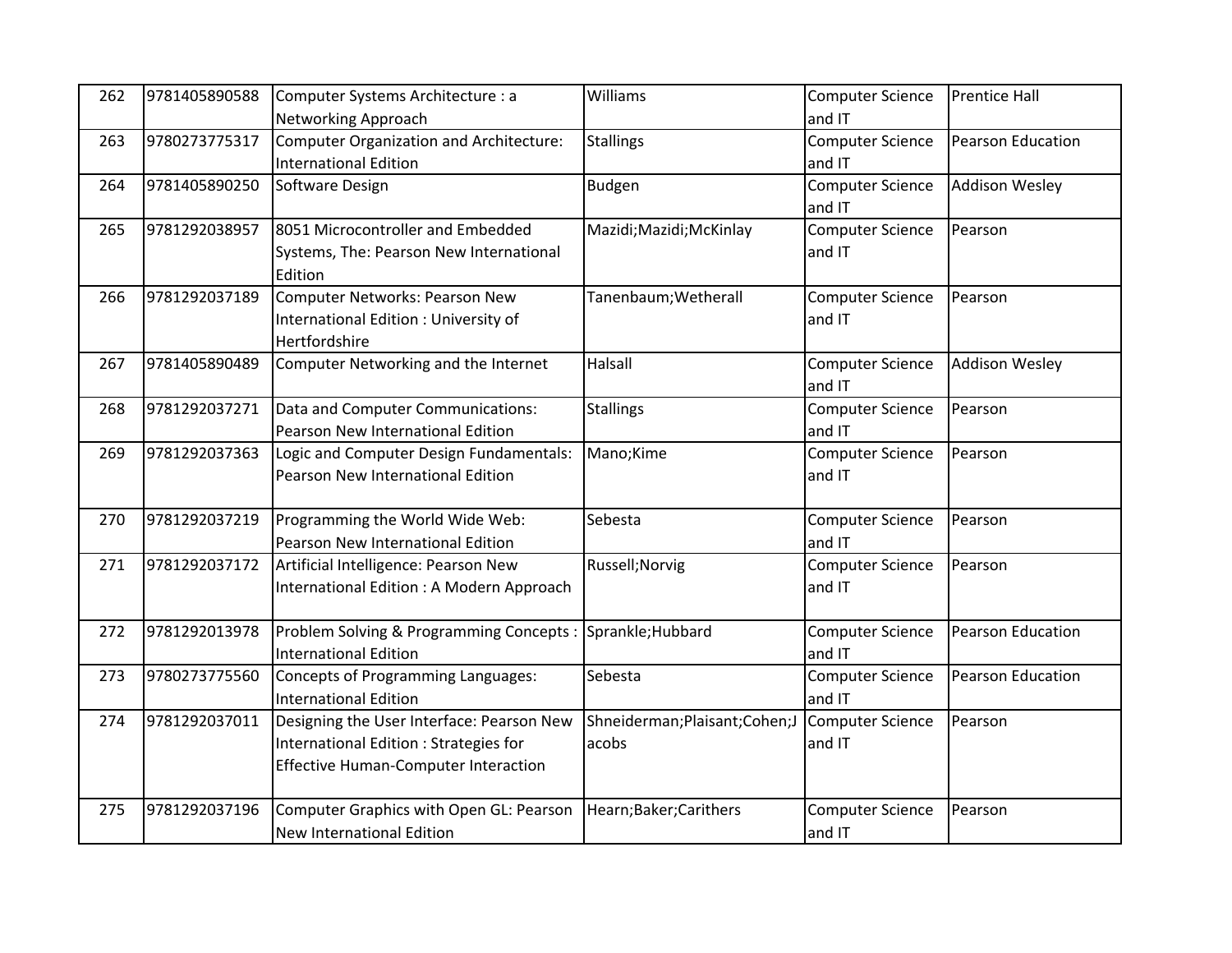| 262 | 9781405890588 | Computer Systems Architecture : a                         | Williams                        | <b>Computer Science</b> | <b>Prentice Hall</b>  |
|-----|---------------|-----------------------------------------------------------|---------------------------------|-------------------------|-----------------------|
|     |               | Networking Approach                                       |                                 | and IT                  |                       |
| 263 | 9780273775317 | Computer Organization and Architecture:                   | <b>Stallings</b>                | <b>Computer Science</b> | Pearson Education     |
|     |               | <b>International Edition</b>                              |                                 | and IT                  |                       |
| 264 | 9781405890250 | Software Design                                           | Budgen                          | <b>Computer Science</b> | <b>Addison Wesley</b> |
|     |               |                                                           |                                 | and IT                  |                       |
| 265 | 9781292038957 | 8051 Microcontroller and Embedded                         | Mazidi; Mazidi; McKinlay        | <b>Computer Science</b> | Pearson               |
|     |               | Systems, The: Pearson New International                   |                                 | and IT                  |                       |
|     |               | Edition                                                   |                                 |                         |                       |
| 266 | 9781292037189 | Computer Networks: Pearson New                            | Tanenbaum; Wetherall            | <b>Computer Science</b> | Pearson               |
|     |               | International Edition : University of                     |                                 | and IT                  |                       |
|     |               | Hertfordshire                                             |                                 |                         |                       |
| 267 | 9781405890489 | Computer Networking and the Internet                      | Halsall                         | <b>Computer Science</b> | <b>Addison Wesley</b> |
|     |               |                                                           |                                 | and IT                  |                       |
| 268 | 9781292037271 | Data and Computer Communications:                         | <b>Stallings</b>                | <b>Computer Science</b> | Pearson               |
|     |               | Pearson New International Edition                         |                                 | and IT                  |                       |
| 269 | 9781292037363 | Logic and Computer Design Fundamentals:                   | Mano;Kime                       | <b>Computer Science</b> | Pearson               |
|     |               | Pearson New International Edition                         |                                 | and IT                  |                       |
|     |               |                                                           |                                 |                         |                       |
| 270 | 9781292037219 | Programming the World Wide Web:                           | Sebesta                         | <b>Computer Science</b> | Pearson               |
|     |               | Pearson New International Edition                         |                                 | and IT                  |                       |
| 271 | 9781292037172 | Artificial Intelligence: Pearson New                      | Russell; Norvig                 | <b>Computer Science</b> | Pearson               |
|     |               | International Edition: A Modern Approach                  |                                 | and IT                  |                       |
|     |               |                                                           |                                 |                         |                       |
| 272 | 9781292013978 | Problem Solving & Programming Concepts: Sprankle; Hubbard |                                 | <b>Computer Science</b> | Pearson Education     |
|     |               | <b>International Edition</b>                              |                                 | and IT                  |                       |
| 273 | 9780273775560 | Concepts of Programming Languages:                        | Sebesta                         | <b>Computer Science</b> | Pearson Education     |
|     |               | <b>International Edition</b>                              |                                 | and IT                  |                       |
| 274 | 9781292037011 | Designing the User Interface: Pearson New                 | Shneiderman; Plaisant; Cohen; J | Computer Science        | Pearson               |
|     |               | International Edition : Strategies for                    | acobs                           | and IT                  |                       |
|     |               | <b>Effective Human-Computer Interaction</b>               |                                 |                         |                       |
|     |               |                                                           |                                 |                         |                       |
| 275 | 9781292037196 | Computer Graphics with Open GL: Pearson                   | Hearn;Baker;Carithers           | <b>Computer Science</b> | Pearson               |
|     |               | <b>New International Edition</b>                          |                                 | and IT                  |                       |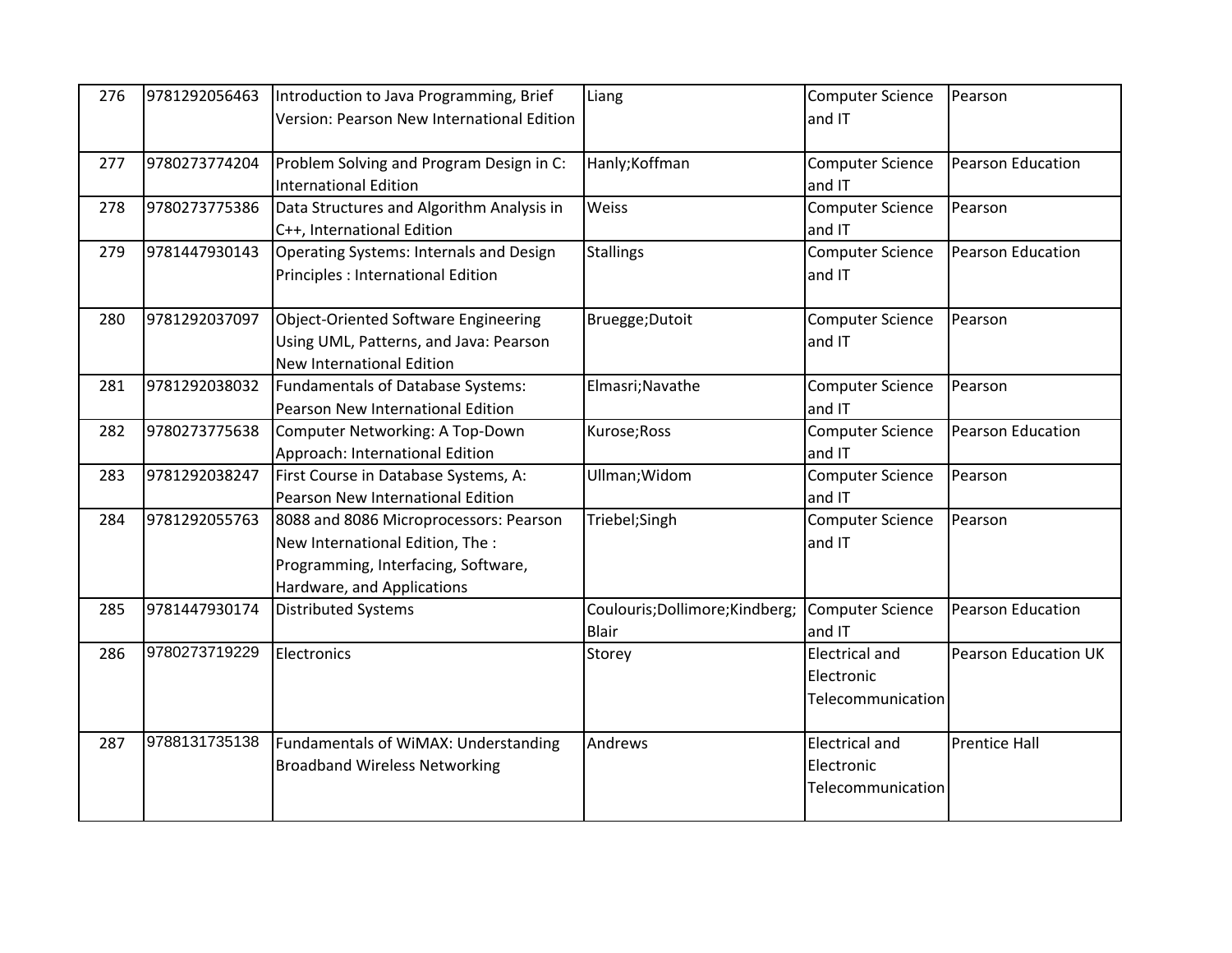| 276 | 9781292056463 | Introduction to Java Programming, Brief<br>Version: Pearson New International Edition                                                           | Liang                                           | <b>Computer Science</b><br>and IT                        | Pearson                     |
|-----|---------------|-------------------------------------------------------------------------------------------------------------------------------------------------|-------------------------------------------------|----------------------------------------------------------|-----------------------------|
| 277 | 9780273774204 | Problem Solving and Program Design in C:<br><b>International Edition</b>                                                                        | Hanly; Koffman                                  | <b>Computer Science</b><br>and IT                        | Pearson Education           |
| 278 | 9780273775386 | Data Structures and Algorithm Analysis in<br>C++, International Edition                                                                         | Weiss                                           | <b>Computer Science</b><br>and IT                        | Pearson                     |
| 279 | 9781447930143 | Operating Systems: Internals and Design<br>Principles : International Edition                                                                   | <b>Stallings</b>                                | <b>Computer Science</b><br>and IT                        | Pearson Education           |
| 280 | 9781292037097 | Object-Oriented Software Engineering<br>Using UML, Patterns, and Java: Pearson<br><b>New International Edition</b>                              | Bruegge; Dutoit                                 | <b>Computer Science</b><br>and IT                        | Pearson                     |
| 281 | 9781292038032 | Fundamentals of Database Systems:<br>Pearson New International Edition                                                                          | Elmasri; Navathe                                | <b>Computer Science</b><br>and IT                        | Pearson                     |
| 282 | 9780273775638 | Computer Networking: A Top-Down<br>Approach: International Edition                                                                              | Kurose; Ross                                    | <b>Computer Science</b><br>and IT                        | Pearson Education           |
| 283 | 9781292038247 | First Course in Database Systems, A:<br>Pearson New International Edition                                                                       | Ullman; Widom                                   | <b>Computer Science</b><br>and IT                        | Pearson                     |
| 284 | 9781292055763 | 8088 and 8086 Microprocessors: Pearson<br>New International Edition, The :<br>Programming, Interfacing, Software,<br>Hardware, and Applications | Triebel;Singh                                   | <b>Computer Science</b><br>and IT                        | Pearson                     |
| 285 | 9781447930174 | <b>Distributed Systems</b>                                                                                                                      | Coulouris; Dollimore; Kindberg;<br><b>Blair</b> | <b>Computer Science</b><br>and IT                        | Pearson Education           |
| 286 | 9780273719229 | Electronics                                                                                                                                     | Storey                                          | <b>Electrical and</b><br>Electronic<br>Telecommunication | <b>Pearson Education UK</b> |
| 287 | 9788131735138 | Fundamentals of WiMAX: Understanding<br><b>Broadband Wireless Networking</b>                                                                    | Andrews                                         | <b>Electrical and</b><br>Electronic<br>Telecommunication | <b>Prentice Hall</b>        |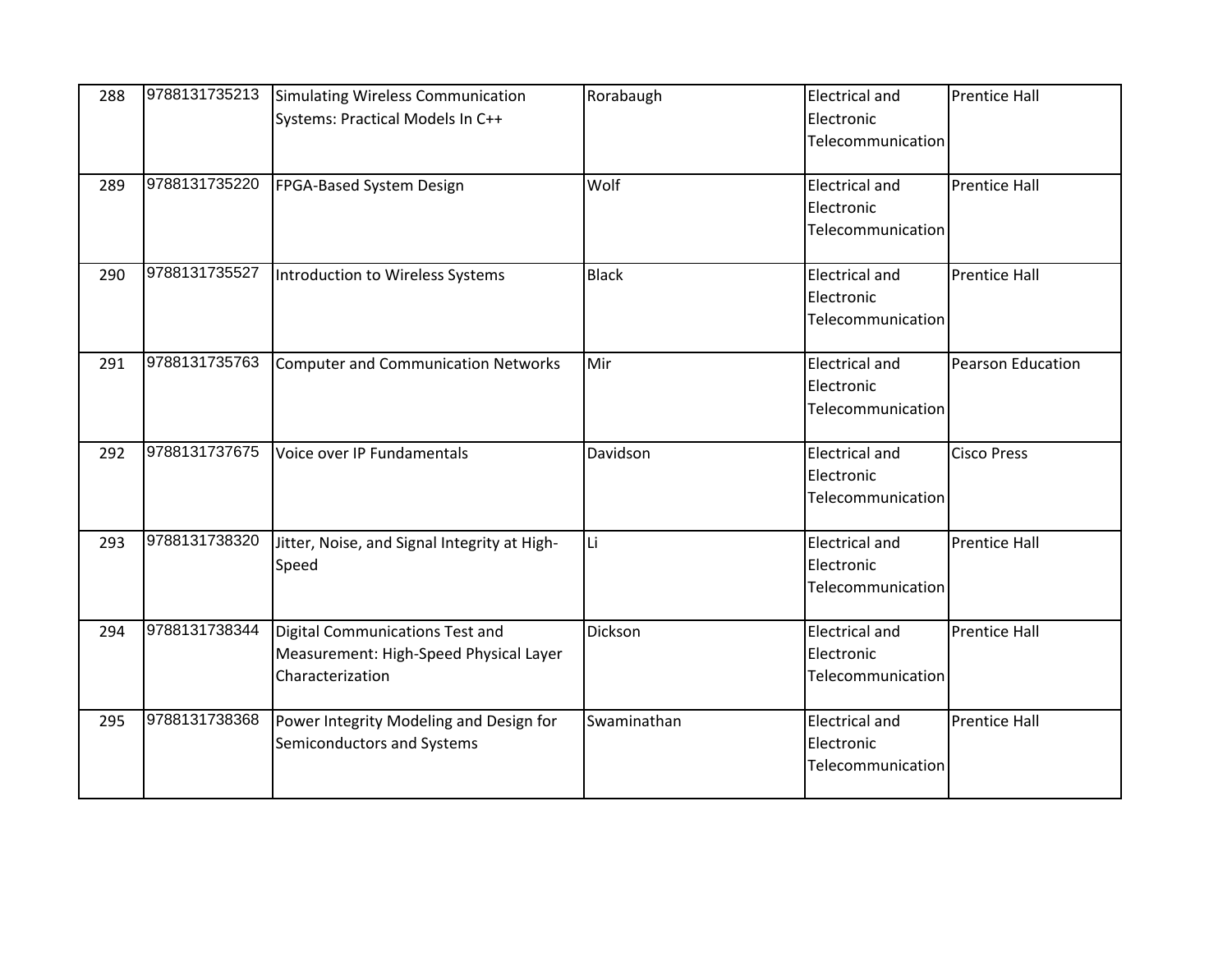| 288 | 9788131735213 | Simulating Wireless Communication<br>Systems: Practical Models In C++ | Rorabaugh    | <b>Electrical and</b><br>Electronic | <b>Prentice Hall</b> |
|-----|---------------|-----------------------------------------------------------------------|--------------|-------------------------------------|----------------------|
|     |               |                                                                       |              | Telecommunication                   |                      |
| 289 | 9788131735220 | FPGA-Based System Design                                              | Wolf         | <b>Electrical and</b>               | <b>Prentice Hall</b> |
|     |               |                                                                       |              | Electronic<br>Telecommunication     |                      |
| 290 | 9788131735527 | Introduction to Wireless Systems                                      | <b>Black</b> | <b>Electrical and</b>               | <b>Prentice Hall</b> |
|     |               |                                                                       |              | Electronic<br>Telecommunication     |                      |
| 291 | 9788131735763 | Computer and Communication Networks                                   | Mir          | <b>Electrical and</b>               | Pearson Education    |
|     |               |                                                                       |              | Electronic<br>Telecommunication     |                      |
| 292 | 9788131737675 | Voice over IP Fundamentals                                            | Davidson     | <b>Electrical and</b>               | <b>Cisco Press</b>   |
|     |               |                                                                       |              | Electronic<br>Telecommunication     |                      |
| 293 | 9788131738320 | Jitter, Noise, and Signal Integrity at High-                          | Li           | <b>Electrical and</b>               | <b>Prentice Hall</b> |
|     |               | Speed                                                                 |              | Electronic<br>Telecommunication     |                      |
| 294 | 9788131738344 | Digital Communications Test and                                       | Dickson      | <b>Electrical and</b>               | <b>Prentice Hall</b> |
|     |               | Measurement: High-Speed Physical Layer<br>Characterization            |              | Electronic<br>Telecommunication     |                      |
|     |               |                                                                       |              |                                     |                      |
| 295 | 9788131738368 | Power Integrity Modeling and Design for<br>Semiconductors and Systems | Swaminathan  | <b>Electrical and</b><br>Electronic | <b>Prentice Hall</b> |
|     |               |                                                                       |              | Telecommunication                   |                      |
|     |               |                                                                       |              |                                     |                      |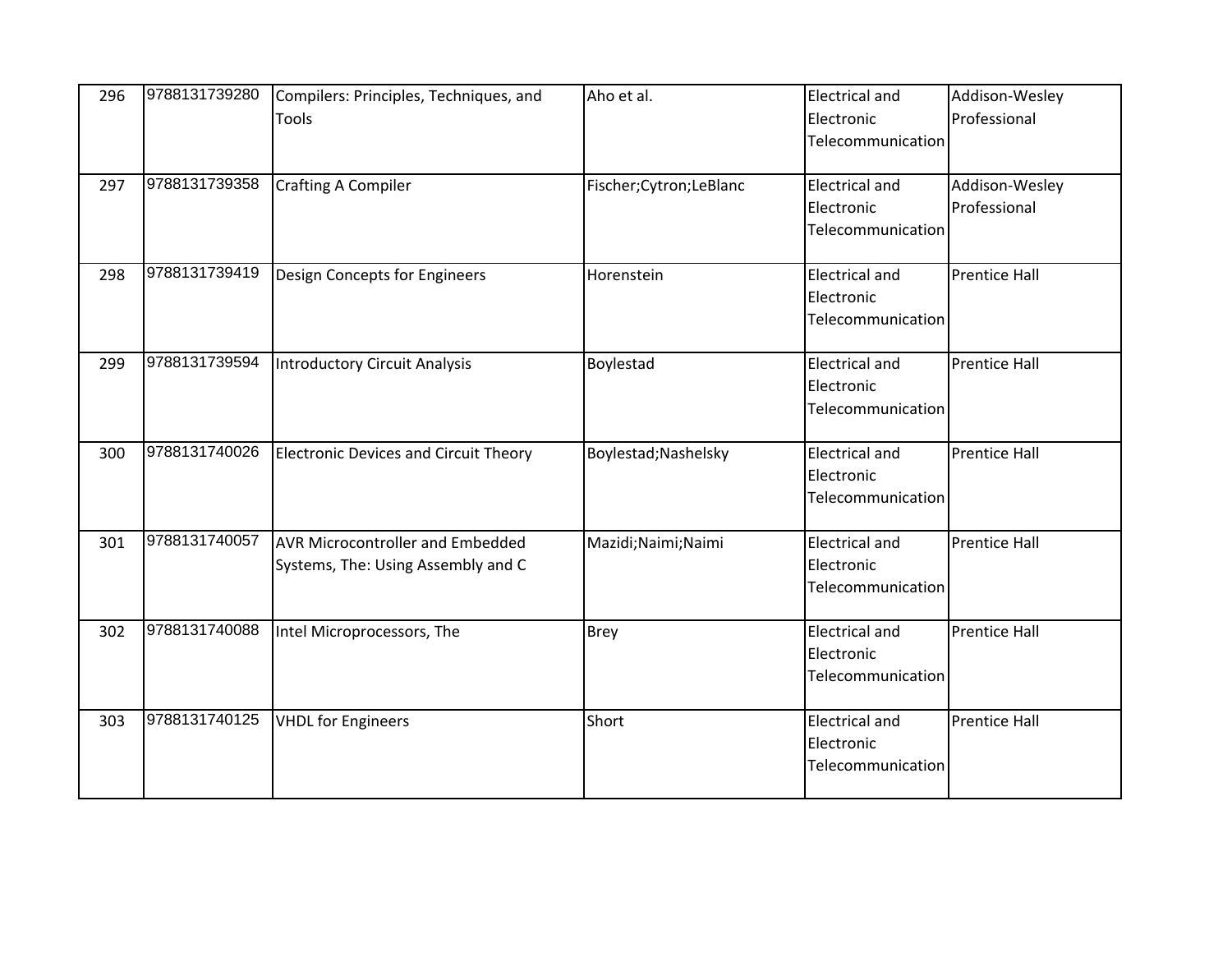| 296 | 9788131739280 | Compilers: Principles, Techniques, and                                        | Aho et al.               | <b>Electrical and</b>                                    | Addison-Wesley       |
|-----|---------------|-------------------------------------------------------------------------------|--------------------------|----------------------------------------------------------|----------------------|
|     |               | Tools                                                                         |                          | Electronic<br>Telecommunication                          | Professional         |
| 297 | 9788131739358 | <b>Crafting A Compiler</b>                                                    | Fischer; Cytron; LeBlanc | <b>Electrical and</b>                                    | Addison-Wesley       |
|     |               |                                                                               |                          | Electronic<br>Telecommunication                          | Professional         |
| 298 | 9788131739419 | Design Concepts for Engineers                                                 | Horenstein               | <b>Electrical and</b><br>Electronic<br>Telecommunication | <b>Prentice Hall</b> |
| 299 | 9788131739594 | Introductory Circuit Analysis                                                 | Boylestad                | <b>Electrical and</b><br>Electronic<br>Telecommunication | <b>Prentice Hall</b> |
| 300 | 9788131740026 | <b>Electronic Devices and Circuit Theory</b>                                  | Boylestad; Nashelsky     | <b>Electrical and</b><br>Electronic<br>Telecommunication | <b>Prentice Hall</b> |
| 301 | 9788131740057 | <b>AVR Microcontroller and Embedded</b><br>Systems, The: Using Assembly and C | Mazidi; Naimi; Naimi     | <b>Electrical and</b><br>Electronic<br>Telecommunication | <b>Prentice Hall</b> |
| 302 | 9788131740088 | Intel Microprocessors, The                                                    | <b>Brey</b>              | <b>Electrical and</b><br>Electronic<br>Telecommunication | <b>Prentice Hall</b> |
| 303 | 9788131740125 | <b>VHDL</b> for Engineers                                                     | Short                    | <b>Electrical and</b><br>Electronic<br>Telecommunication | <b>Prentice Hall</b> |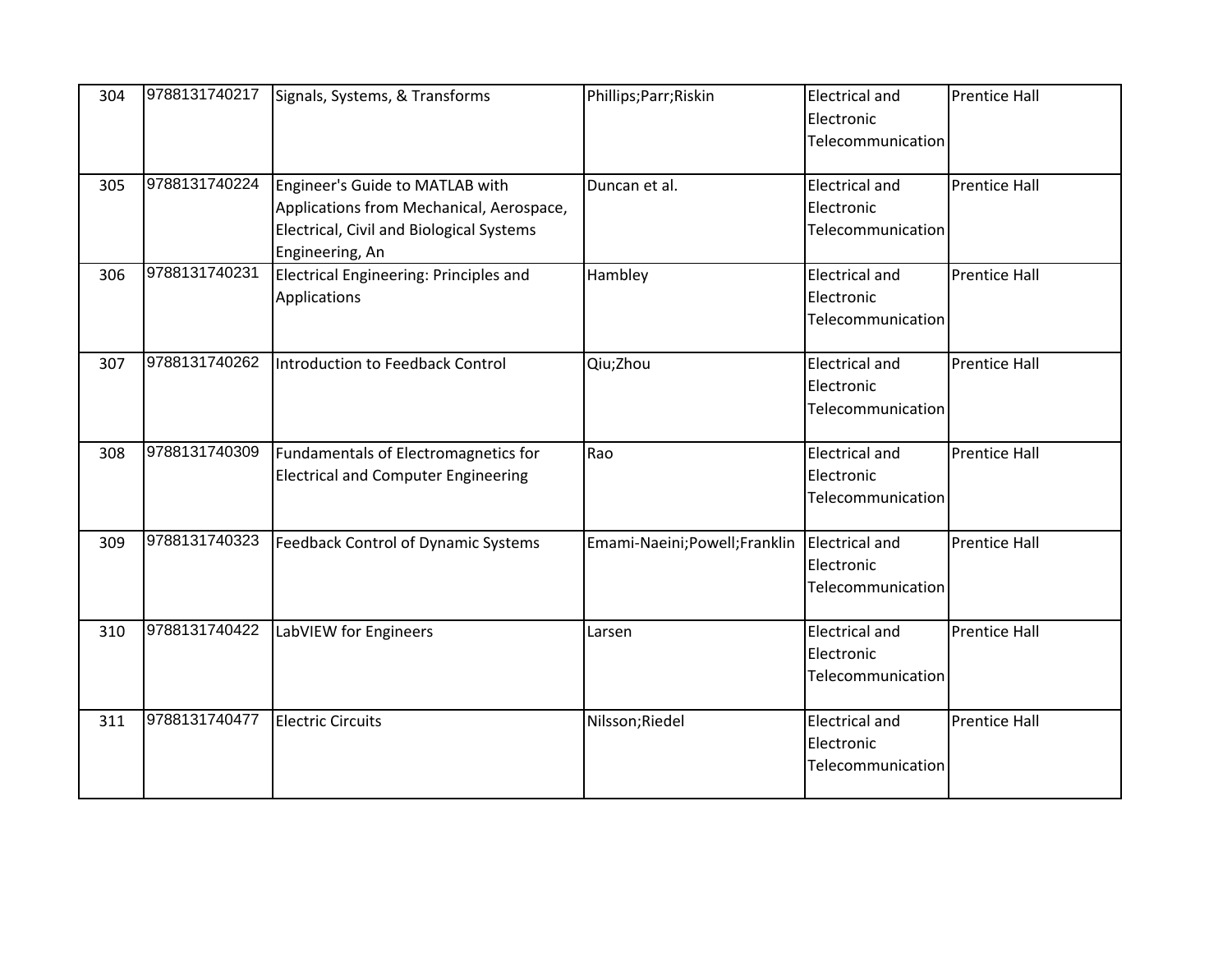| 304 | 9788131740217 | Signals, Systems, & Transforms                                                                                                             | Phillips; Parr; Riskin         | <b>Electrical and</b><br>Electronic<br>Telecommunication | <b>Prentice Hall</b> |
|-----|---------------|--------------------------------------------------------------------------------------------------------------------------------------------|--------------------------------|----------------------------------------------------------|----------------------|
| 305 | 9788131740224 | Engineer's Guide to MATLAB with<br>Applications from Mechanical, Aerospace,<br>Electrical, Civil and Biological Systems<br>Engineering, An | Duncan et al.                  | <b>Electrical and</b><br>Electronic<br>Telecommunication | <b>Prentice Hall</b> |
| 306 | 9788131740231 | Electrical Engineering: Principles and<br>Applications                                                                                     | Hambley                        | <b>Electrical and</b><br>Electronic<br>Telecommunication | <b>Prentice Hall</b> |
| 307 | 9788131740262 | Introduction to Feedback Control                                                                                                           | Qiu;Zhou                       | <b>Electrical and</b><br>Electronic<br>Telecommunication | <b>Prentice Hall</b> |
| 308 | 9788131740309 | Fundamentals of Electromagnetics for<br><b>Electrical and Computer Engineering</b>                                                         | Rao                            | <b>Electrical and</b><br>Electronic<br>Telecommunication | <b>Prentice Hall</b> |
| 309 | 9788131740323 | Feedback Control of Dynamic Systems                                                                                                        | Emami-Naeini; Powell; Franklin | <b>Electrical and</b><br>Electronic<br>Telecommunication | <b>Prentice Hall</b> |
| 310 | 9788131740422 | LabVIEW for Engineers                                                                                                                      | Larsen                         | <b>Electrical and</b><br>Electronic<br>Telecommunication | <b>Prentice Hall</b> |
| 311 | 9788131740477 | <b>Electric Circuits</b>                                                                                                                   | Nilsson;Riedel                 | <b>Electrical and</b><br>Electronic<br>Telecommunication | <b>Prentice Hall</b> |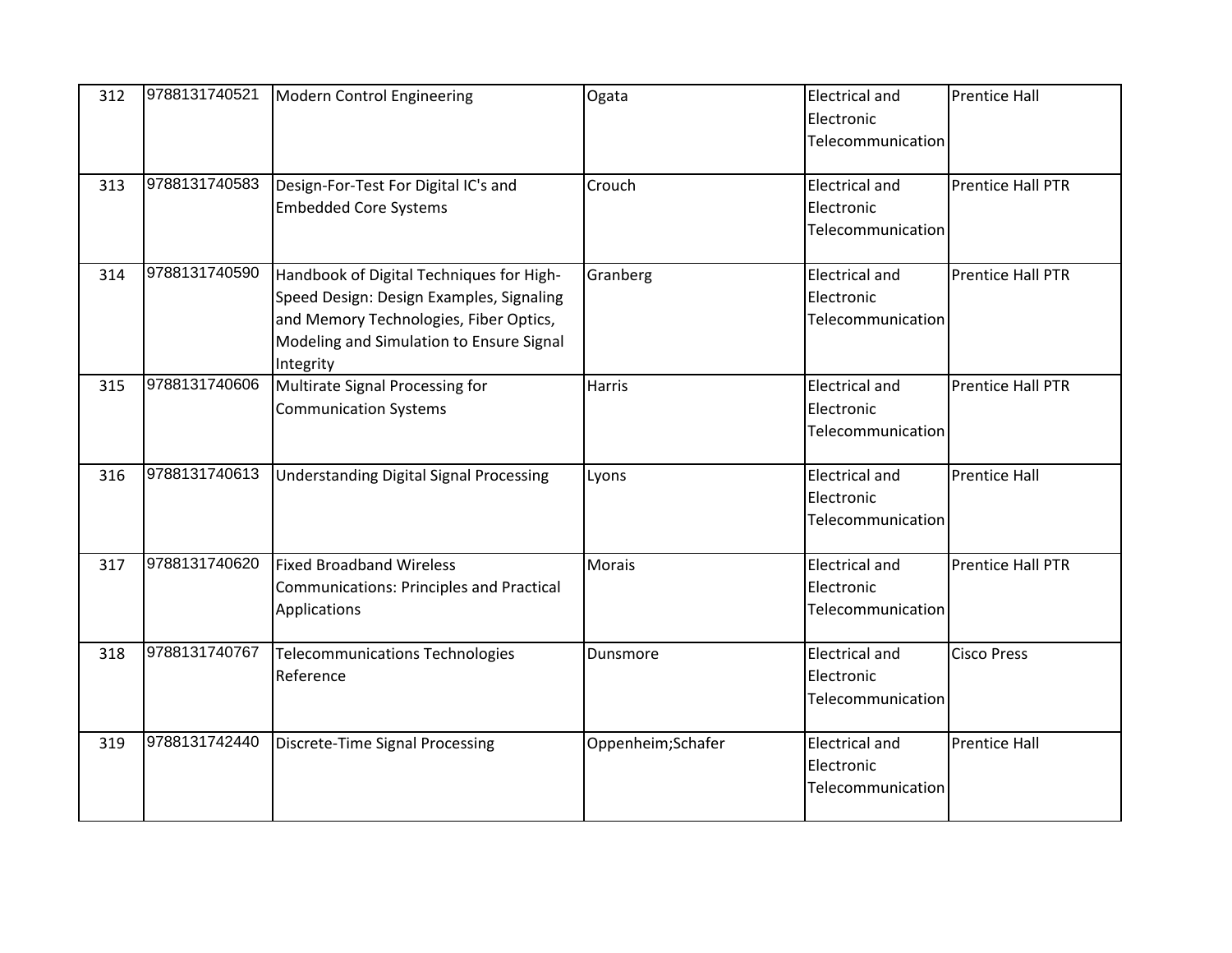| 312 | 9788131740521 | Modern Control Engineering                                                                                                                                                              | Ogata             | <b>Electrical and</b><br>Electronic<br>Telecommunication | <b>Prentice Hall</b>     |
|-----|---------------|-----------------------------------------------------------------------------------------------------------------------------------------------------------------------------------------|-------------------|----------------------------------------------------------|--------------------------|
| 313 | 9788131740583 | Design-For-Test For Digital IC's and<br><b>Embedded Core Systems</b>                                                                                                                    | Crouch            | <b>Electrical and</b><br>Electronic<br>Telecommunication | <b>Prentice Hall PTR</b> |
| 314 | 9788131740590 | Handbook of Digital Techniques for High-<br>Speed Design: Design Examples, Signaling<br>and Memory Technologies, Fiber Optics,<br>Modeling and Simulation to Ensure Signal<br>Integrity | Granberg          | <b>Electrical and</b><br>Electronic<br>Telecommunication | <b>Prentice Hall PTR</b> |
| 315 | 9788131740606 | Multirate Signal Processing for<br><b>Communication Systems</b>                                                                                                                         | <b>Harris</b>     | <b>Electrical and</b><br>Electronic<br>Telecommunication | <b>Prentice Hall PTR</b> |
| 316 | 9788131740613 | <b>Understanding Digital Signal Processing</b>                                                                                                                                          | Lyons             | <b>Electrical and</b><br>Electronic<br>Telecommunication | <b>Prentice Hall</b>     |
| 317 | 9788131740620 | <b>Fixed Broadband Wireless</b><br>Communications: Principles and Practical<br>Applications                                                                                             | Morais            | <b>Electrical and</b><br>Electronic<br>Telecommunication | <b>Prentice Hall PTR</b> |
| 318 | 9788131740767 | <b>Telecommunications Technologies</b><br>Reference                                                                                                                                     | Dunsmore          | <b>Electrical and</b><br>Electronic<br>Telecommunication | <b>Cisco Press</b>       |
| 319 | 9788131742440 | Discrete-Time Signal Processing                                                                                                                                                         | Oppenheim;Schafer | <b>Electrical and</b><br>Electronic<br>Telecommunication | <b>Prentice Hall</b>     |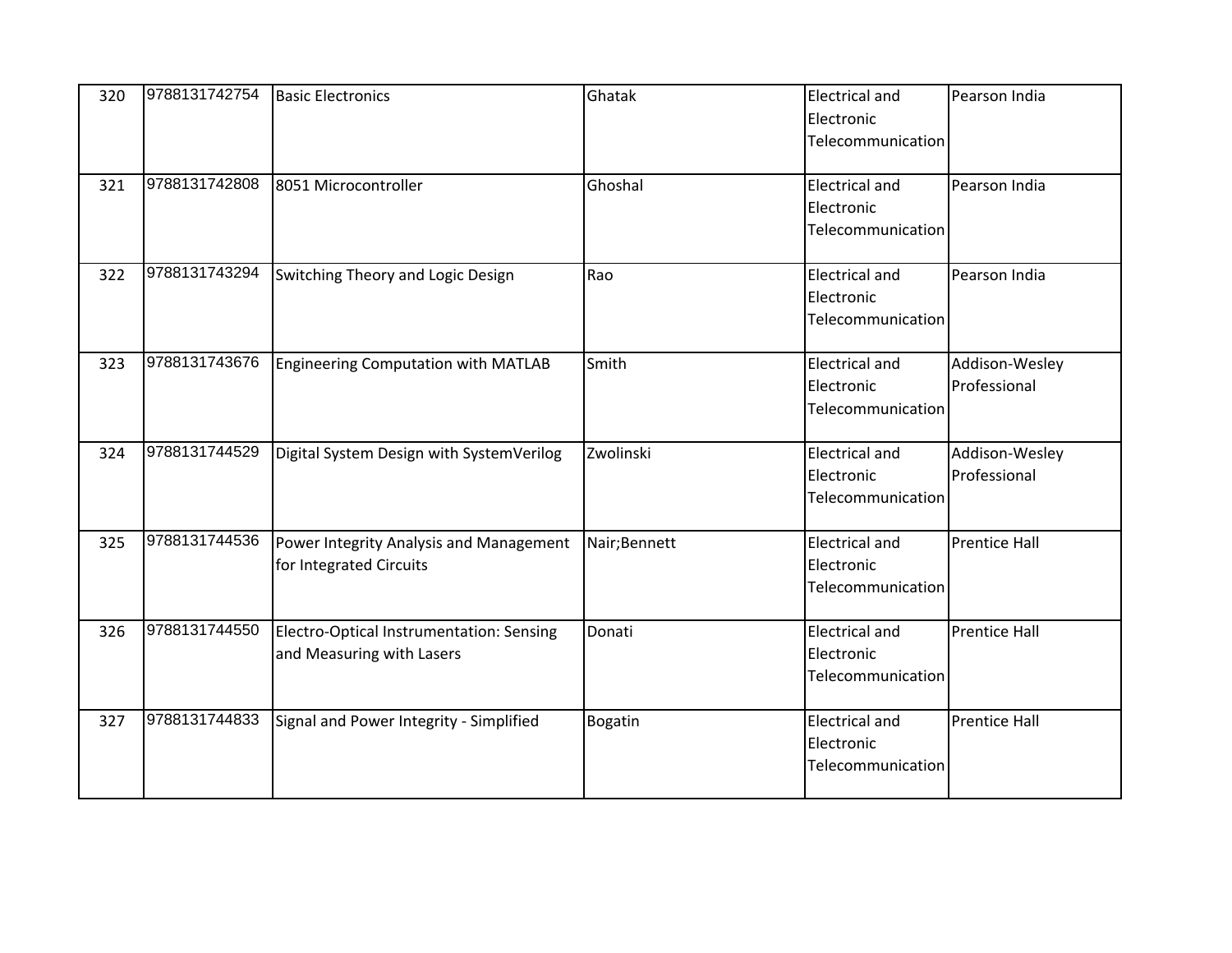| 320 | 9788131742754 | <b>Basic Electronics</b>                                              | Ghatak         | <b>Electrical and</b><br>Electronic<br>Telecommunication | Pearson India                  |
|-----|---------------|-----------------------------------------------------------------------|----------------|----------------------------------------------------------|--------------------------------|
| 321 | 9788131742808 | 8051 Microcontroller                                                  | Ghoshal        | <b>Electrical and</b><br>Electronic<br>Telecommunication | Pearson India                  |
| 322 | 9788131743294 | Switching Theory and Logic Design                                     | Rao            | <b>Electrical and</b><br>Electronic<br>Telecommunication | Pearson India                  |
| 323 | 9788131743676 | Engineering Computation with MATLAB                                   | Smith          | <b>Electrical and</b><br>Electronic<br>Telecommunication | Addison-Wesley<br>Professional |
| 324 | 9788131744529 | Digital System Design with SystemVerilog                              | Zwolinski      | <b>Electrical and</b><br>Electronic<br>Telecommunication | Addison-Wesley<br>Professional |
| 325 | 9788131744536 | Power Integrity Analysis and Management<br>for Integrated Circuits    | Nair;Bennett   | <b>Electrical and</b><br>Electronic<br>Telecommunication | <b>Prentice Hall</b>           |
| 326 | 9788131744550 | Electro-Optical Instrumentation: Sensing<br>and Measuring with Lasers | Donati         | <b>Electrical and</b><br>Electronic<br>Telecommunication | <b>Prentice Hall</b>           |
| 327 | 9788131744833 | Signal and Power Integrity - Simplified                               | <b>Bogatin</b> | <b>Electrical and</b><br>Electronic<br>Telecommunication | <b>Prentice Hall</b>           |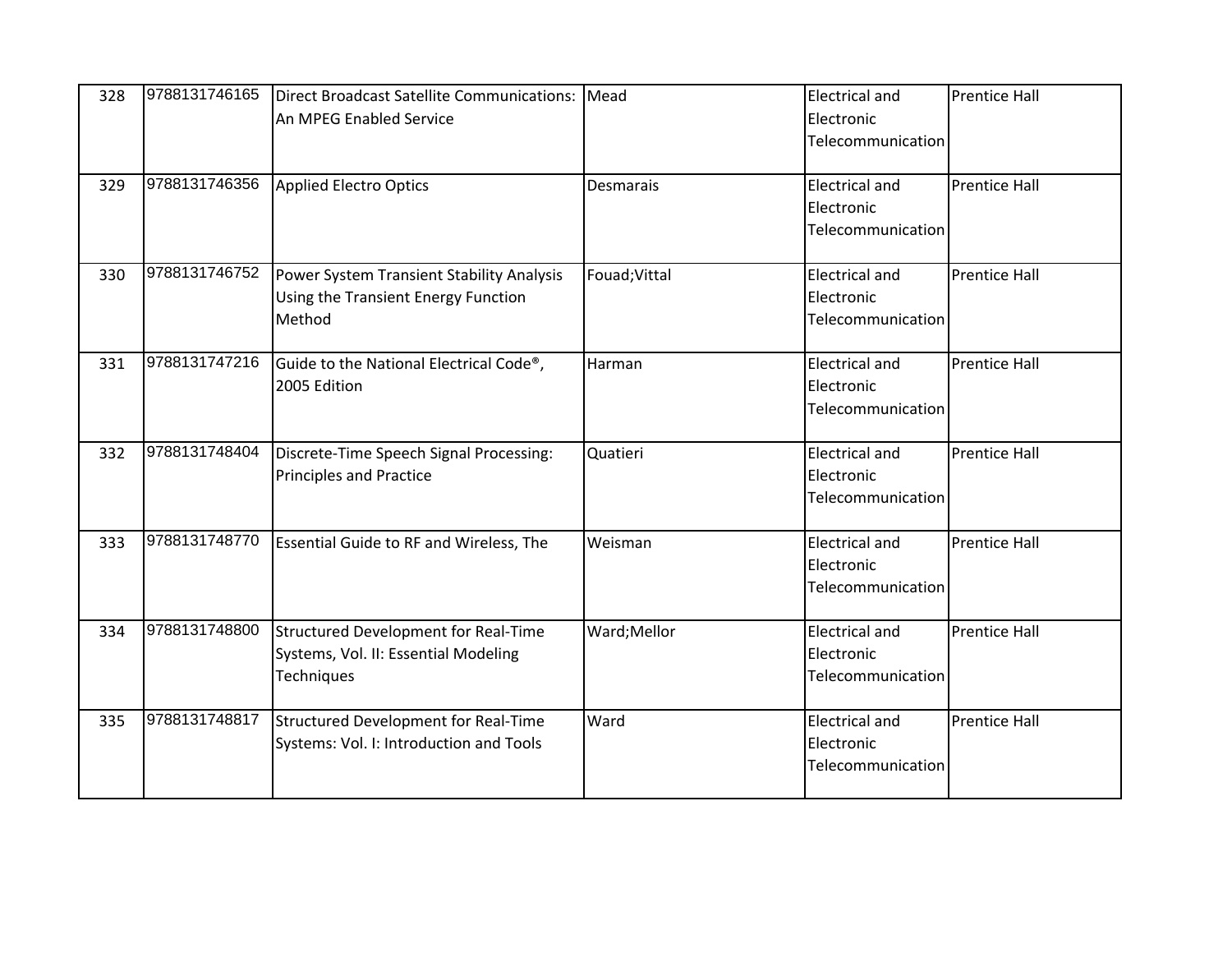| 328 | 9788131746165 | Direct Broadcast Satellite Communications:<br>An MPEG Enabled Service                      | Mead          | <b>Electrical and</b><br>Electronic<br>Telecommunication | <b>Prentice Hall</b> |
|-----|---------------|--------------------------------------------------------------------------------------------|---------------|----------------------------------------------------------|----------------------|
| 329 | 9788131746356 | Applied Electro Optics                                                                     | Desmarais     | <b>Electrical and</b><br>Electronic<br>Telecommunication | <b>Prentice Hall</b> |
| 330 | 9788131746752 | Power System Transient Stability Analysis<br>Using the Transient Energy Function<br>Method | Fouad; Vittal | <b>Electrical and</b><br>Electronic<br>Telecommunication | <b>Prentice Hall</b> |
| 331 | 9788131747216 | Guide to the National Electrical Code®,<br>2005 Edition                                    | Harman        | <b>Electrical and</b><br>Electronic<br>Telecommunication | <b>Prentice Hall</b> |
| 332 | 9788131748404 | Discrete-Time Speech Signal Processing:<br><b>Principles and Practice</b>                  | Quatieri      | <b>Electrical and</b><br>Electronic<br>Telecommunication | <b>Prentice Hall</b> |
| 333 | 9788131748770 | <b>Essential Guide to RF and Wireless, The</b>                                             | Weisman       | <b>Electrical and</b><br>Electronic<br>Telecommunication | <b>Prentice Hall</b> |
| 334 | 9788131748800 | Structured Development for Real-Time<br>Systems, Vol. II: Essential Modeling<br>Techniques | Ward;Mellor   | <b>Electrical and</b><br>Electronic<br>Telecommunication | <b>Prentice Hall</b> |
| 335 | 9788131748817 | Structured Development for Real-Time<br>Systems: Vol. I: Introduction and Tools            | Ward          | <b>Electrical and</b><br>Electronic<br>Telecommunication | <b>Prentice Hall</b> |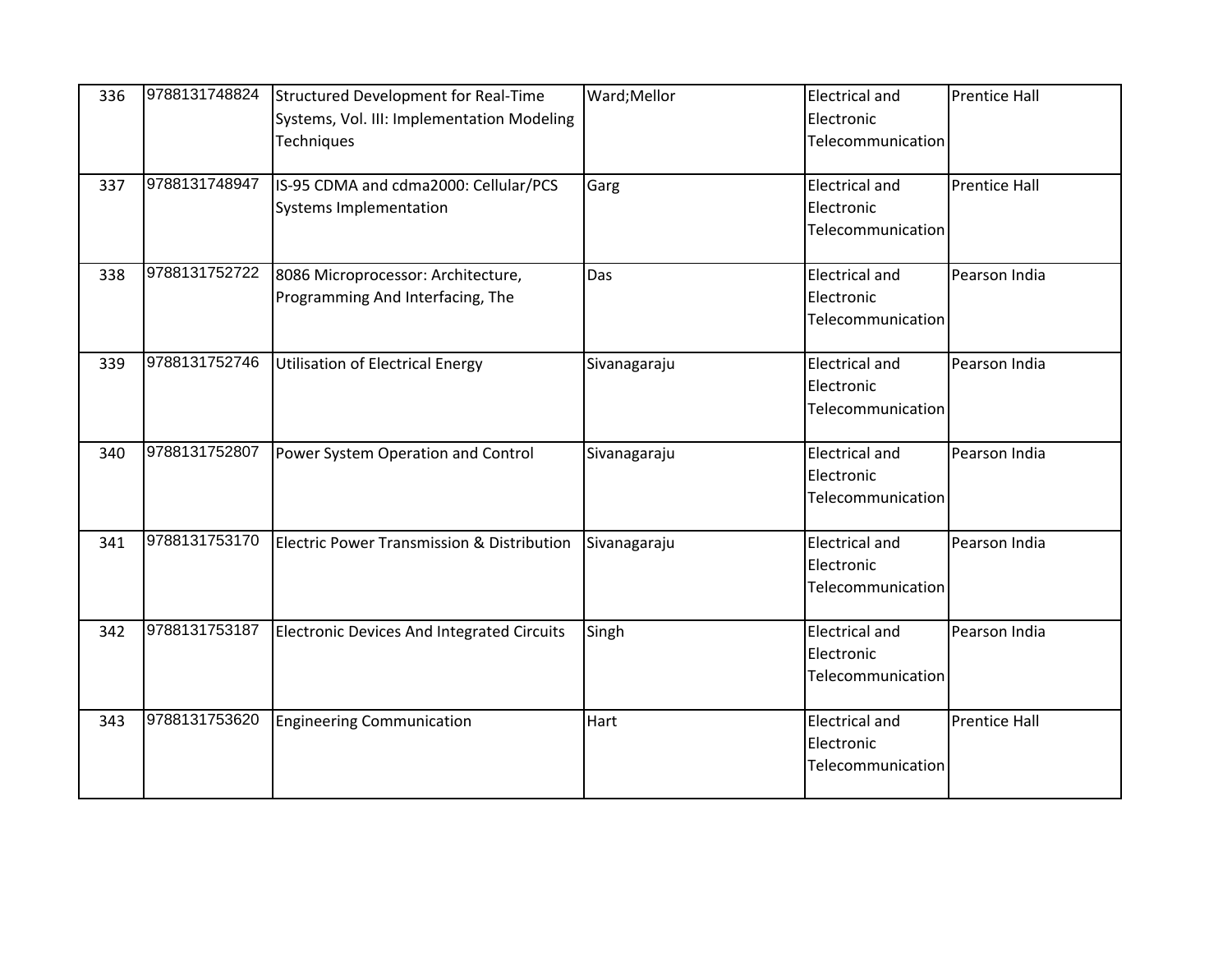| 336 | 9788131748824 | Structured Development for Real-Time<br>Systems, Vol. III: Implementation Modeling<br>Techniques | Ward;Mellor  | <b>Electrical and</b><br>Electronic<br>Telecommunication | <b>Prentice Hall</b> |
|-----|---------------|--------------------------------------------------------------------------------------------------|--------------|----------------------------------------------------------|----------------------|
| 337 | 9788131748947 | IS-95 CDMA and cdma2000: Cellular/PCS<br><b>Systems Implementation</b>                           | Garg         | <b>Electrical and</b><br>Electronic<br>Telecommunication | <b>Prentice Hall</b> |
| 338 | 9788131752722 | 8086 Microprocessor: Architecture,<br>Programming And Interfacing, The                           | Das          | <b>Electrical and</b><br>Electronic<br>Telecommunication | Pearson India        |
| 339 | 9788131752746 | Utilisation of Electrical Energy                                                                 | Sivanagaraju | <b>Electrical and</b><br>Electronic<br>Telecommunication | Pearson India        |
| 340 | 9788131752807 | Power System Operation and Control                                                               | Sivanagaraju | <b>Electrical and</b><br>Electronic<br>Telecommunication | Pearson India        |
| 341 | 9788131753170 | Electric Power Transmission & Distribution                                                       | Sivanagaraju | <b>Electrical and</b><br>Electronic<br>Telecommunication | Pearson India        |
| 342 | 9788131753187 | <b>Electronic Devices And Integrated Circuits</b>                                                | Singh        | <b>Electrical and</b><br>Electronic<br>Telecommunication | Pearson India        |
| 343 | 9788131753620 | <b>Engineering Communication</b>                                                                 | Hart         | <b>Electrical and</b><br>Electronic<br>Telecommunication | <b>Prentice Hall</b> |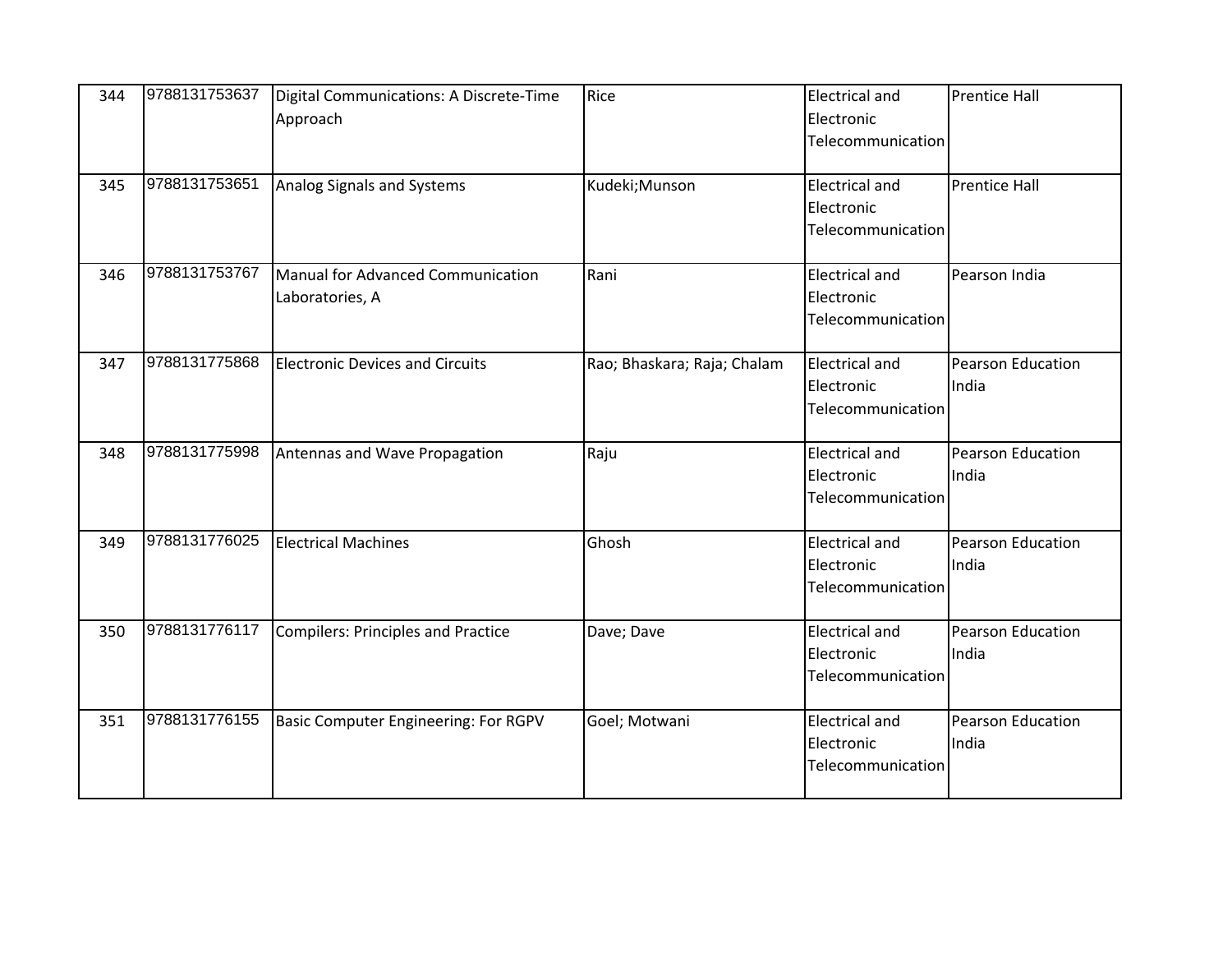| 344 | 9788131753637 | Digital Communications: A Discrete-Time<br>Approach  | Rice                        | <b>Electrical and</b><br>Electronic<br>Telecommunication | <b>Prentice Hall</b>       |
|-----|---------------|------------------------------------------------------|-----------------------------|----------------------------------------------------------|----------------------------|
| 345 | 9788131753651 | Analog Signals and Systems                           | Kudeki;Munson               | <b>Electrical and</b><br>Electronic<br>Telecommunication | <b>Prentice Hall</b>       |
| 346 | 9788131753767 | Manual for Advanced Communication<br>Laboratories, A | Rani                        | <b>Electrical and</b><br>Electronic<br>Telecommunication | Pearson India              |
| 347 | 9788131775868 | <b>Electronic Devices and Circuits</b>               | Rao; Bhaskara; Raja; Chalam | <b>Electrical and</b><br>Electronic<br>Telecommunication | Pearson Education<br>India |
| 348 | 9788131775998 | Antennas and Wave Propagation                        | Raju                        | <b>Electrical and</b><br>Electronic<br>Telecommunication | Pearson Education<br>India |
| 349 | 9788131776025 | <b>Electrical Machines</b>                           | Ghosh                       | <b>Electrical and</b><br>Electronic<br>Telecommunication | Pearson Education<br>India |
| 350 | 9788131776117 | Compilers: Principles and Practice                   | Dave; Dave                  | <b>Electrical and</b><br>Electronic<br>Telecommunication | Pearson Education<br>India |
| 351 | 9788131776155 | Basic Computer Engineering: For RGPV                 | Goel; Motwani               | <b>Electrical and</b><br>Electronic<br>Telecommunication | Pearson Education<br>India |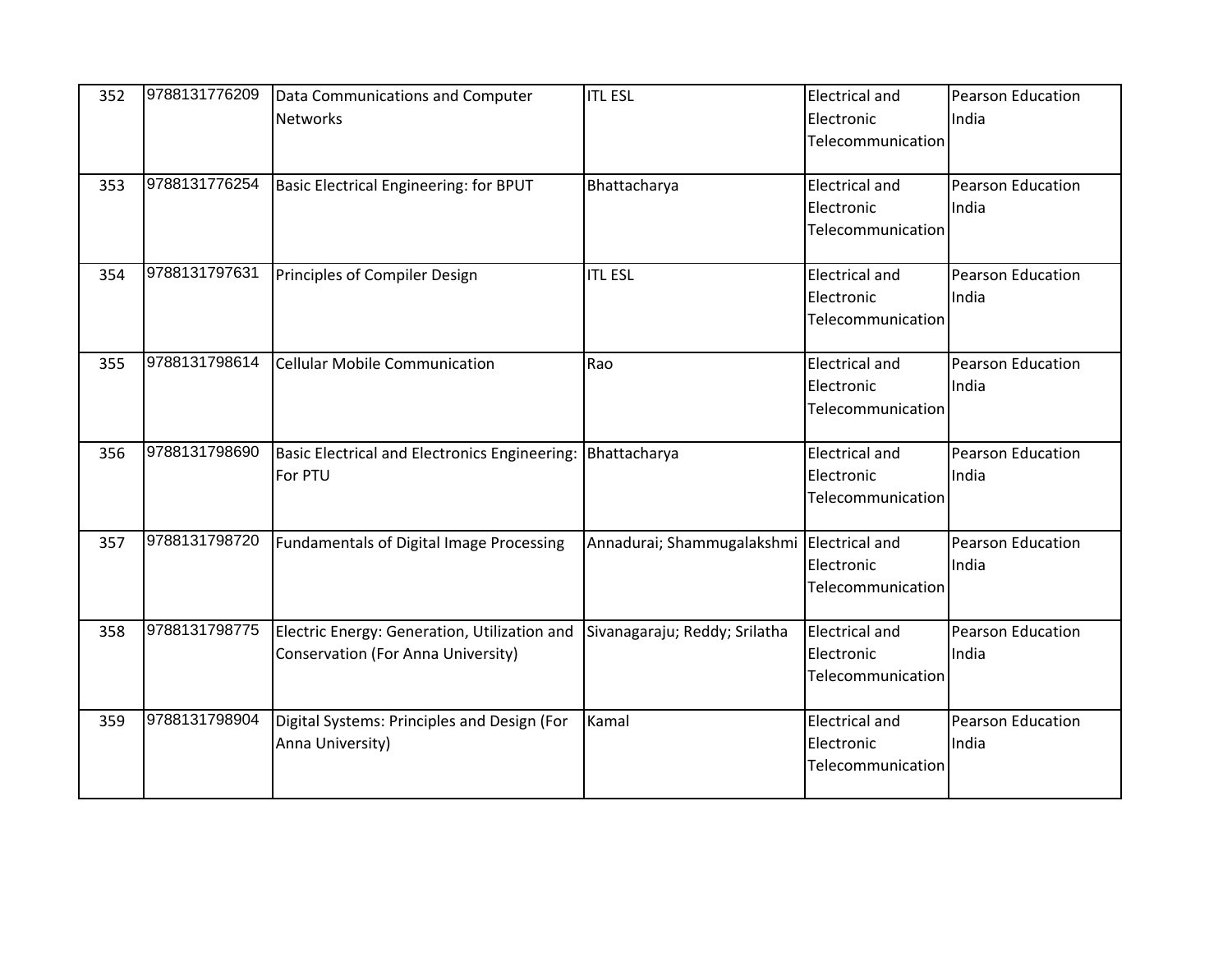| 352 | 9788131776209 | Data Communications and Computer                           | <b>ITL ESL</b>                            | <b>Electrical and</b> | <b>Pearson Education</b> |
|-----|---------------|------------------------------------------------------------|-------------------------------------------|-----------------------|--------------------------|
|     |               | <b>Networks</b>                                            |                                           | Electronic            | India                    |
|     |               |                                                            |                                           | Telecommunication     |                          |
|     |               |                                                            |                                           |                       |                          |
| 353 | 9788131776254 | Basic Electrical Engineering: for BPUT                     | Bhattacharya                              | <b>Electrical and</b> | <b>Pearson Education</b> |
|     |               |                                                            |                                           | Electronic            | India                    |
|     |               |                                                            |                                           | Telecommunication     |                          |
|     |               |                                                            |                                           |                       |                          |
| 354 | 9788131797631 | Principles of Compiler Design                              | <b>ITL ESL</b>                            | <b>Electrical and</b> | <b>Pearson Education</b> |
|     |               |                                                            |                                           | Electronic            | India                    |
|     |               |                                                            |                                           | Telecommunication     |                          |
|     |               |                                                            |                                           |                       |                          |
| 355 | 9788131798614 | <b>Cellular Mobile Communication</b>                       | Rao                                       | <b>Electrical and</b> | <b>Pearson Education</b> |
|     |               |                                                            |                                           | Electronic            | India                    |
|     |               |                                                            |                                           | Telecommunication     |                          |
|     |               |                                                            |                                           |                       |                          |
| 356 | 9788131798690 | Basic Electrical and Electronics Engineering: Bhattacharya |                                           | <b>Electrical and</b> | Pearson Education        |
|     |               | For PTU                                                    |                                           | Electronic            | India                    |
|     |               |                                                            |                                           | Telecommunication     |                          |
|     |               |                                                            |                                           |                       |                          |
| 357 | 9788131798720 | Fundamentals of Digital Image Processing                   | Annadurai; Shammugalakshmi Electrical and |                       | <b>Pearson Education</b> |
|     |               |                                                            |                                           | Electronic            | India                    |
|     |               |                                                            |                                           | Telecommunication     |                          |
|     |               |                                                            |                                           |                       |                          |
| 358 | 9788131798775 | Electric Energy: Generation, Utilization and               | Sivanagaraju; Reddy; Srilatha             | <b>Electrical and</b> | Pearson Education        |
|     |               | Conservation (For Anna University)                         |                                           | Electronic            | India                    |
|     |               |                                                            |                                           | Telecommunication     |                          |
|     |               |                                                            |                                           |                       |                          |
| 359 | 9788131798904 | Digital Systems: Principles and Design (For                | Kamal                                     | <b>Electrical and</b> | Pearson Education        |
|     |               | Anna University)                                           |                                           | Electronic            | India                    |
|     |               |                                                            |                                           | Telecommunication     |                          |
|     |               |                                                            |                                           |                       |                          |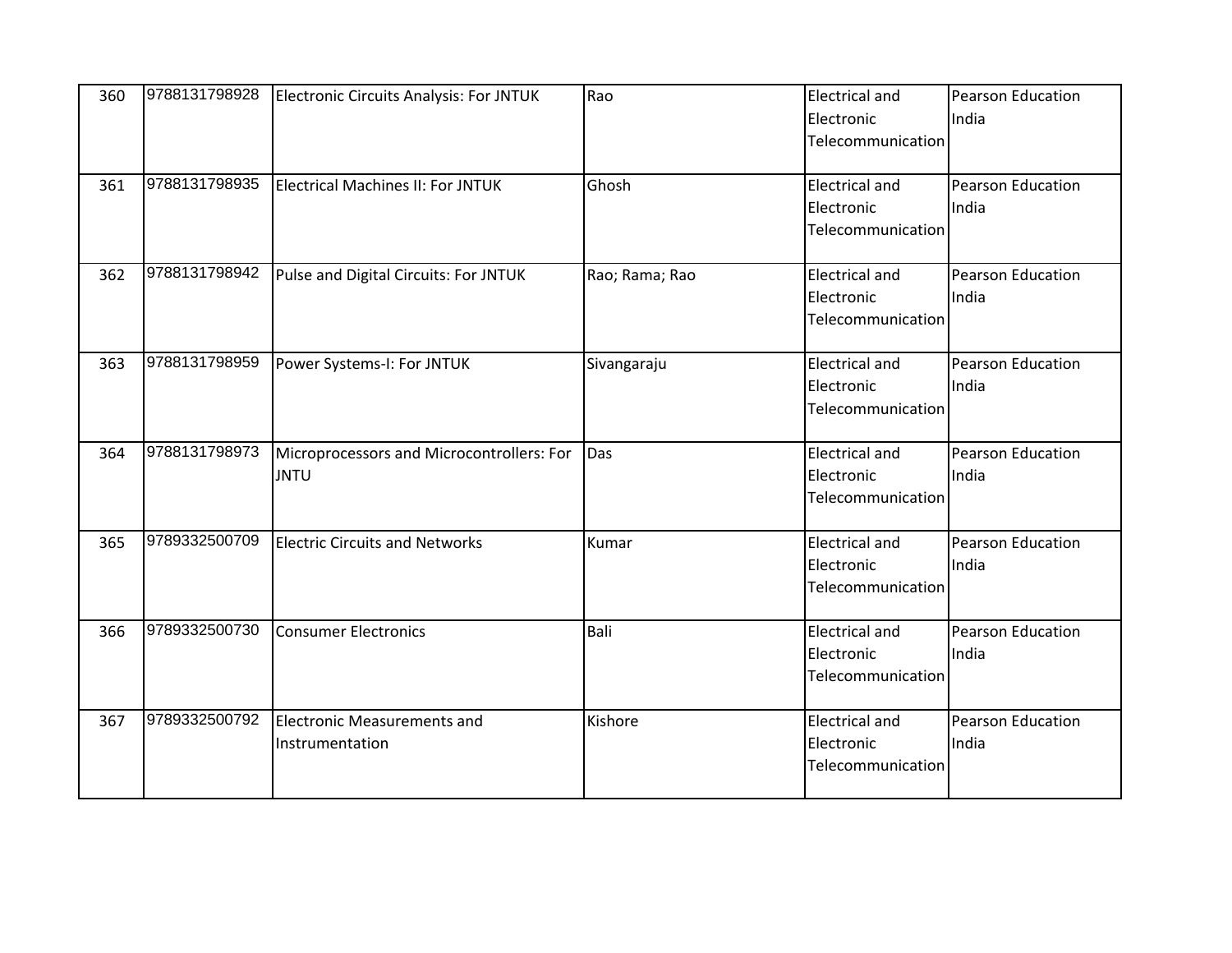| 360 | 9788131798928 | <b>Electronic Circuits Analysis: For JNTUK</b> | Rao            | <b>Electrical and</b> | <b>Pearson Education</b> |
|-----|---------------|------------------------------------------------|----------------|-----------------------|--------------------------|
|     |               |                                                |                | Electronic            | India                    |
|     |               |                                                |                | Telecommunication     |                          |
| 361 | 9788131798935 | Electrical Machines II: For JNTUK              | Ghosh          | <b>Electrical and</b> | <b>Pearson Education</b> |
|     |               |                                                |                | Electronic            | India                    |
|     |               |                                                |                | Telecommunication     |                          |
| 362 | 9788131798942 | Pulse and Digital Circuits: For JNTUK          | Rao; Rama; Rao | <b>Electrical and</b> | Pearson Education        |
|     |               |                                                |                | Electronic            | India                    |
|     |               |                                                |                | Telecommunication     |                          |
| 363 | 9788131798959 | Power Systems-I: For JNTUK                     | Sivangaraju    | <b>Electrical and</b> | Pearson Education        |
|     |               |                                                |                | Electronic            | India                    |
|     |               |                                                |                | Telecommunication     |                          |
| 364 | 9788131798973 | Microprocessors and Microcontrollers: For      | Das            | <b>Electrical and</b> | <b>Pearson Education</b> |
|     |               | <b>JNTU</b>                                    |                | Electronic            | India                    |
|     |               |                                                |                | Telecommunication     |                          |
| 365 | 9789332500709 | <b>Electric Circuits and Networks</b>          | Kumar          | <b>Electrical and</b> | Pearson Education        |
|     |               |                                                |                | Electronic            | India                    |
|     |               |                                                |                | Telecommunication     |                          |
| 366 | 9789332500730 | <b>Consumer Electronics</b>                    | Bali           | <b>Electrical and</b> | Pearson Education        |
|     |               |                                                |                | Electronic            | India                    |
|     |               |                                                |                | Telecommunication     |                          |
| 367 | 9789332500792 | <b>Electronic Measurements and</b>             | Kishore        | <b>Electrical and</b> | Pearson Education        |
|     |               | Instrumentation                                |                | Electronic            | India                    |
|     |               |                                                |                | Telecommunication     |                          |
|     |               |                                                |                |                       |                          |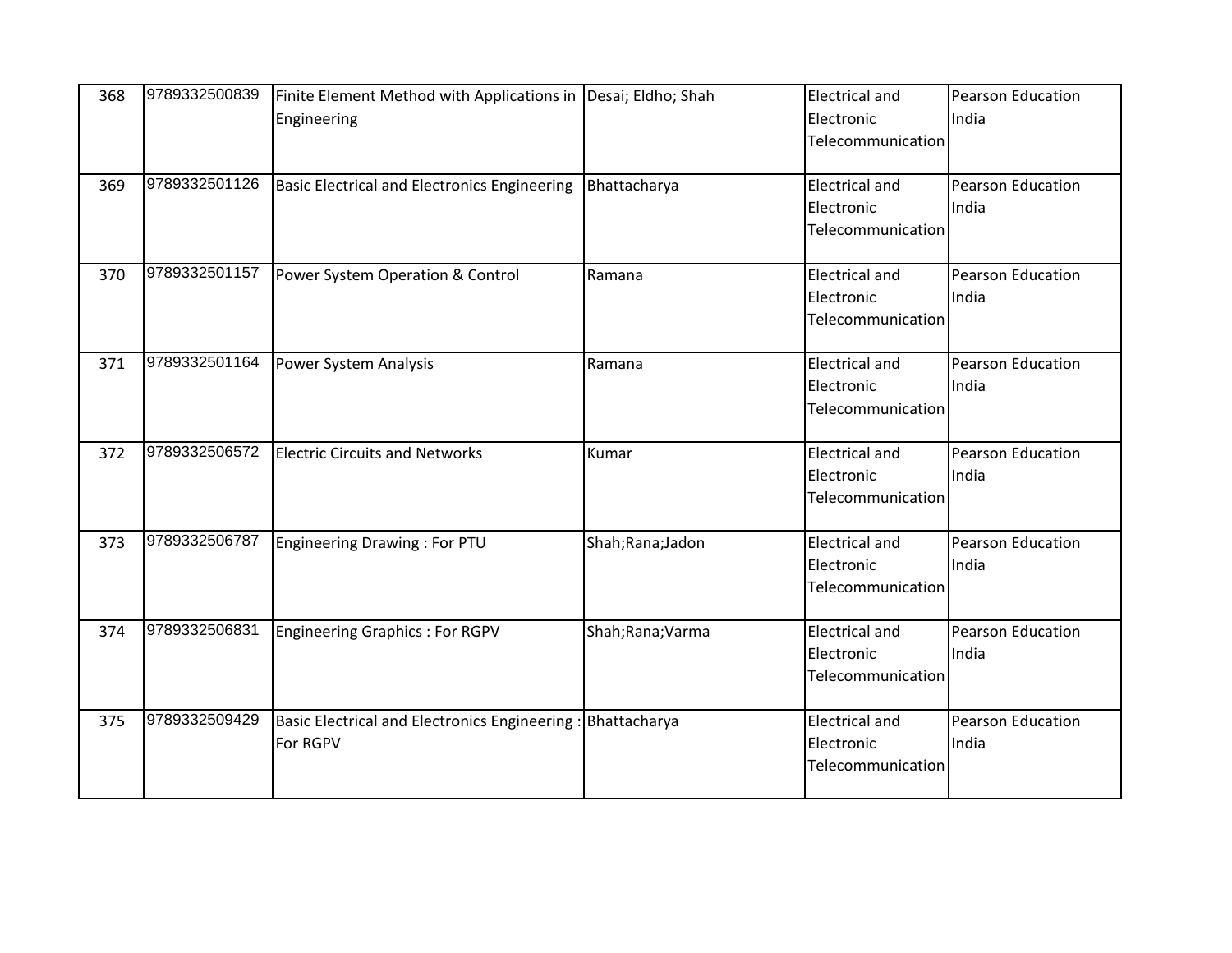| 368 | 9789332500839 | Finite Element Method with Applications in Desai; Eldho; Shah |                 | <b>Electrical and</b> | <b>Pearson Education</b> |
|-----|---------------|---------------------------------------------------------------|-----------------|-----------------------|--------------------------|
|     |               | Engineering                                                   |                 | Electronic            | India                    |
|     |               |                                                               |                 | Telecommunication     |                          |
| 369 | 9789332501126 | <b>Basic Electrical and Electronics Engineering</b>           | Bhattacharya    | <b>Electrical and</b> | <b>Pearson Education</b> |
|     |               |                                                               |                 | Electronic            | India                    |
|     |               |                                                               |                 | Telecommunication     |                          |
| 370 | 9789332501157 | Power System Operation & Control                              | Ramana          | <b>Electrical and</b> | Pearson Education        |
|     |               |                                                               |                 | Electronic            | India                    |
|     |               |                                                               |                 | Telecommunication     |                          |
| 371 | 9789332501164 | Power System Analysis                                         | Ramana          | <b>Electrical and</b> | Pearson Education        |
|     |               |                                                               |                 | Electronic            | India                    |
|     |               |                                                               |                 | Telecommunication     |                          |
| 372 | 9789332506572 | <b>Electric Circuits and Networks</b>                         | Kumar           | <b>Electrical and</b> | <b>Pearson Education</b> |
|     |               |                                                               |                 | Electronic            | India                    |
|     |               |                                                               |                 | Telecommunication     |                          |
| 373 | 9789332506787 | Engineering Drawing: For PTU                                  | Shah;Rana;Jadon | <b>Electrical and</b> | Pearson Education        |
|     |               |                                                               |                 | Electronic            | India                    |
|     |               |                                                               |                 | Telecommunication     |                          |
| 374 | 9789332506831 | Engineering Graphics: For RGPV                                | Shah;Rana;Varma | <b>Electrical and</b> | Pearson Education        |
|     |               |                                                               |                 | Electronic            | India                    |
|     |               |                                                               |                 | Telecommunication     |                          |
| 375 | 9789332509429 | <b>Basic Electrical and Electronics Engineering</b>           | Bhattacharya    | <b>Electrical and</b> | <b>Pearson Education</b> |
|     |               | For RGPV                                                      |                 | Electronic            | India                    |
|     |               |                                                               |                 | Telecommunication     |                          |
|     |               |                                                               |                 |                       |                          |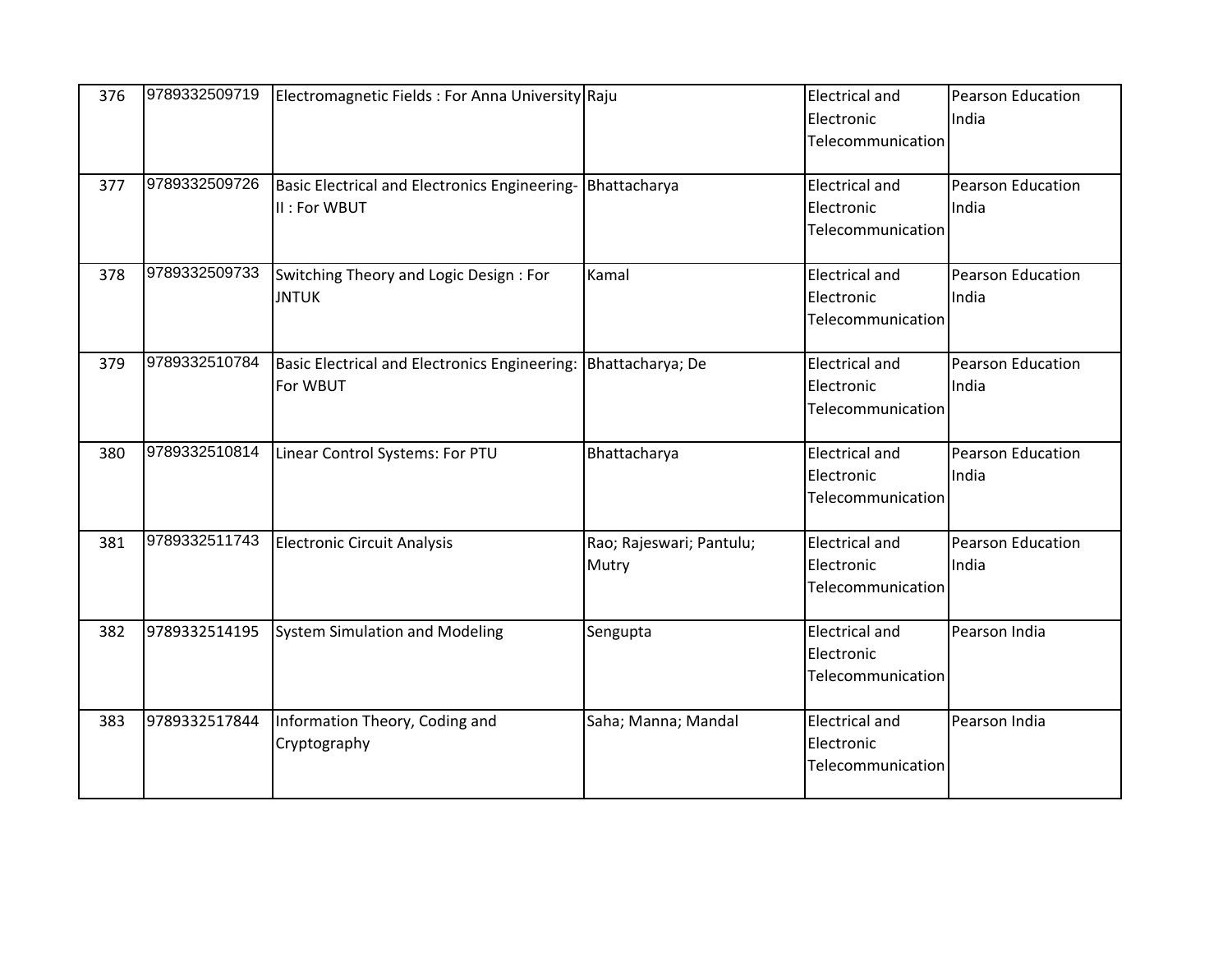| 376 | 9789332509719 | Electromagnetic Fields: For Anna University Raju |                          | <b>Electrical and</b> | <b>Pearson Education</b> |
|-----|---------------|--------------------------------------------------|--------------------------|-----------------------|--------------------------|
|     |               |                                                  |                          | Electronic            | India                    |
|     |               |                                                  |                          | Telecommunication     |                          |
| 377 | 9789332509726 | Basic Electrical and Electronics Engineering-    | Bhattacharya             | <b>Electrical and</b> | <b>Pearson Education</b> |
|     |               | II : For WBUT                                    |                          | Electronic            | India                    |
|     |               |                                                  |                          | Telecommunication     |                          |
| 378 | 9789332509733 | Switching Theory and Logic Design: For           | Kamal                    | <b>Electrical and</b> | Pearson Education        |
|     |               | <b>JNTUK</b>                                     |                          | Electronic            | India                    |
|     |               |                                                  |                          | Telecommunication     |                          |
| 379 | 9789332510784 | Basic Electrical and Electronics Engineering:    | Bhattacharya; De         | <b>Electrical and</b> | Pearson Education        |
|     |               | For WBUT                                         |                          | Electronic            | India                    |
|     |               |                                                  |                          | Telecommunication     |                          |
| 380 | 9789332510814 | Linear Control Systems: For PTU                  | Bhattacharya             | <b>Electrical and</b> | <b>Pearson Education</b> |
|     |               |                                                  |                          | Electronic            | India                    |
|     |               |                                                  |                          | Telecommunication     |                          |
| 381 | 9789332511743 | <b>Electronic Circuit Analysis</b>               | Rao; Rajeswari; Pantulu; | <b>Electrical and</b> | Pearson Education        |
|     |               |                                                  | Mutry                    | Electronic            | India                    |
|     |               |                                                  |                          | Telecommunication     |                          |
| 382 | 9789332514195 | <b>System Simulation and Modeling</b>            | Sengupta                 | <b>Electrical and</b> | Pearson India            |
|     |               |                                                  |                          | Electronic            |                          |
|     |               |                                                  |                          | Telecommunication     |                          |
| 383 | 9789332517844 | Information Theory, Coding and                   | Saha; Manna; Mandal      | <b>Electrical and</b> | Pearson India            |
|     |               | Cryptography                                     |                          | Electronic            |                          |
|     |               |                                                  |                          | Telecommunication     |                          |
|     |               |                                                  |                          |                       |                          |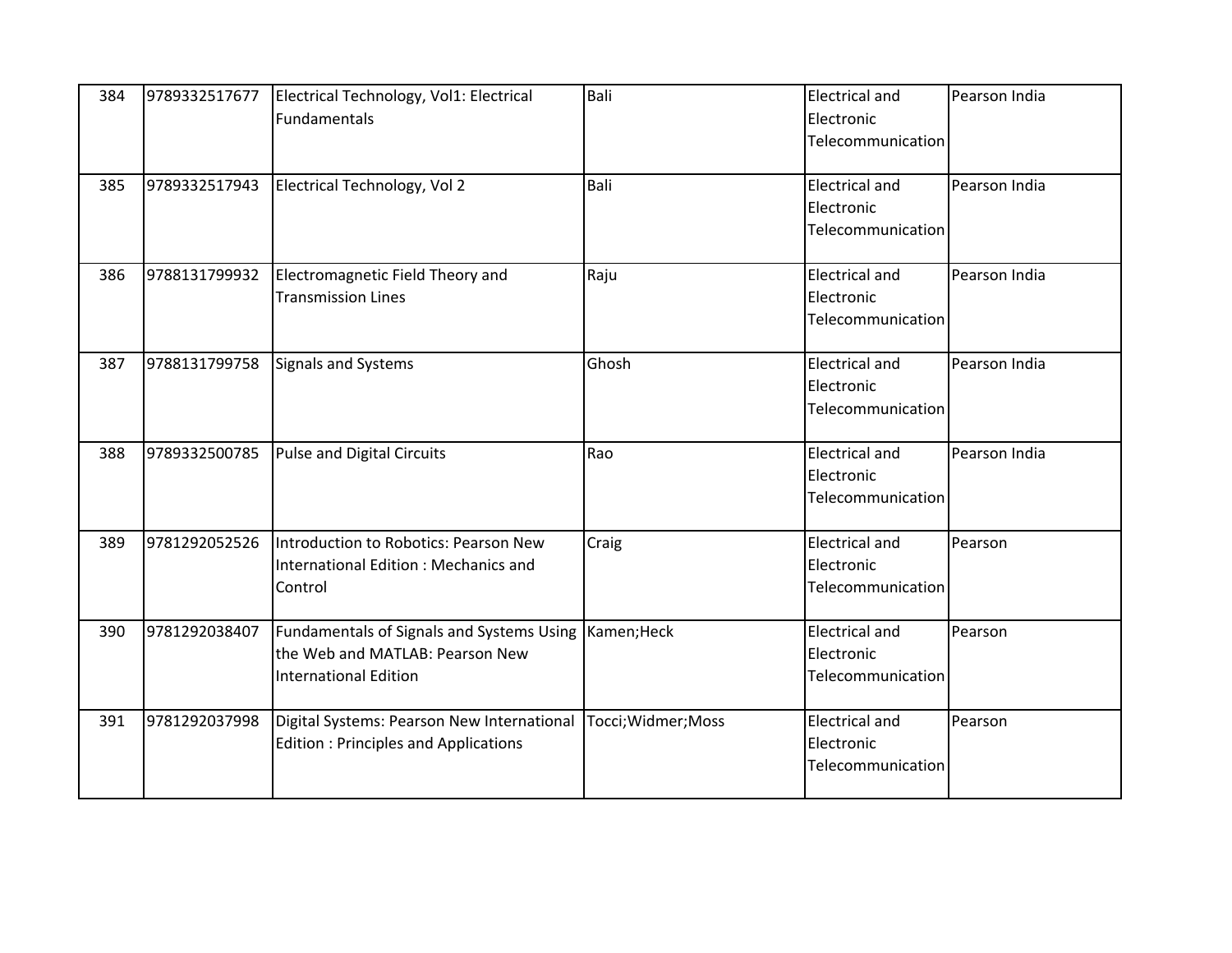| 384 | 9789332517677 | Electrical Technology, Vol1: Electrical<br>Fundamentals                                                      | Bali                | <b>Electrical and</b><br>Electronic<br>Telecommunication | Pearson India |
|-----|---------------|--------------------------------------------------------------------------------------------------------------|---------------------|----------------------------------------------------------|---------------|
| 385 | 9789332517943 | Electrical Technology, Vol 2                                                                                 | Bali                | <b>Electrical and</b><br>Electronic<br>Telecommunication | Pearson India |
| 386 | 9788131799932 | Electromagnetic Field Theory and<br><b>Transmission Lines</b>                                                | Raju                | <b>Electrical and</b><br>Electronic<br>Telecommunication | Pearson India |
| 387 | 9788131799758 | Signals and Systems                                                                                          | Ghosh               | <b>Electrical and</b><br>Electronic<br>Telecommunication | Pearson India |
| 388 | 9789332500785 | Pulse and Digital Circuits                                                                                   | Rao                 | <b>Electrical and</b><br>Electronic<br>Telecommunication | Pearson India |
| 389 | 9781292052526 | Introduction to Robotics: Pearson New<br>International Edition : Mechanics and<br>Control                    | Craig               | <b>Electrical and</b><br>Electronic<br>Telecommunication | Pearson       |
| 390 | 9781292038407 | Fundamentals of Signals and Systems Using<br>the Web and MATLAB: Pearson New<br><b>International Edition</b> | Kamen; Heck         | <b>Electrical and</b><br>Electronic<br>Telecommunication | Pearson       |
| 391 | 9781292037998 | Digital Systems: Pearson New International<br><b>Edition: Principles and Applications</b>                    | Tocci; Widmer; Moss | <b>Electrical and</b><br>Electronic<br>Telecommunication | Pearson       |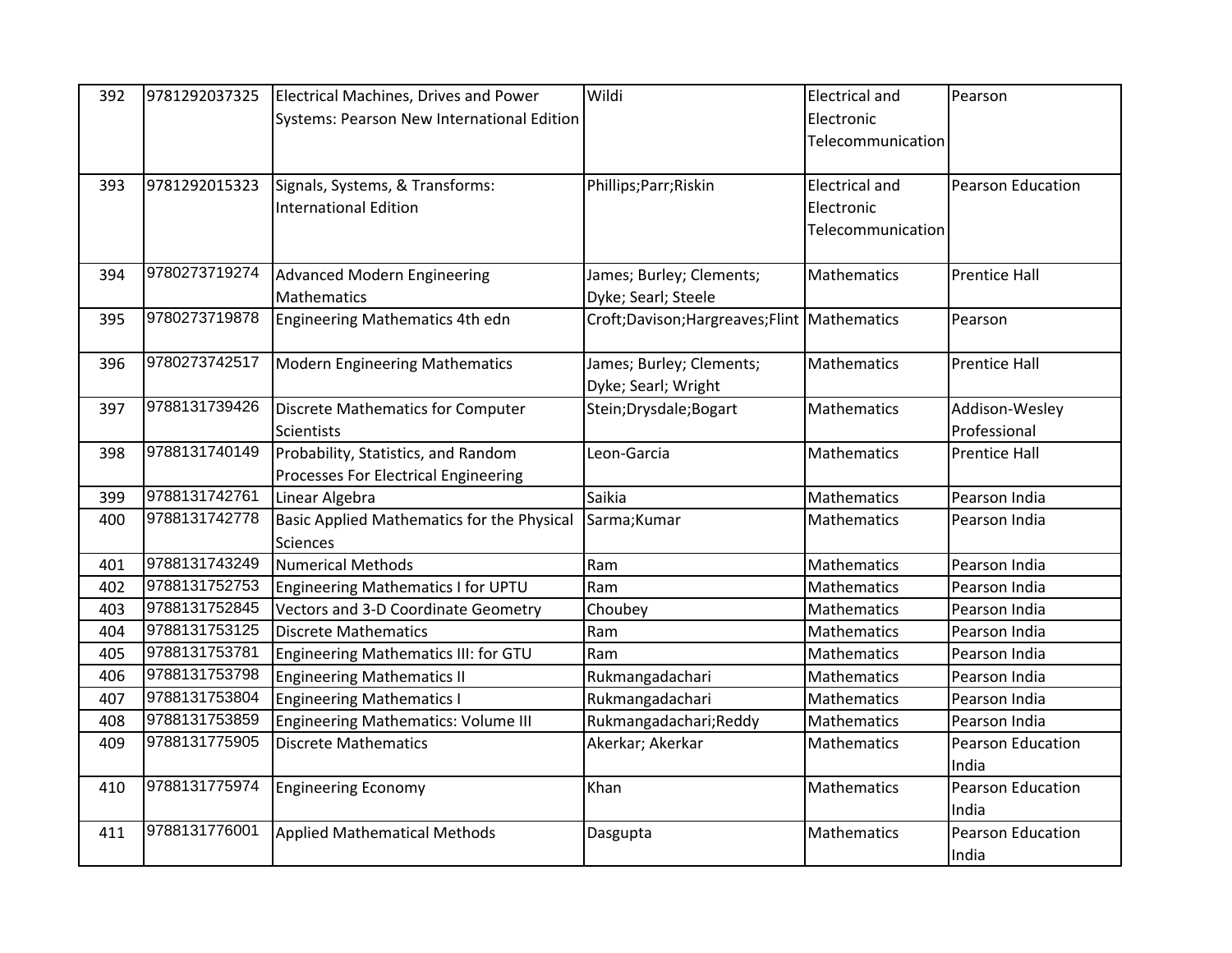| 392 | 9781292037325 | Electrical Machines, Drives and Power      | Wildi                                           | <b>Electrical and</b> | Pearson                  |
|-----|---------------|--------------------------------------------|-------------------------------------------------|-----------------------|--------------------------|
|     |               | Systems: Pearson New International Edition |                                                 | Electronic            |                          |
|     |               |                                            |                                                 | Telecommunication     |                          |
|     |               |                                            |                                                 |                       |                          |
| 393 | 9781292015323 | Signals, Systems, & Transforms:            | Phillips; Parr; Riskin                          | <b>Electrical and</b> | Pearson Education        |
|     |               | <b>International Edition</b>               |                                                 | Electronic            |                          |
|     |               |                                            |                                                 | Telecommunication     |                          |
|     |               |                                            |                                                 |                       |                          |
| 394 | 9780273719274 | <b>Advanced Modern Engineering</b>         | James; Burley; Clements;                        | Mathematics           | <b>Prentice Hall</b>     |
|     |               | Mathematics                                | Dyke; Searl; Steele                             |                       |                          |
| 395 | 9780273719878 | Engineering Mathematics 4th edn            | Croft; Davison; Hargreaves; Flint   Mathematics |                       | Pearson                  |
|     |               |                                            |                                                 |                       |                          |
| 396 | 9780273742517 | <b>Modern Engineering Mathematics</b>      | James; Burley; Clements;                        | Mathematics           | <b>Prentice Hall</b>     |
|     |               |                                            | Dyke; Searl; Wright                             |                       |                          |
| 397 | 9788131739426 | Discrete Mathematics for Computer          | Stein; Drysdale; Bogart                         | Mathematics           | Addison-Wesley           |
|     |               | <b>Scientists</b>                          |                                                 |                       | Professional             |
| 398 | 9788131740149 | Probability, Statistics, and Random        | Leon-Garcia                                     | Mathematics           | <b>Prentice Hall</b>     |
|     |               | Processes For Electrical Engineering       |                                                 |                       |                          |
| 399 | 9788131742761 | Linear Algebra                             | Saikia                                          | Mathematics           | Pearson India            |
| 400 | 9788131742778 | Basic Applied Mathematics for the Physical | Sarma; Kumar                                    | Mathematics           | Pearson India            |
|     |               | <b>Sciences</b>                            |                                                 |                       |                          |
| 401 | 9788131743249 | <b>Numerical Methods</b>                   | Ram                                             | Mathematics           | Pearson India            |
| 402 | 9788131752753 | Engineering Mathematics I for UPTU         | Ram                                             | Mathematics           | Pearson India            |
| 403 | 9788131752845 | Vectors and 3-D Coordinate Geometry        | Choubey                                         | Mathematics           | Pearson India            |
| 404 | 9788131753125 | <b>Discrete Mathematics</b>                | Ram                                             | Mathematics           | Pearson India            |
| 405 | 9788131753781 | Engineering Mathematics III: for GTU       | Ram                                             | Mathematics           | Pearson India            |
| 406 | 9788131753798 | <b>Engineering Mathematics II</b>          | Rukmangadachari                                 | Mathematics           | Pearson India            |
| 407 | 9788131753804 | <b>Engineering Mathematics I</b>           | Rukmangadachari                                 | Mathematics           | Pearson India            |
| 408 | 9788131753859 | <b>Engineering Mathematics: Volume III</b> | Rukmangadachari; Reddy                          | Mathematics           | Pearson India            |
| 409 | 9788131775905 | <b>Discrete Mathematics</b>                | Akerkar; Akerkar                                | Mathematics           | <b>Pearson Education</b> |
|     |               |                                            |                                                 |                       | India                    |
| 410 | 9788131775974 | <b>Engineering Economy</b>                 | Khan                                            | Mathematics           | <b>Pearson Education</b> |
|     |               |                                            |                                                 |                       | India                    |
| 411 | 9788131776001 | <b>Applied Mathematical Methods</b>        | Dasgupta                                        | Mathematics           | <b>Pearson Education</b> |
|     |               |                                            |                                                 |                       | India                    |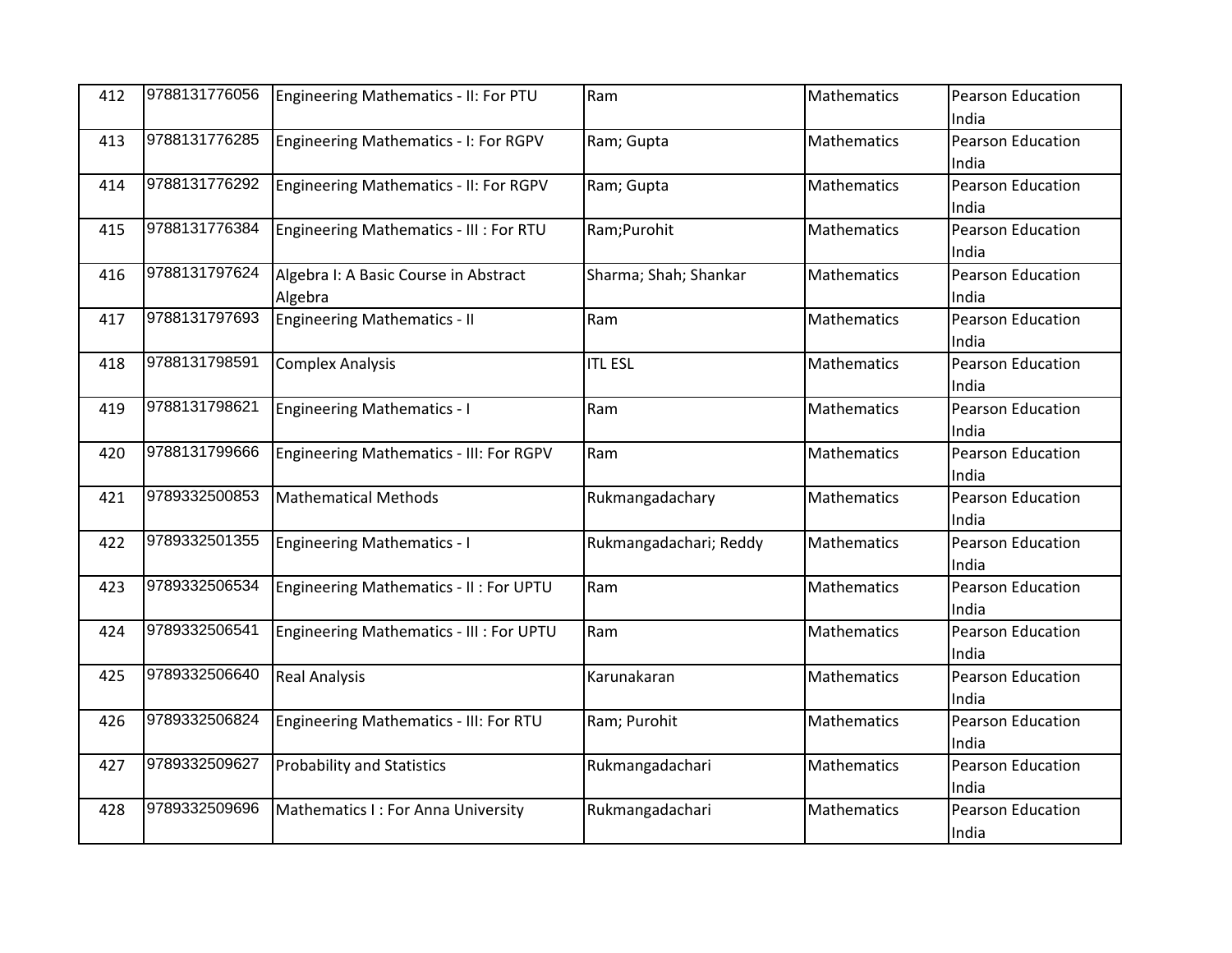| 412 | 9788131776056 | Engineering Mathematics - II: For PTU         | Ram                    | Mathematics        | Pearson Education        |
|-----|---------------|-----------------------------------------------|------------------------|--------------------|--------------------------|
|     |               |                                               |                        |                    | India                    |
| 413 | 9788131776285 | Engineering Mathematics - I: For RGPV         | Ram; Gupta             | Mathematics        | <b>Pearson Education</b> |
|     |               |                                               |                        |                    | India                    |
| 414 | 9788131776292 | <b>Engineering Mathematics - II: For RGPV</b> | Ram; Gupta             | Mathematics        | Pearson Education        |
|     |               |                                               |                        |                    | India                    |
| 415 | 9788131776384 | Engineering Mathematics - III : For RTU       | Ram;Purohit            | <b>Mathematics</b> | <b>Pearson Education</b> |
|     |               |                                               |                        |                    | India                    |
| 416 | 9788131797624 | Algebra I: A Basic Course in Abstract         | Sharma; Shah; Shankar  | <b>Mathematics</b> | <b>Pearson Education</b> |
|     |               | Algebra                                       |                        |                    | India                    |
| 417 | 9788131797693 | <b>Engineering Mathematics - II</b>           | Ram                    | Mathematics        | Pearson Education        |
|     |               |                                               |                        |                    | India                    |
| 418 | 9788131798591 | <b>Complex Analysis</b>                       | <b>ITL ESL</b>         | Mathematics        | Pearson Education        |
|     |               |                                               |                        |                    | India                    |
| 419 | 9788131798621 | <b>Engineering Mathematics - I</b>            | Ram                    | Mathematics        | <b>Pearson Education</b> |
|     |               |                                               |                        |                    | India                    |
| 420 | 9788131799666 | Engineering Mathematics - III: For RGPV       | Ram                    | Mathematics        | Pearson Education        |
|     |               |                                               |                        |                    | India                    |
| 421 | 9789332500853 | <b>Mathematical Methods</b>                   | Rukmangadachary        | Mathematics        | Pearson Education        |
|     |               |                                               |                        |                    | India                    |
| 422 | 9789332501355 | <b>Engineering Mathematics - I</b>            | Rukmangadachari; Reddy | Mathematics        | Pearson Education        |
|     |               |                                               |                        |                    | India                    |
| 423 | 9789332506534 | Engineering Mathematics - II : For UPTU       | Ram                    | Mathematics        | Pearson Education        |
|     |               |                                               |                        |                    | India                    |
| 424 | 9789332506541 | Engineering Mathematics - III : For UPTU      | Ram                    | Mathematics        | <b>Pearson Education</b> |
|     |               |                                               |                        |                    | India                    |
| 425 | 9789332506640 | <b>Real Analysis</b>                          | Karunakaran            | <b>Mathematics</b> | <b>Pearson Education</b> |
|     |               |                                               |                        |                    | India                    |
| 426 | 9789332506824 | Engineering Mathematics - III: For RTU        | Ram; Purohit           | <b>Mathematics</b> | Pearson Education        |
|     |               |                                               |                        |                    | India                    |
| 427 | 9789332509627 | <b>Probability and Statistics</b>             | Rukmangadachari        | Mathematics        | Pearson Education        |
|     |               |                                               |                        |                    | India                    |
| 428 | 9789332509696 | Mathematics I: For Anna University            | Rukmangadachari        | Mathematics        | <b>Pearson Education</b> |
|     |               |                                               |                        |                    | India                    |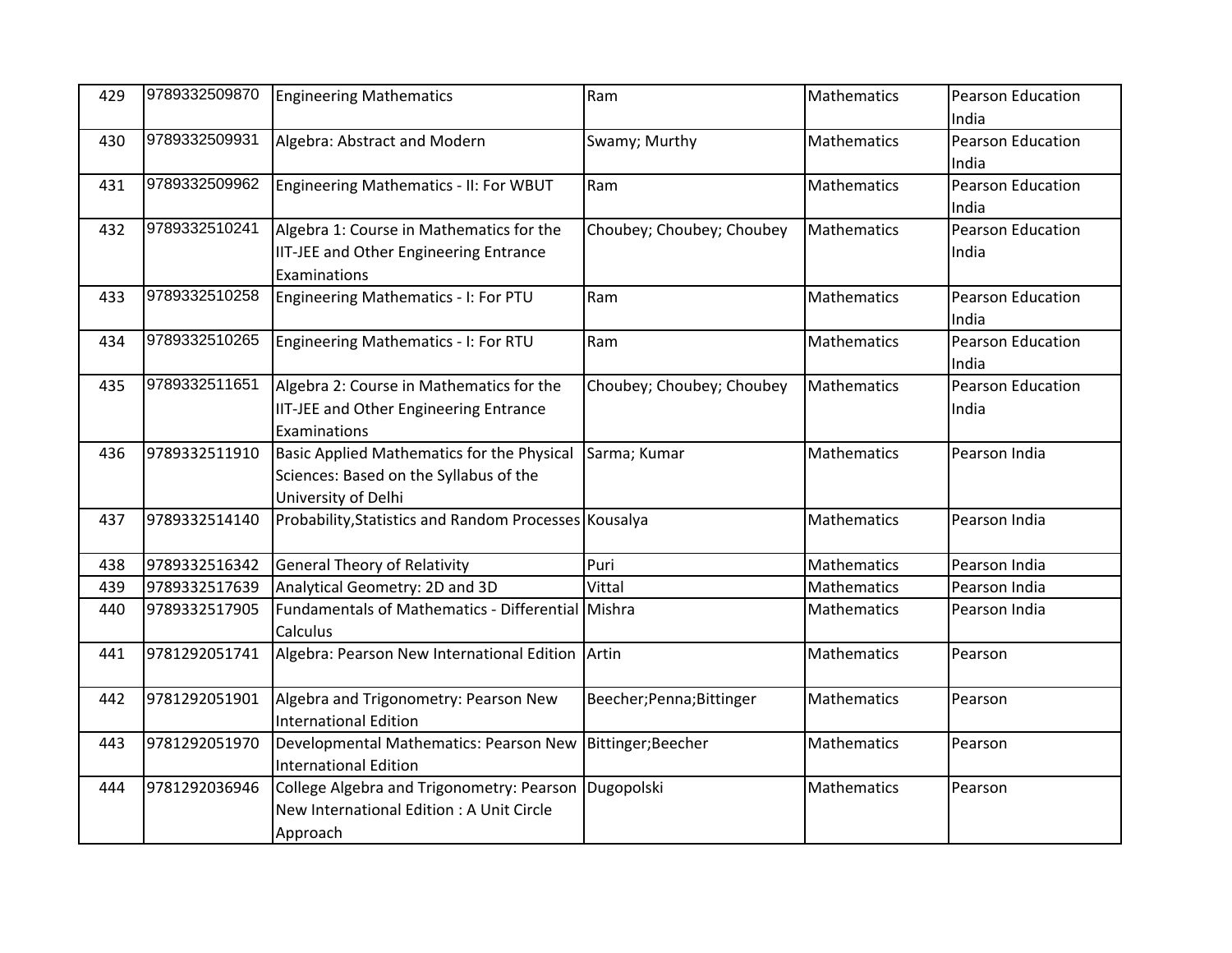| 429 | 9789332509870 | <b>Engineering Mathematics</b>                        | Ram                       | Mathematics        | Pearson Education        |
|-----|---------------|-------------------------------------------------------|---------------------------|--------------------|--------------------------|
|     |               |                                                       |                           |                    | India                    |
| 430 | 9789332509931 | Algebra: Abstract and Modern                          | Swamy; Murthy             | Mathematics        | <b>Pearson Education</b> |
|     |               |                                                       |                           |                    | India                    |
| 431 | 9789332509962 | Engineering Mathematics - II: For WBUT                | Ram                       | Mathematics        | Pearson Education        |
|     |               |                                                       |                           |                    | India                    |
| 432 | 9789332510241 | Algebra 1: Course in Mathematics for the              | Choubey; Choubey; Choubey | Mathematics        | <b>Pearson Education</b> |
|     |               | <b>IIT-JEE and Other Engineering Entrance</b>         |                           |                    | India                    |
|     |               | Examinations                                          |                           |                    |                          |
| 433 | 9789332510258 | Engineering Mathematics - I: For PTU                  | Ram                       | Mathematics        | Pearson Education        |
|     |               |                                                       |                           |                    | India                    |
| 434 | 9789332510265 | Engineering Mathematics - I: For RTU                  | Ram                       | Mathematics        | Pearson Education        |
|     |               |                                                       |                           |                    | India                    |
| 435 | 9789332511651 | Algebra 2: Course in Mathematics for the              | Choubey; Choubey; Choubey | Mathematics        | <b>Pearson Education</b> |
|     |               | <b>IIT-JEE and Other Engineering Entrance</b>         |                           |                    | India                    |
|     |               | Examinations                                          |                           |                    |                          |
| 436 | 9789332511910 | Basic Applied Mathematics for the Physical            | Sarma; Kumar              | Mathematics        | Pearson India            |
|     |               | Sciences: Based on the Syllabus of the                |                           |                    |                          |
|     |               | University of Delhi                                   |                           |                    |                          |
| 437 | 9789332514140 | Probability, Statistics and Random Processes Kousalya |                           | Mathematics        | Pearson India            |
|     |               |                                                       |                           |                    |                          |
| 438 | 9789332516342 | <b>General Theory of Relativity</b>                   | Puri                      | Mathematics        | Pearson India            |
| 439 | 9789332517639 | Analytical Geometry: 2D and 3D                        | Vittal                    | Mathematics        | Pearson India            |
| 440 | 9789332517905 | Fundamentals of Mathematics - Differential Mishra     |                           | <b>Mathematics</b> | Pearson India            |
|     |               | Calculus                                              |                           |                    |                          |
| 441 | 9781292051741 | Algebra: Pearson New International Edition Artin      |                           | Mathematics        | Pearson                  |
|     |               |                                                       |                           |                    |                          |
| 442 | 9781292051901 | Algebra and Trigonometry: Pearson New                 | Beecher; Penna; Bittinger | Mathematics        | Pearson                  |
|     |               | <b>International Edition</b>                          |                           |                    |                          |
| 443 | 9781292051970 | Developmental Mathematics: Pearson New                | Bittinger;Beecher         | Mathematics        | Pearson                  |
|     |               | <b>International Edition</b>                          |                           |                    |                          |
| 444 | 9781292036946 | College Algebra and Trigonometry: Pearson             | Dugopolski                | Mathematics        | Pearson                  |
|     |               | New International Edition: A Unit Circle              |                           |                    |                          |
|     |               | Approach                                              |                           |                    |                          |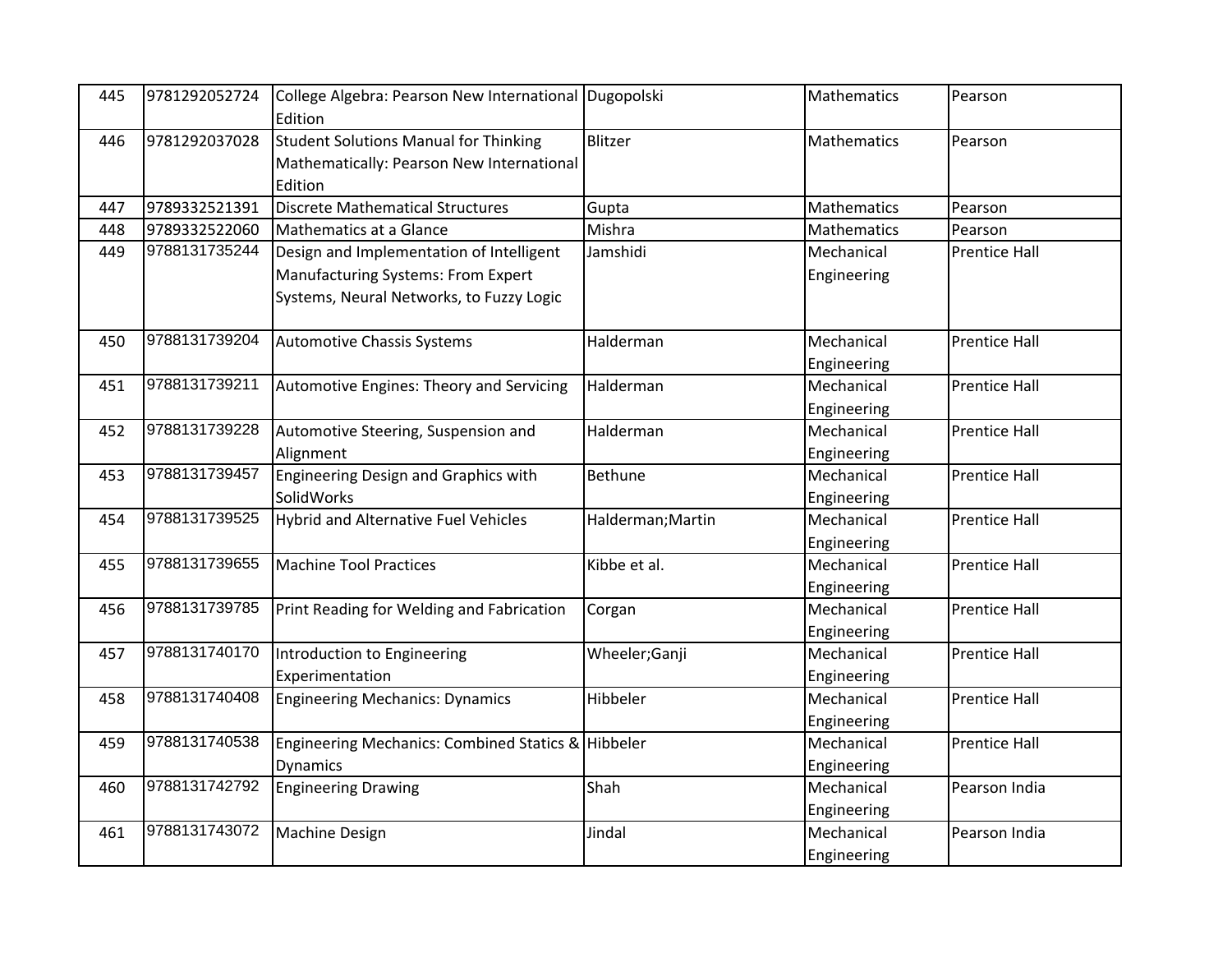| 445 | 9781292052724 | College Algebra: Pearson New International Dugopolski<br>Edition                                                           |                   | Mathematics               | Pearson              |
|-----|---------------|----------------------------------------------------------------------------------------------------------------------------|-------------------|---------------------------|----------------------|
| 446 | 9781292037028 | Student Solutions Manual for Thinking<br>Mathematically: Pearson New International<br>Edition                              | Blitzer           | Mathematics               | Pearson              |
| 447 | 9789332521391 | <b>Discrete Mathematical Structures</b>                                                                                    | Gupta             | Mathematics               | Pearson              |
| 448 | 9789332522060 | Mathematics at a Glance                                                                                                    | Mishra            | Mathematics               | Pearson              |
| 449 | 9788131735244 | Design and Implementation of Intelligent<br>Manufacturing Systems: From Expert<br>Systems, Neural Networks, to Fuzzy Logic | Jamshidi          | Mechanical<br>Engineering | <b>Prentice Hall</b> |
| 450 | 9788131739204 | Automotive Chassis Systems                                                                                                 | Halderman         | Mechanical<br>Engineering | <b>Prentice Hall</b> |
| 451 | 9788131739211 | Automotive Engines: Theory and Servicing                                                                                   | Halderman         | Mechanical<br>Engineering | <b>Prentice Hall</b> |
| 452 | 9788131739228 | Automotive Steering, Suspension and<br>Alignment                                                                           | Halderman         | Mechanical<br>Engineering | <b>Prentice Hall</b> |
| 453 | 9788131739457 | Engineering Design and Graphics with<br>SolidWorks                                                                         | <b>Bethune</b>    | Mechanical<br>Engineering | <b>Prentice Hall</b> |
| 454 | 9788131739525 | <b>Hybrid and Alternative Fuel Vehicles</b>                                                                                | Halderman; Martin | Mechanical<br>Engineering | <b>Prentice Hall</b> |
| 455 | 9788131739655 | <b>Machine Tool Practices</b>                                                                                              | Kibbe et al.      | Mechanical<br>Engineering | <b>Prentice Hall</b> |
| 456 | 9788131739785 | Print Reading for Welding and Fabrication                                                                                  | Corgan            | Mechanical<br>Engineering | <b>Prentice Hall</b> |
| 457 | 9788131740170 | Introduction to Engineering<br>Experimentation                                                                             | Wheeler;Ganji     | Mechanical<br>Engineering | <b>Prentice Hall</b> |
| 458 | 9788131740408 | <b>Engineering Mechanics: Dynamics</b>                                                                                     | Hibbeler          | Mechanical<br>Engineering | <b>Prentice Hall</b> |
| 459 | 9788131740538 | Engineering Mechanics: Combined Statics & Hibbeler<br><b>Dynamics</b>                                                      |                   | Mechanical<br>Engineering | <b>Prentice Hall</b> |
| 460 | 9788131742792 | <b>Engineering Drawing</b>                                                                                                 | Shah              | Mechanical<br>Engineering | Pearson India        |
| 461 | 9788131743072 | <b>Machine Design</b>                                                                                                      | Jindal            | Mechanical<br>Engineering | Pearson India        |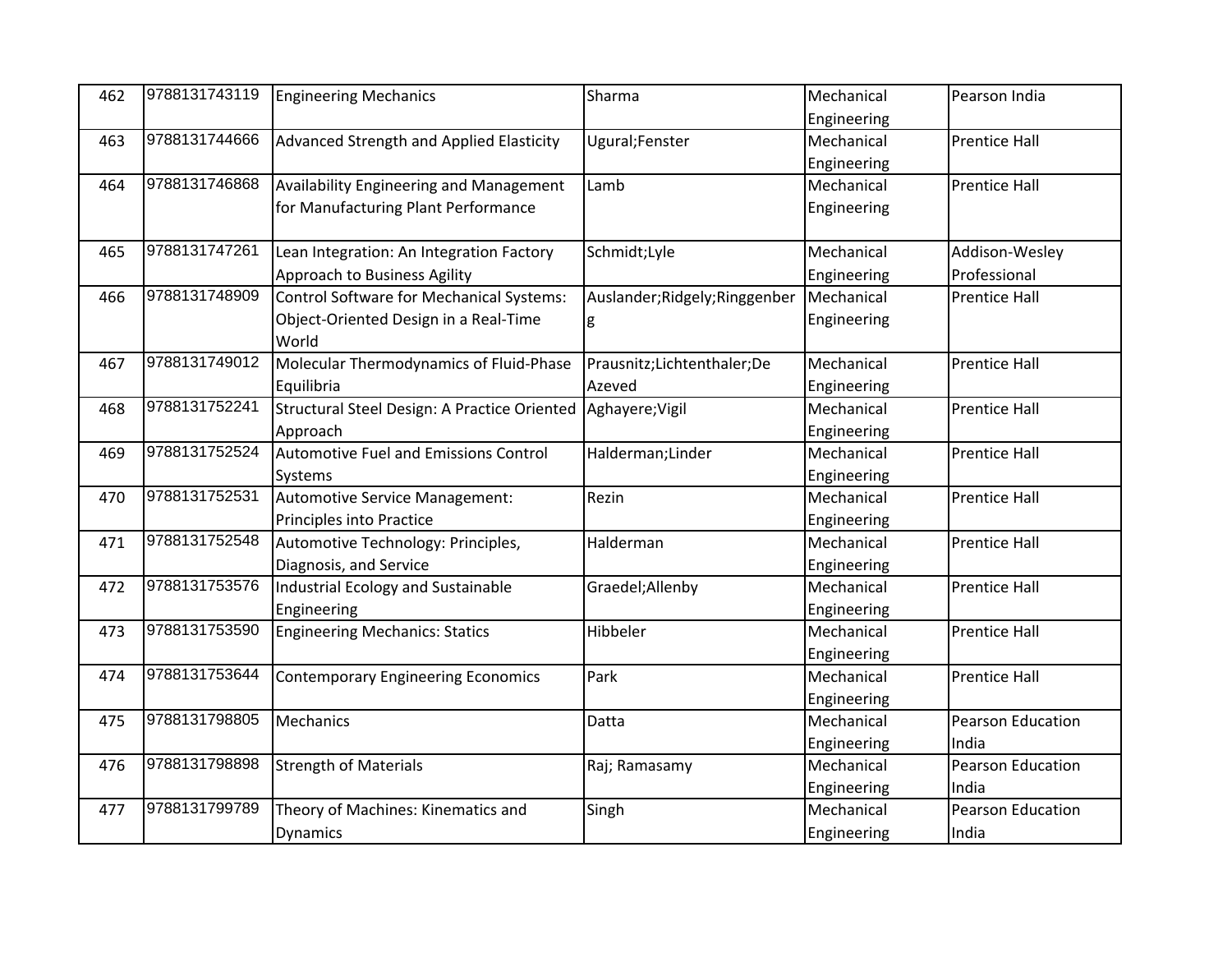| 462 | 9788131743119 | <b>Engineering Mechanics</b>                    | Sharma                         | Mechanical  | Pearson India            |
|-----|---------------|-------------------------------------------------|--------------------------------|-------------|--------------------------|
|     |               |                                                 |                                | Engineering |                          |
| 463 | 9788131744666 | Advanced Strength and Applied Elasticity        | Ugural;Fenster                 | Mechanical  | <b>Prentice Hall</b>     |
|     |               |                                                 |                                | Engineering |                          |
| 464 | 9788131746868 | Availability Engineering and Management         | Lamb                           | Mechanical  | <b>Prentice Hall</b>     |
|     |               | for Manufacturing Plant Performance             |                                | Engineering |                          |
| 465 | 9788131747261 | Lean Integration: An Integration Factory        | Schmidt;Lyle                   | Mechanical  | Addison-Wesley           |
|     |               | Approach to Business Agility                    |                                | Engineering | Professional             |
| 466 | 9788131748909 | <b>Control Software for Mechanical Systems:</b> | Auslander; Ridgely; Ringgenber | Mechanical  | <b>Prentice Hall</b>     |
|     |               | Object-Oriented Design in a Real-Time           | g                              | Engineering |                          |
|     |               | World                                           |                                |             |                          |
| 467 | 9788131749012 | Molecular Thermodynamics of Fluid-Phase         | Prausnitz;Lichtenthaler;De     | Mechanical  | <b>Prentice Hall</b>     |
|     |               | Equilibria                                      | Azeved                         | Engineering |                          |
| 468 | 9788131752241 | Structural Steel Design: A Practice Oriented    | Aghayere; Vigil                | Mechanical  | <b>Prentice Hall</b>     |
|     |               | Approach                                        |                                | Engineering |                          |
| 469 | 9788131752524 | <b>Automotive Fuel and Emissions Control</b>    | Halderman; Linder              | Mechanical  | <b>Prentice Hall</b>     |
|     |               | Systems                                         |                                | Engineering |                          |
| 470 | 9788131752531 | Automotive Service Management:                  | Rezin                          | Mechanical  | <b>Prentice Hall</b>     |
|     |               | Principles into Practice                        |                                | Engineering |                          |
| 471 | 9788131752548 | Automotive Technology: Principles,              | Halderman                      | Mechanical  | <b>Prentice Hall</b>     |
|     |               | Diagnosis, and Service                          |                                | Engineering |                          |
| 472 | 9788131753576 | Industrial Ecology and Sustainable              | Graedel;Allenby                | Mechanical  | <b>Prentice Hall</b>     |
|     |               | Engineering                                     |                                | Engineering |                          |
| 473 | 9788131753590 | <b>Engineering Mechanics: Statics</b>           | Hibbeler                       | Mechanical  | <b>Prentice Hall</b>     |
|     |               |                                                 |                                | Engineering |                          |
| 474 | 9788131753644 | <b>Contemporary Engineering Economics</b>       | Park                           | Mechanical  | <b>Prentice Hall</b>     |
|     |               |                                                 |                                | Engineering |                          |
| 475 | 9788131798805 | Mechanics                                       | Datta                          | Mechanical  | Pearson Education        |
|     |               |                                                 |                                | Engineering | India                    |
| 476 | 9788131798898 | <b>Strength of Materials</b>                    | Raj; Ramasamy                  | Mechanical  | Pearson Education        |
|     |               |                                                 |                                | Engineering | India                    |
| 477 | 9788131799789 | Theory of Machines: Kinematics and              | Singh                          | Mechanical  | <b>Pearson Education</b> |
|     |               | <b>Dynamics</b>                                 |                                | Engineering | India                    |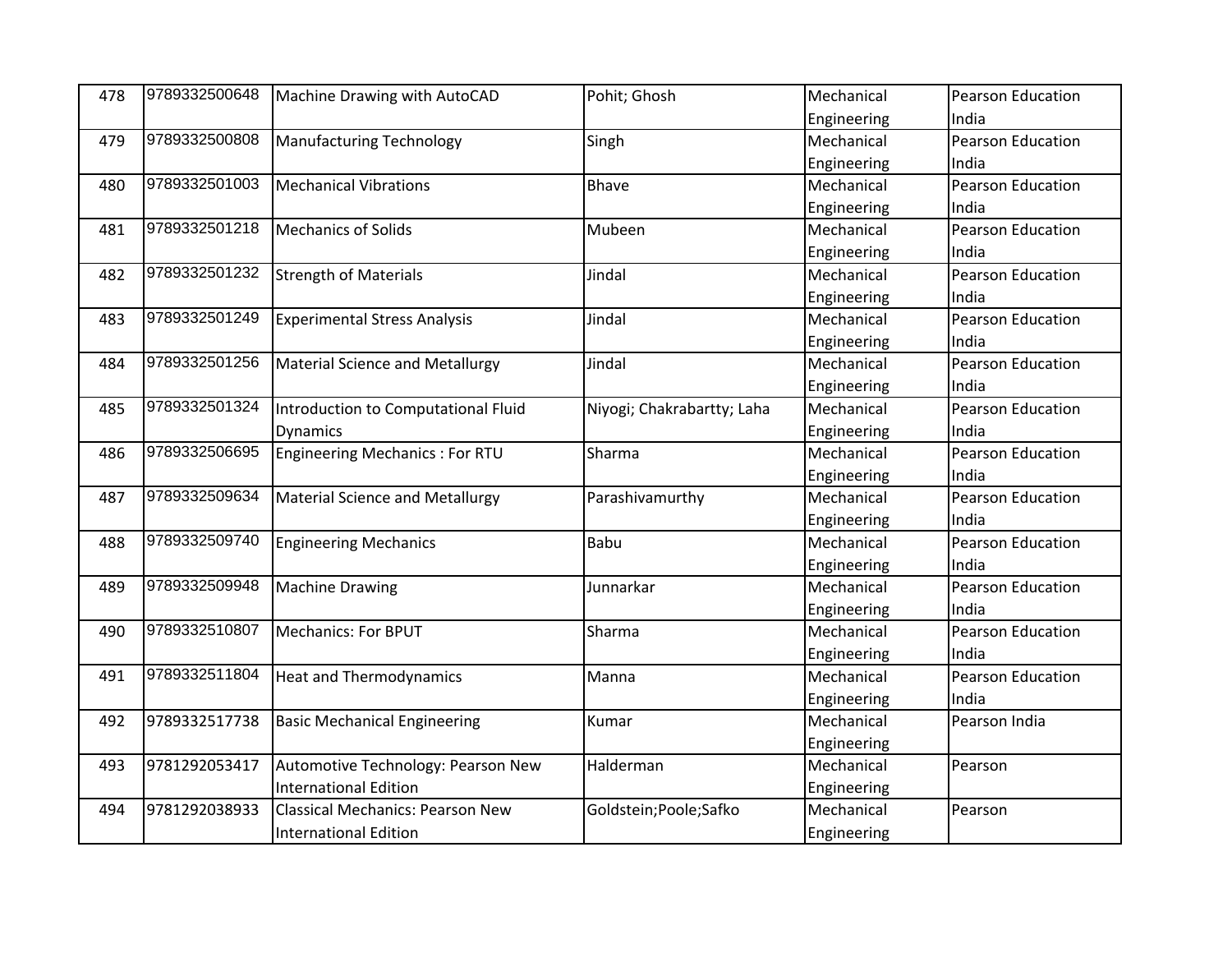| 478 | 9789332500648 | Machine Drawing with AutoCAD            | Pohit; Ghosh               | Mechanical  | Pearson Education        |
|-----|---------------|-----------------------------------------|----------------------------|-------------|--------------------------|
|     |               |                                         |                            | Engineering | India                    |
| 479 | 9789332500808 | <b>Manufacturing Technology</b>         | Singh                      | Mechanical  | <b>Pearson Education</b> |
|     |               |                                         |                            | Engineering | India                    |
| 480 | 9789332501003 | <b>Mechanical Vibrations</b>            | Bhave                      | Mechanical  | Pearson Education        |
|     |               |                                         |                            | Engineering | India                    |
| 481 | 9789332501218 | <b>Mechanics of Solids</b>              | Mubeen                     | Mechanical  | Pearson Education        |
|     |               |                                         |                            | Engineering | India                    |
| 482 | 9789332501232 | <b>Strength of Materials</b>            | Jindal                     | Mechanical  | <b>Pearson Education</b> |
|     |               |                                         |                            | Engineering | India                    |
| 483 | 9789332501249 | <b>Experimental Stress Analysis</b>     | Jindal                     | Mechanical  | <b>Pearson Education</b> |
|     |               |                                         |                            | Engineering | India                    |
| 484 | 9789332501256 | <b>Material Science and Metallurgy</b>  | Jindal                     | Mechanical  | <b>Pearson Education</b> |
|     |               |                                         |                            | Engineering | India                    |
| 485 | 9789332501324 | Introduction to Computational Fluid     | Niyogi; Chakrabartty; Laha | Mechanical  | <b>Pearson Education</b> |
|     |               | <b>Dynamics</b>                         |                            | Engineering | India                    |
| 486 | 9789332506695 | <b>Engineering Mechanics: For RTU</b>   | Sharma                     | Mechanical  | <b>Pearson Education</b> |
|     |               |                                         |                            | Engineering | India                    |
| 487 | 9789332509634 | <b>Material Science and Metallurgy</b>  | Parashivamurthy            | Mechanical  | <b>Pearson Education</b> |
|     |               |                                         |                            | Engineering | India                    |
| 488 | 9789332509740 | <b>Engineering Mechanics</b>            | Babu                       | Mechanical  | Pearson Education        |
|     |               |                                         |                            | Engineering | India                    |
| 489 | 9789332509948 | <b>Machine Drawing</b>                  | Junnarkar                  | Mechanical  | Pearson Education        |
|     |               |                                         |                            | Engineering | India                    |
| 490 | 9789332510807 | <b>Mechanics: For BPUT</b>              | Sharma                     | Mechanical  | Pearson Education        |
|     |               |                                         |                            | Engineering | India                    |
| 491 | 9789332511804 | <b>Heat and Thermodynamics</b>          | Manna                      | Mechanical  | Pearson Education        |
|     |               |                                         |                            | Engineering | India                    |
| 492 | 9789332517738 | <b>Basic Mechanical Engineering</b>     | Kumar                      | Mechanical  | Pearson India            |
|     |               |                                         |                            | Engineering |                          |
| 493 | 9781292053417 | Automotive Technology: Pearson New      | Halderman                  | Mechanical  | Pearson                  |
|     |               | <b>International Edition</b>            |                            | Engineering |                          |
| 494 | 9781292038933 | <b>Classical Mechanics: Pearson New</b> | Goldstein; Poole; Safko    | Mechanical  | Pearson                  |
|     |               | <b>International Edition</b>            |                            | Engineering |                          |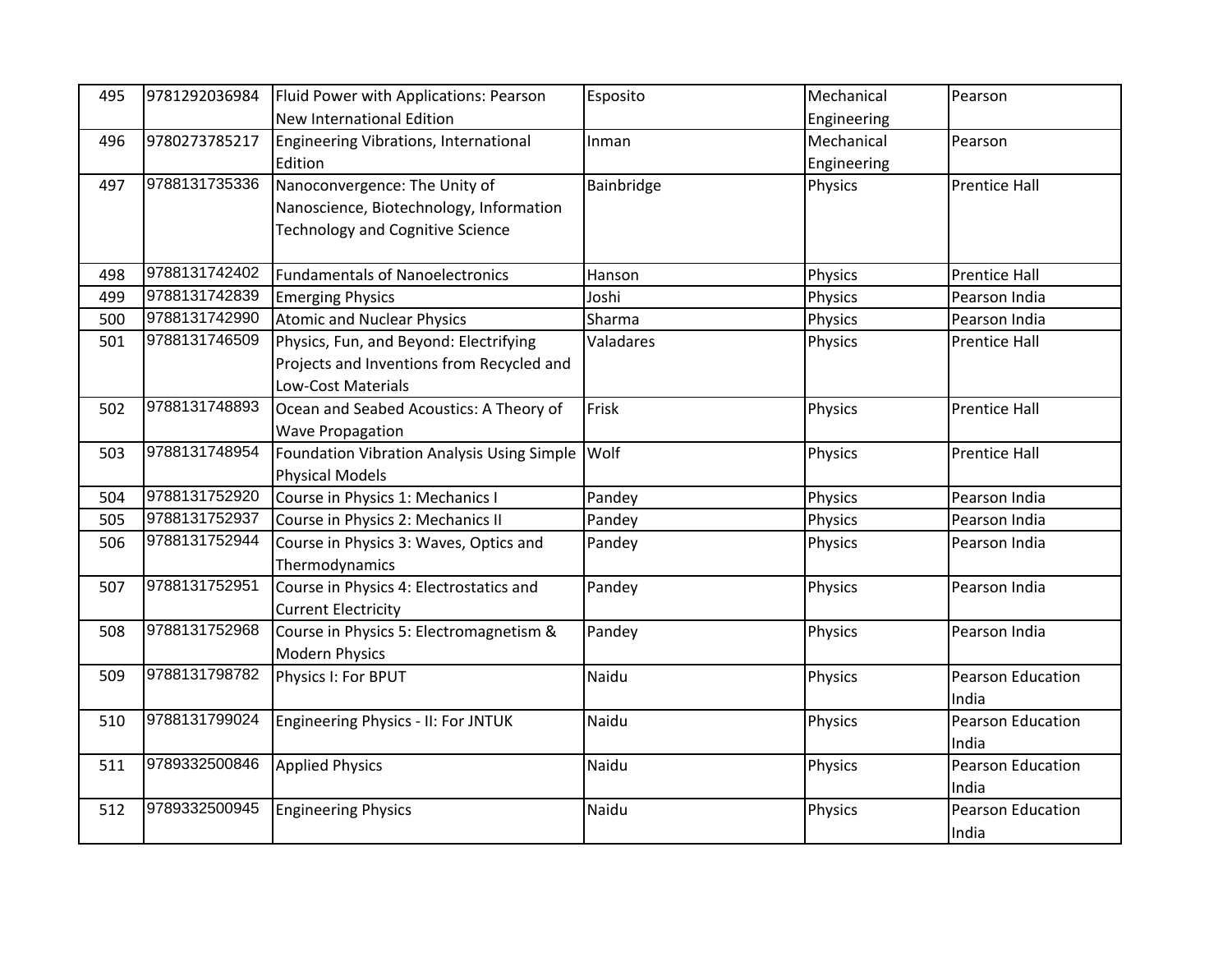| 495 | 9781292036984 | Fluid Power with Applications: Pearson     | Esposito   | Mechanical     | Pearson                  |
|-----|---------------|--------------------------------------------|------------|----------------|--------------------------|
|     |               | <b>New International Edition</b>           |            | Engineering    |                          |
| 496 | 9780273785217 | Engineering Vibrations, International      | Inman      | Mechanical     | Pearson                  |
|     |               | Edition                                    |            | Engineering    |                          |
| 497 | 9788131735336 | Nanoconvergence: The Unity of              | Bainbridge | Physics        | <b>Prentice Hall</b>     |
|     |               | Nanoscience, Biotechnology, Information    |            |                |                          |
|     |               | <b>Technology and Cognitive Science</b>    |            |                |                          |
|     |               |                                            |            |                |                          |
| 498 | 9788131742402 | <b>Fundamentals of Nanoelectronics</b>     | Hanson     | Physics        | <b>Prentice Hall</b>     |
| 499 | 9788131742839 | <b>Emerging Physics</b>                    | Joshi      | Physics        | Pearson India            |
| 500 | 9788131742990 | <b>Atomic and Nuclear Physics</b>          | Sharma     | Physics        | Pearson India            |
| 501 | 9788131746509 | Physics, Fun, and Beyond: Electrifying     | Valadares  | Physics        | <b>Prentice Hall</b>     |
|     |               | Projects and Inventions from Recycled and  |            |                |                          |
|     |               | Low-Cost Materials                         |            |                |                          |
| 502 | 9788131748893 | Ocean and Seabed Acoustics: A Theory of    | Frisk      | Physics        | <b>Prentice Hall</b>     |
|     |               | <b>Wave Propagation</b>                    |            |                |                          |
| 503 | 9788131748954 | Foundation Vibration Analysis Using Simple | Wolf       | <b>Physics</b> | <b>Prentice Hall</b>     |
|     |               | <b>Physical Models</b>                     |            |                |                          |
| 504 | 9788131752920 | Course in Physics 1: Mechanics I           | Pandey     | Physics        | Pearson India            |
| 505 | 9788131752937 | Course in Physics 2: Mechanics II          | Pandey     | Physics        | Pearson India            |
| 506 | 9788131752944 | Course in Physics 3: Waves, Optics and     | Pandey     | Physics        | Pearson India            |
|     |               | Thermodynamics                             |            |                |                          |
| 507 | 9788131752951 | Course in Physics 4: Electrostatics and    | Pandey     | Physics        | Pearson India            |
|     |               | <b>Current Electricity</b>                 |            |                |                          |
| 508 | 9788131752968 | Course in Physics 5: Electromagnetism &    | Pandey     | Physics        | Pearson India            |
|     |               | <b>Modern Physics</b>                      |            |                |                          |
| 509 | 9788131798782 | Physics I: For BPUT                        | Naidu      | <b>Physics</b> | Pearson Education        |
|     |               |                                            |            |                | India                    |
| 510 | 9788131799024 | Engineering Physics - II: For JNTUK        | Naidu      | Physics        | Pearson Education        |
|     |               |                                            |            |                | India                    |
| 511 | 9789332500846 | <b>Applied Physics</b>                     | Naidu      | Physics        | <b>Pearson Education</b> |
|     |               |                                            |            |                | India                    |
| 512 | 9789332500945 | <b>Engineering Physics</b>                 | Naidu      | Physics        | Pearson Education        |
|     |               |                                            |            |                | India                    |